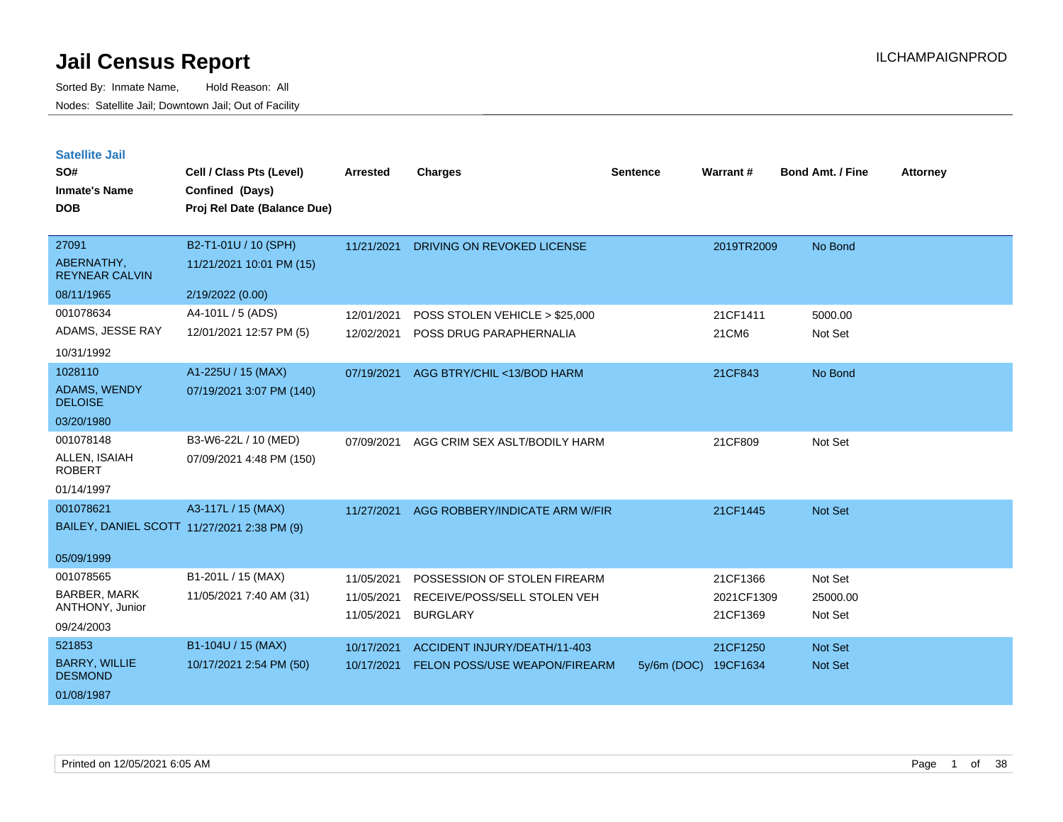Sorted By: Inmate Name, Hold Reason: All Nodes: Satellite Jail; Downtown Jail; Out of Facility

**Satellite Jail**

| SO#<br><b>Inmate's Name</b><br><b>DOB</b>                              | Cell / Class Pts (Level)<br>Confined (Days)<br>Proj Rel Date (Balance Due) | <b>Arrested</b>                        | <b>Charges</b>                                                                  | <b>Sentence</b> | Warrant#                           | <b>Bond Amt. / Fine</b>        | <b>Attorney</b> |
|------------------------------------------------------------------------|----------------------------------------------------------------------------|----------------------------------------|---------------------------------------------------------------------------------|-----------------|------------------------------------|--------------------------------|-----------------|
| 27091<br>ABERNATHY,<br><b>REYNEAR CALVIN</b>                           | B2-T1-01U / 10 (SPH)<br>11/21/2021 10:01 PM (15)                           | 11/21/2021                             | DRIVING ON REVOKED LICENSE                                                      |                 | 2019TR2009                         | No Bond                        |                 |
| 08/11/1965                                                             | 2/19/2022 (0.00)                                                           |                                        |                                                                                 |                 |                                    |                                |                 |
| 001078634<br>ADAMS, JESSE RAY<br>10/31/1992                            | A4-101L / 5 (ADS)<br>12/01/2021 12:57 PM (5)                               | 12/01/2021<br>12/02/2021               | POSS STOLEN VEHICLE > \$25,000<br><b>POSS DRUG PARAPHERNALIA</b>                |                 | 21CF1411<br>21CM6                  | 5000.00<br>Not Set             |                 |
| 1028110<br>ADAMS, WENDY<br><b>DELOISE</b><br>03/20/1980                | A1-225U / 15 (MAX)<br>07/19/2021 3:07 PM (140)                             | 07/19/2021                             | AGG BTRY/CHIL <13/BOD HARM                                                      |                 | 21CF843                            | No Bond                        |                 |
| 001078148<br>ALLEN, ISAIAH<br><b>ROBERT</b><br>01/14/1997              | B3-W6-22L / 10 (MED)<br>07/09/2021 4:48 PM (150)                           | 07/09/2021                             | AGG CRIM SEX ASLT/BODILY HARM                                                   |                 | 21CF809                            | Not Set                        |                 |
| 001078621<br>BAILEY, DANIEL SCOTT 11/27/2021 2:38 PM (9)<br>05/09/1999 | A3-117L / 15 (MAX)                                                         | 11/27/2021                             | AGG ROBBERY/INDICATE ARM W/FIR                                                  |                 | 21CF1445                           | Not Set                        |                 |
| 001078565<br><b>BARBER, MARK</b><br>ANTHONY, Junior<br>09/24/2003      | B1-201L / 15 (MAX)<br>11/05/2021 7:40 AM (31)                              | 11/05/2021<br>11/05/2021<br>11/05/2021 | POSSESSION OF STOLEN FIREARM<br>RECEIVE/POSS/SELL STOLEN VEH<br><b>BURGLARY</b> |                 | 21CF1366<br>2021CF1309<br>21CF1369 | Not Set<br>25000.00<br>Not Set |                 |
| 521853<br><b>BARRY, WILLIE</b><br><b>DESMOND</b><br>01/08/1987         | B1-104U / 15 (MAX)<br>10/17/2021 2:54 PM (50)                              | 10/17/2021<br>10/17/2021               | ACCIDENT INJURY/DEATH/11-403<br><b>FELON POSS/USE WEAPON/FIREARM</b>            | $5y/6m$ (DOC)   | 21CF1250<br>19CF1634               | Not Set<br>Not Set             |                 |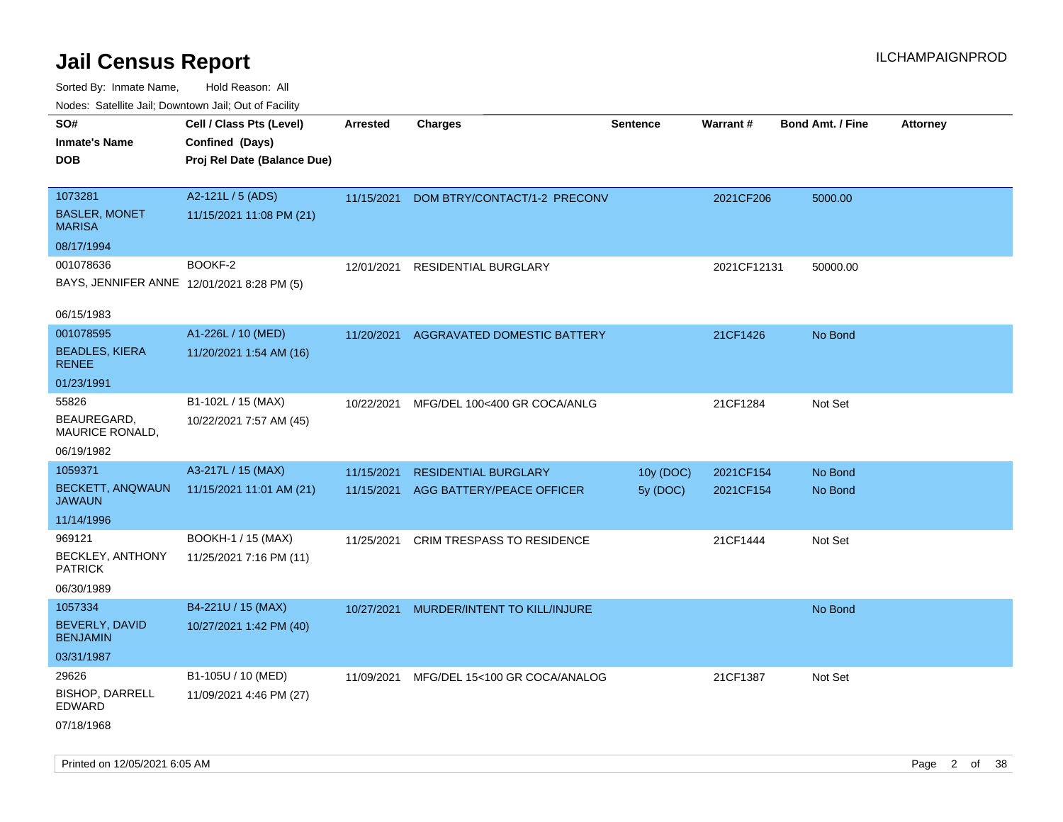Sorted By: Inmate Name, Hold Reason: All Nodes: Satellite Jail; Downtown Jail; Out of Facility

| Nudes. Satellite Jali, Downtown Jali, Out of Facility |                             |                 |                                   |                 |             |                         |                 |
|-------------------------------------------------------|-----------------------------|-----------------|-----------------------------------|-----------------|-------------|-------------------------|-----------------|
| SO#                                                   | Cell / Class Pts (Level)    | <b>Arrested</b> | <b>Charges</b>                    | <b>Sentence</b> | Warrant#    | <b>Bond Amt. / Fine</b> | <b>Attorney</b> |
| <b>Inmate's Name</b>                                  | Confined (Days)             |                 |                                   |                 |             |                         |                 |
| DOB                                                   | Proj Rel Date (Balance Due) |                 |                                   |                 |             |                         |                 |
| 1073281                                               | A2-121L / 5 (ADS)           |                 |                                   |                 |             |                         |                 |
|                                                       |                             | 11/15/2021      | DOM BTRY/CONTACT/1-2 PRECONV      |                 | 2021CF206   | 5000.00                 |                 |
| <b>BASLER, MONET</b><br>MARISA                        | 11/15/2021 11:08 PM (21)    |                 |                                   |                 |             |                         |                 |
| 08/17/1994                                            |                             |                 |                                   |                 |             |                         |                 |
| 001078636                                             | BOOKF-2                     | 12/01/2021      | <b>RESIDENTIAL BURGLARY</b>       |                 | 2021CF12131 | 50000.00                |                 |
| BAYS, JENNIFER ANNE 12/01/2021 8:28 PM (5)            |                             |                 |                                   |                 |             |                         |                 |
| 06/15/1983                                            |                             |                 |                                   |                 |             |                         |                 |
| 001078595                                             | A1-226L / 10 (MED)          | 11/20/2021      | AGGRAVATED DOMESTIC BATTERY       |                 | 21CF1426    | No Bond                 |                 |
| <b>BEADLES, KIERA</b><br><b>RENEE</b>                 | 11/20/2021 1:54 AM (16)     |                 |                                   |                 |             |                         |                 |
| 01/23/1991                                            |                             |                 |                                   |                 |             |                         |                 |
| 55826                                                 | B1-102L / 15 (MAX)          | 10/22/2021      | MFG/DEL 100<400 GR COCA/ANLG      |                 | 21CF1284    | Not Set                 |                 |
| BEAUREGARD.<br>MAURICE RONALD,                        | 10/22/2021 7:57 AM (45)     |                 |                                   |                 |             |                         |                 |
| 06/19/1982                                            |                             |                 |                                   |                 |             |                         |                 |
| 1059371                                               | A3-217L / 15 (MAX)          | 11/15/2021      | <b>RESIDENTIAL BURGLARY</b>       | 10y (DOC)       | 2021CF154   | No Bond                 |                 |
| <b>BECKETT, ANQWAUN</b><br>JAWAUN                     | 11/15/2021 11:01 AM (21)    | 11/15/2021      | AGG BATTERY/PEACE OFFICER         | 5y (DOC)        | 2021CF154   | No Bond                 |                 |
| 11/14/1996                                            |                             |                 |                                   |                 |             |                         |                 |
| 969121                                                | BOOKH-1 / 15 (MAX)          | 11/25/2021      | <b>CRIM TRESPASS TO RESIDENCE</b> |                 | 21CF1444    | Not Set                 |                 |
| <b>BECKLEY, ANTHONY</b><br><b>PATRICK</b>             | 11/25/2021 7:16 PM (11)     |                 |                                   |                 |             |                         |                 |
| 06/30/1989                                            |                             |                 |                                   |                 |             |                         |                 |
| 1057334                                               | B4-221U / 15 (MAX)          | 10/27/2021      | MURDER/INTENT TO KILL/INJURE      |                 |             | No Bond                 |                 |
| BEVERLY, DAVID<br><b>BENJAMIN</b>                     | 10/27/2021 1:42 PM (40)     |                 |                                   |                 |             |                         |                 |
| 03/31/1987                                            |                             |                 |                                   |                 |             |                         |                 |
| 29626                                                 | B1-105U / 10 (MED)          | 11/09/2021      | MFG/DEL 15<100 GR COCA/ANALOG     |                 | 21CF1387    | Not Set                 |                 |
| <b>BISHOP, DARRELL</b><br>EDWARD                      | 11/09/2021 4:46 PM (27)     |                 |                                   |                 |             |                         |                 |
| 07/18/1968                                            |                             |                 |                                   |                 |             |                         |                 |

Printed on 12/05/2021 6:05 AM Page 2 of 38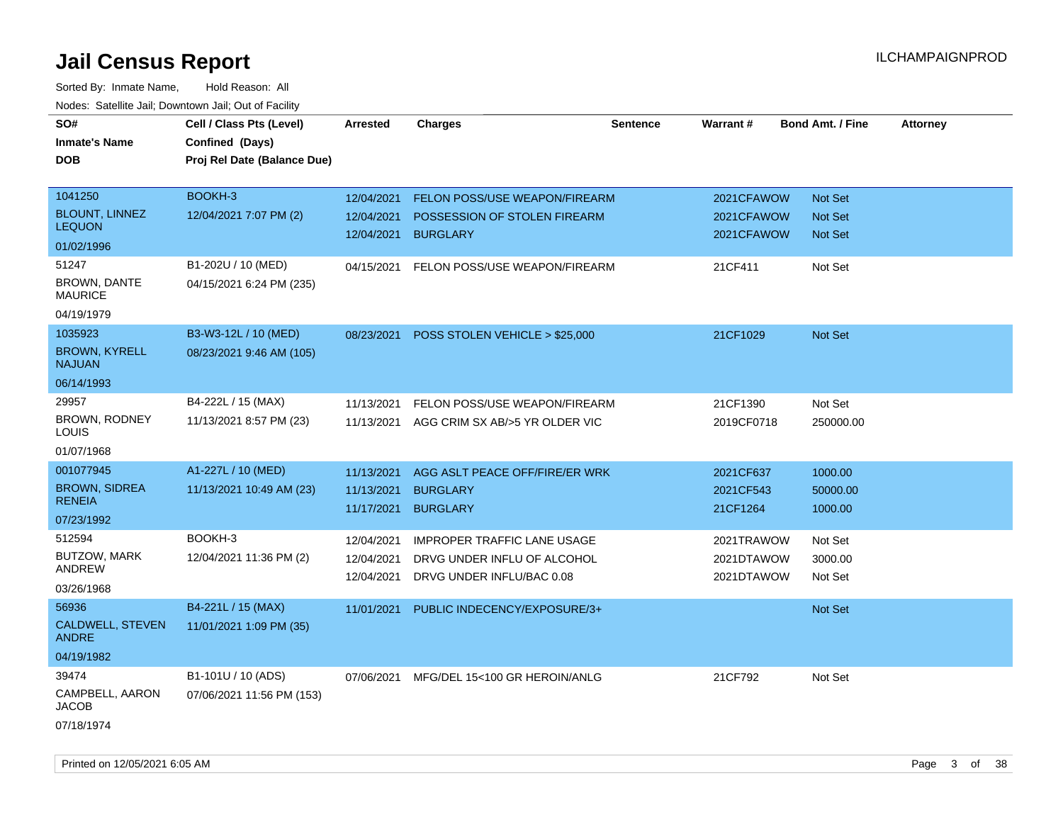| SO#<br><b>Inmate's Name</b><br><b>DOB</b>                           | Cell / Class Pts (Level)<br>Confined (Days)<br>Proj Rel Date (Balance Due) | <b>Arrested</b>                        | <b>Charges</b>                                                                                 | <b>Sentence</b> | Warrant#                               | <b>Bond Amt. / Fine</b>                     | <b>Attorney</b> |
|---------------------------------------------------------------------|----------------------------------------------------------------------------|----------------------------------------|------------------------------------------------------------------------------------------------|-----------------|----------------------------------------|---------------------------------------------|-----------------|
| 1041250<br><b>BLOUNT, LINNEZ</b><br><b>LEQUON</b>                   | BOOKH-3<br>12/04/2021 7:07 PM (2)                                          | 12/04/2021<br>12/04/2021<br>12/04/2021 | FELON POSS/USE WEAPON/FIREARM<br>POSSESSION OF STOLEN FIREARM<br><b>BURGLARY</b>               |                 | 2021CFAWOW<br>2021CFAWOW<br>2021CFAWOW | Not Set<br><b>Not Set</b><br><b>Not Set</b> |                 |
| 01/02/1996<br>51247<br>BROWN, DANTE<br><b>MAURICE</b><br>04/19/1979 | B1-202U / 10 (MED)<br>04/15/2021 6:24 PM (235)                             | 04/15/2021                             | FELON POSS/USE WEAPON/FIREARM                                                                  |                 | 21CF411                                | Not Set                                     |                 |
| 1035923<br><b>BROWN, KYRELL</b><br><b>NAJUAN</b><br>06/14/1993      | B3-W3-12L / 10 (MED)<br>08/23/2021 9:46 AM (105)                           | 08/23/2021                             | POSS STOLEN VEHICLE > \$25,000                                                                 |                 | 21CF1029                               | <b>Not Set</b>                              |                 |
| 29957<br>BROWN, RODNEY<br>LOUIS<br>01/07/1968                       | B4-222L / 15 (MAX)<br>11/13/2021 8:57 PM (23)                              | 11/13/2021                             | FELON POSS/USE WEAPON/FIREARM<br>11/13/2021 AGG CRIM SX AB/>5 YR OLDER VIC                     |                 | 21CF1390<br>2019CF0718                 | Not Set<br>250000.00                        |                 |
| 001077945<br><b>BROWN, SIDREA</b><br><b>RENEIA</b><br>07/23/1992    | A1-227L / 10 (MED)<br>11/13/2021 10:49 AM (23)                             | 11/13/2021<br>11/13/2021<br>11/17/2021 | AGG ASLT PEACE OFF/FIRE/ER WRK<br><b>BURGLARY</b><br><b>BURGLARY</b>                           |                 | 2021CF637<br>2021CF543<br>21CF1264     | 1000.00<br>50000.00<br>1000.00              |                 |
| 512594<br>BUTZOW, MARK<br>ANDREW<br>03/26/1968                      | BOOKH-3<br>12/04/2021 11:36 PM (2)                                         | 12/04/2021<br>12/04/2021<br>12/04/2021 | <b>IMPROPER TRAFFIC LANE USAGE</b><br>DRVG UNDER INFLU OF ALCOHOL<br>DRVG UNDER INFLU/BAC 0.08 |                 | 2021TRAWOW<br>2021DTAWOW<br>2021DTAWOW | Not Set<br>3000.00<br>Not Set               |                 |
| 56936<br><b>CALDWELL, STEVEN</b><br><b>ANDRE</b><br>04/19/1982      | B4-221L / 15 (MAX)<br>11/01/2021 1:09 PM (35)                              | 11/01/2021                             | PUBLIC INDECENCY/EXPOSURE/3+                                                                   |                 |                                        | <b>Not Set</b>                              |                 |
| 39474<br>CAMPBELL, AARON<br><b>JACOB</b><br>07/18/1974              | B1-101U / 10 (ADS)<br>07/06/2021 11:56 PM (153)                            |                                        | 07/06/2021 MFG/DEL 15<100 GR HEROIN/ANLG                                                       |                 | 21CF792                                | Not Set                                     |                 |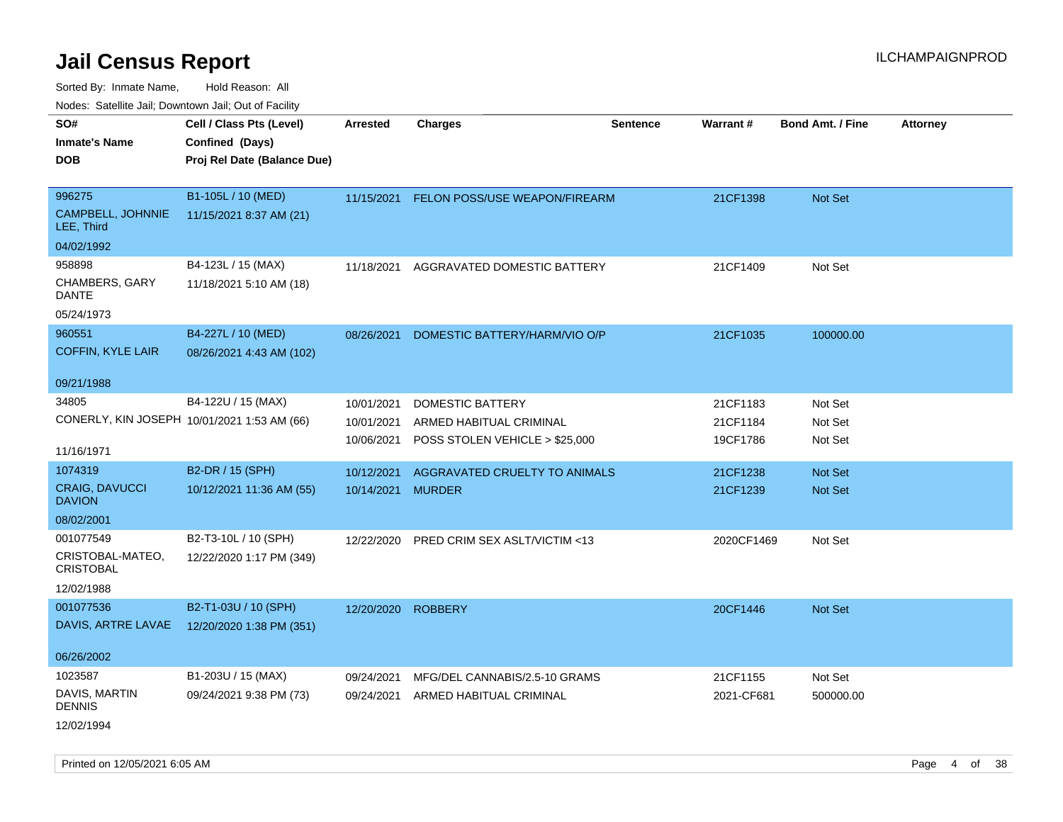Sorted By: Inmate Name, Hold Reason: All

| Nodes: Satellite Jail: Downtown Jail: Out of Facility |                                             |                 |                                |                 |            |                         |                 |
|-------------------------------------------------------|---------------------------------------------|-----------------|--------------------------------|-----------------|------------|-------------------------|-----------------|
| SO#                                                   | Cell / Class Pts (Level)                    | <b>Arrested</b> | <b>Charges</b>                 | <b>Sentence</b> | Warrant#   | <b>Bond Amt. / Fine</b> | <b>Attorney</b> |
| <b>Inmate's Name</b>                                  | Confined (Days)                             |                 |                                |                 |            |                         |                 |
| <b>DOB</b>                                            | Proj Rel Date (Balance Due)                 |                 |                                |                 |            |                         |                 |
|                                                       |                                             |                 |                                |                 |            |                         |                 |
| 996275                                                | B1-105L / 10 (MED)                          | 11/15/2021      | FELON POSS/USE WEAPON/FIREARM  |                 | 21CF1398   | <b>Not Set</b>          |                 |
| CAMPBELL, JOHNNIE<br>LEE, Third                       | 11/15/2021 8:37 AM (21)                     |                 |                                |                 |            |                         |                 |
| 04/02/1992                                            |                                             |                 |                                |                 |            |                         |                 |
| 958898                                                | B4-123L / 15 (MAX)                          | 11/18/2021      | AGGRAVATED DOMESTIC BATTERY    |                 | 21CF1409   | Not Set                 |                 |
| CHAMBERS, GARY<br><b>DANTE</b>                        | 11/18/2021 5:10 AM (18)                     |                 |                                |                 |            |                         |                 |
| 05/24/1973                                            |                                             |                 |                                |                 |            |                         |                 |
| 960551                                                | B4-227L / 10 (MED)                          | 08/26/2021      | DOMESTIC BATTERY/HARM/VIO O/P  |                 | 21CF1035   | 100000.00               |                 |
| <b>COFFIN, KYLE LAIR</b>                              | 08/26/2021 4:43 AM (102)                    |                 |                                |                 |            |                         |                 |
|                                                       |                                             |                 |                                |                 |            |                         |                 |
| 09/21/1988                                            |                                             |                 |                                |                 |            |                         |                 |
| 34805                                                 | B4-122U / 15 (MAX)                          | 10/01/2021      | DOMESTIC BATTERY               |                 | 21CF1183   | Not Set                 |                 |
|                                                       | CONERLY, KIN JOSEPH 10/01/2021 1:53 AM (66) | 10/01/2021      | ARMED HABITUAL CRIMINAL        |                 | 21CF1184   | Not Set                 |                 |
| 11/16/1971                                            |                                             | 10/06/2021      | POSS STOLEN VEHICLE > \$25,000 |                 | 19CF1786   | Not Set                 |                 |
| 1074319                                               |                                             |                 |                                |                 |            |                         |                 |
|                                                       | B2-DR / 15 (SPH)                            | 10/12/2021      | AGGRAVATED CRUELTY TO ANIMALS  |                 | 21CF1238   | Not Set                 |                 |
| <b>CRAIG, DAVUCCI</b><br><b>DAVION</b>                | 10/12/2021 11:36 AM (55)                    | 10/14/2021      | <b>MURDER</b>                  |                 | 21CF1239   | Not Set                 |                 |
| 08/02/2001                                            |                                             |                 |                                |                 |            |                         |                 |
| 001077549                                             | B2-T3-10L / 10 (SPH)                        | 12/22/2020      | PRED CRIM SEX ASLT/VICTIM <13  |                 | 2020CF1469 | Not Set                 |                 |
| CRISTOBAL-MATEO,                                      | 12/22/2020 1:17 PM (349)                    |                 |                                |                 |            |                         |                 |
| <b>CRISTOBAL</b>                                      |                                             |                 |                                |                 |            |                         |                 |
| 12/02/1988                                            |                                             |                 |                                |                 |            |                         |                 |
| 001077536                                             | B2-T1-03U / 10 (SPH)                        | 12/20/2020      | <b>ROBBERY</b>                 |                 | 20CF1446   | Not Set                 |                 |
| DAVIS, ARTRE LAVAE                                    | 12/20/2020 1:38 PM (351)                    |                 |                                |                 |            |                         |                 |
|                                                       |                                             |                 |                                |                 |            |                         |                 |
| 06/26/2002                                            |                                             |                 |                                |                 |            |                         |                 |
| 1023587                                               | B1-203U / 15 (MAX)                          | 09/24/2021      | MFG/DEL CANNABIS/2.5-10 GRAMS  |                 | 21CF1155   | Not Set                 |                 |
| DAVIS, MARTIN<br><b>DENNIS</b>                        | 09/24/2021 9:38 PM (73)                     | 09/24/2021      | ARMED HABITUAL CRIMINAL        |                 | 2021-CF681 | 500000.00               |                 |
| 12/02/1994                                            |                                             |                 |                                |                 |            |                         |                 |

Printed on 12/05/2021 6:05 AM **Page 4 of 38**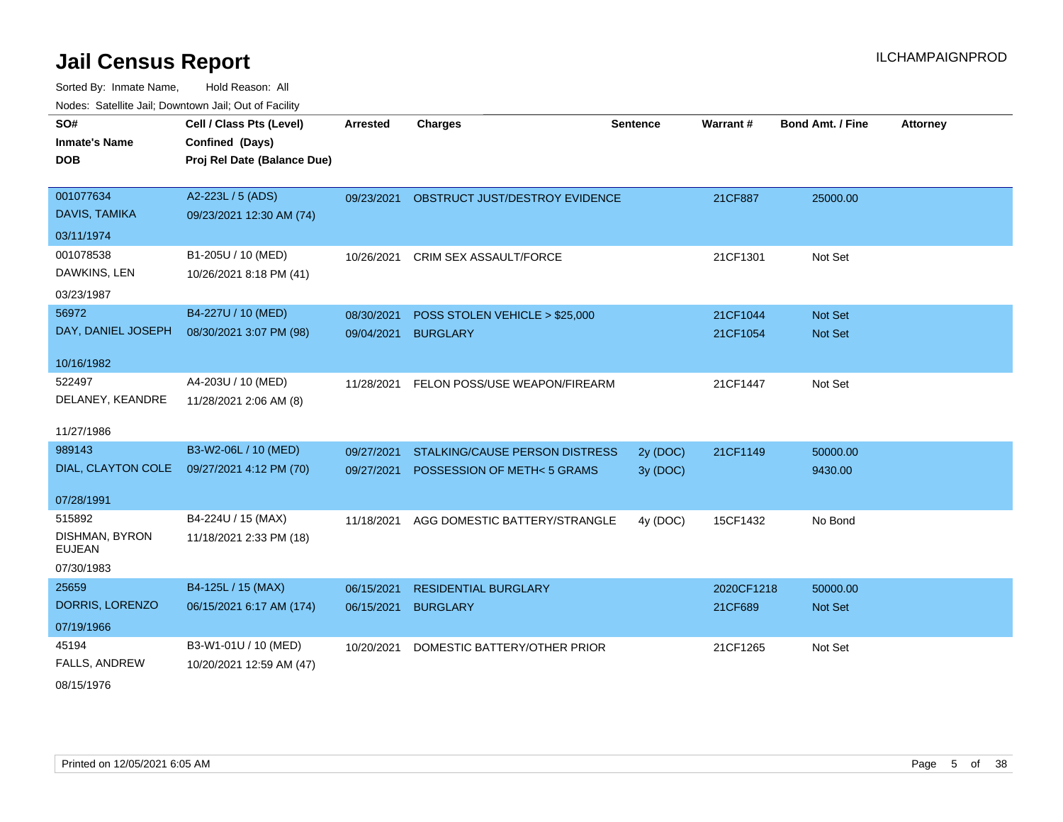| SO#                             | Cell / Class Pts (Level)    | <b>Arrested</b> | <b>Charges</b>                            | <b>Sentence</b> | <b>Warrant#</b> | <b>Bond Amt. / Fine</b> | <b>Attorney</b> |
|---------------------------------|-----------------------------|-----------------|-------------------------------------------|-----------------|-----------------|-------------------------|-----------------|
| <b>Inmate's Name</b>            | Confined (Days)             |                 |                                           |                 |                 |                         |                 |
| <b>DOB</b>                      | Proj Rel Date (Balance Due) |                 |                                           |                 |                 |                         |                 |
|                                 |                             |                 |                                           |                 |                 |                         |                 |
| 001077634                       | A2-223L / 5 (ADS)           |                 | 09/23/2021 OBSTRUCT JUST/DESTROY EVIDENCE |                 | 21CF887         | 25000.00                |                 |
| DAVIS, TAMIKA                   | 09/23/2021 12:30 AM (74)    |                 |                                           |                 |                 |                         |                 |
| 03/11/1974                      |                             |                 |                                           |                 |                 |                         |                 |
| 001078538                       | B1-205U / 10 (MED)          | 10/26/2021      | <b>CRIM SEX ASSAULT/FORCE</b>             |                 | 21CF1301        | Not Set                 |                 |
| DAWKINS, LEN                    | 10/26/2021 8:18 PM (41)     |                 |                                           |                 |                 |                         |                 |
| 03/23/1987                      |                             |                 |                                           |                 |                 |                         |                 |
| 56972                           | B4-227U / 10 (MED)          | 08/30/2021      | POSS STOLEN VEHICLE > \$25,000            |                 | 21CF1044        | Not Set                 |                 |
| DAY, DANIEL JOSEPH              | 08/30/2021 3:07 PM (98)     | 09/04/2021      | <b>BURGLARY</b>                           |                 | 21CF1054        | Not Set                 |                 |
|                                 |                             |                 |                                           |                 |                 |                         |                 |
| 10/16/1982                      |                             |                 |                                           |                 |                 |                         |                 |
| 522497                          | A4-203U / 10 (MED)          | 11/28/2021      | FELON POSS/USE WEAPON/FIREARM             |                 | 21CF1447        | Not Set                 |                 |
| DELANEY, KEANDRE                | 11/28/2021 2:06 AM (8)      |                 |                                           |                 |                 |                         |                 |
|                                 |                             |                 |                                           |                 |                 |                         |                 |
| 11/27/1986                      |                             |                 |                                           |                 |                 |                         |                 |
| 989143                          | B3-W2-06L / 10 (MED)        | 09/27/2021      | STALKING/CAUSE PERSON DISTRESS            | 2y (DOC)        | 21CF1149        | 50000.00                |                 |
| DIAL, CLAYTON COLE              | 09/27/2021 4:12 PM (70)     |                 | 09/27/2021 POSSESSION OF METH<5 GRAMS     | 3y (DOC)        |                 | 9430.00                 |                 |
| 07/28/1991                      |                             |                 |                                           |                 |                 |                         |                 |
| 515892                          | B4-224U / 15 (MAX)          | 11/18/2021      | AGG DOMESTIC BATTERY/STRANGLE             | 4y (DOC)        | 15CF1432        | No Bond                 |                 |
| DISHMAN, BYRON<br><b>EUJEAN</b> | 11/18/2021 2:33 PM (18)     |                 |                                           |                 |                 |                         |                 |
| 07/30/1983                      |                             |                 |                                           |                 |                 |                         |                 |
| 25659                           | B4-125L / 15 (MAX)          | 06/15/2021      | <b>RESIDENTIAL BURGLARY</b>               |                 | 2020CF1218      | 50000.00                |                 |
| DORRIS, LORENZO                 | 06/15/2021 6:17 AM (174)    | 06/15/2021      | <b>BURGLARY</b>                           |                 | 21CF689         | <b>Not Set</b>          |                 |
| 07/19/1966                      |                             |                 |                                           |                 |                 |                         |                 |
| 45194                           | B3-W1-01U / 10 (MED)        | 10/20/2021      | DOMESTIC BATTERY/OTHER PRIOR              |                 | 21CF1265        | Not Set                 |                 |
| <b>FALLS, ANDREW</b>            | 10/20/2021 12:59 AM (47)    |                 |                                           |                 |                 |                         |                 |
| 08/15/1976                      |                             |                 |                                           |                 |                 |                         |                 |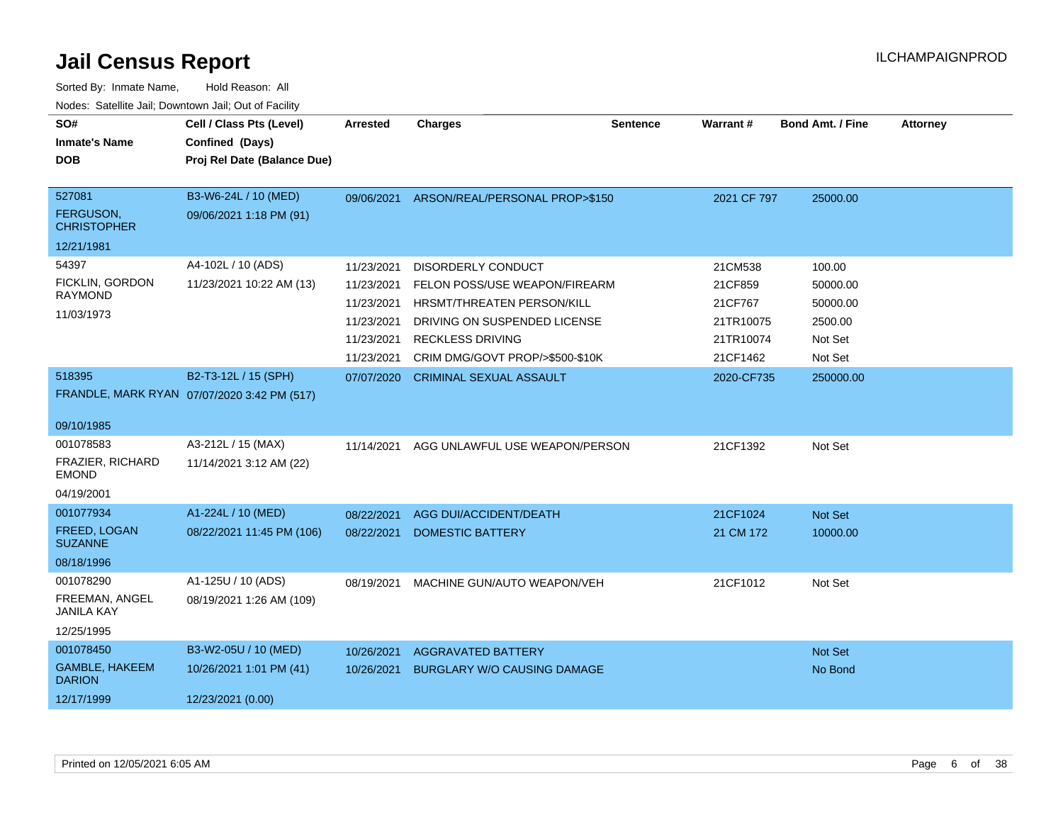| SO#<br><b>Inmate's Name</b><br><b>DOB</b>                      | Cell / Class Pts (Level)<br>Confined (Days)<br>Proj Rel Date (Balance Due) | <b>Arrested</b>                                                    | <b>Charges</b>                                                                                                                                      | <b>Sentence</b> | Warrant#                                                | <b>Bond Amt. / Fine</b>                              | <b>Attorney</b> |
|----------------------------------------------------------------|----------------------------------------------------------------------------|--------------------------------------------------------------------|-----------------------------------------------------------------------------------------------------------------------------------------------------|-----------------|---------------------------------------------------------|------------------------------------------------------|-----------------|
| 527081<br>FERGUSON,<br><b>CHRISTOPHER</b>                      | B3-W6-24L / 10 (MED)<br>09/06/2021 1:18 PM (91)                            | 09/06/2021                                                         | ARSON/REAL/PERSONAL PROP>\$150                                                                                                                      |                 | 2021 CF 797                                             | 25000.00                                             |                 |
| 12/21/1981                                                     |                                                                            |                                                                    |                                                                                                                                                     |                 |                                                         |                                                      |                 |
| 54397<br>FICKLIN, GORDON<br><b>RAYMOND</b><br>11/03/1973       | A4-102L / 10 (ADS)<br>11/23/2021 10:22 AM (13)                             | 11/23/2021<br>11/23/2021<br>11/23/2021<br>11/23/2021<br>11/23/2021 | <b>DISORDERLY CONDUCT</b><br>FELON POSS/USE WEAPON/FIREARM<br>HRSMT/THREATEN PERSON/KILL<br>DRIVING ON SUSPENDED LICENSE<br><b>RECKLESS DRIVING</b> |                 | 21CM538<br>21CF859<br>21CF767<br>21TR10075<br>21TR10074 | 100.00<br>50000.00<br>50000.00<br>2500.00<br>Not Set |                 |
| 518395<br>09/10/1985                                           | B2-T3-12L / 15 (SPH)<br>FRANDLE, MARK RYAN 07/07/2020 3:42 PM (517)        | 11/23/2021<br>07/07/2020                                           | CRIM DMG/GOVT PROP/>\$500-\$10K<br><b>CRIMINAL SEXUAL ASSAULT</b>                                                                                   |                 | 21CF1462<br>2020-CF735                                  | Not Set<br>250000.00                                 |                 |
| 001078583<br>FRAZIER, RICHARD<br><b>EMOND</b><br>04/19/2001    | A3-212L / 15 (MAX)<br>11/14/2021 3:12 AM (22)                              | 11/14/2021                                                         | AGG UNLAWFUL USE WEAPON/PERSON                                                                                                                      |                 | 21CF1392                                                | Not Set                                              |                 |
| 001077934<br>FREED, LOGAN<br><b>SUZANNE</b><br>08/18/1996      | A1-224L / 10 (MED)<br>08/22/2021 11:45 PM (106)                            | 08/22/2021<br>08/22/2021                                           | AGG DUI/ACCIDENT/DEATH<br><b>DOMESTIC BATTERY</b>                                                                                                   |                 | 21CF1024<br>21 CM 172                                   | Not Set<br>10000.00                                  |                 |
| 001078290<br>FREEMAN, ANGEL<br><b>JANILA KAY</b><br>12/25/1995 | A1-125U / 10 (ADS)<br>08/19/2021 1:26 AM (109)                             | 08/19/2021                                                         | MACHINE GUN/AUTO WEAPON/VEH                                                                                                                         |                 | 21CF1012                                                | Not Set                                              |                 |
| 001078450<br>GAMBLE, HAKEEM<br><b>DARION</b><br>12/17/1999     | B3-W2-05U / 10 (MED)<br>10/26/2021 1:01 PM (41)<br>12/23/2021 (0.00)       | 10/26/2021<br>10/26/2021                                           | <b>AGGRAVATED BATTERY</b><br><b>BURGLARY W/O CAUSING DAMAGE</b>                                                                                     |                 |                                                         | Not Set<br>No Bond                                   |                 |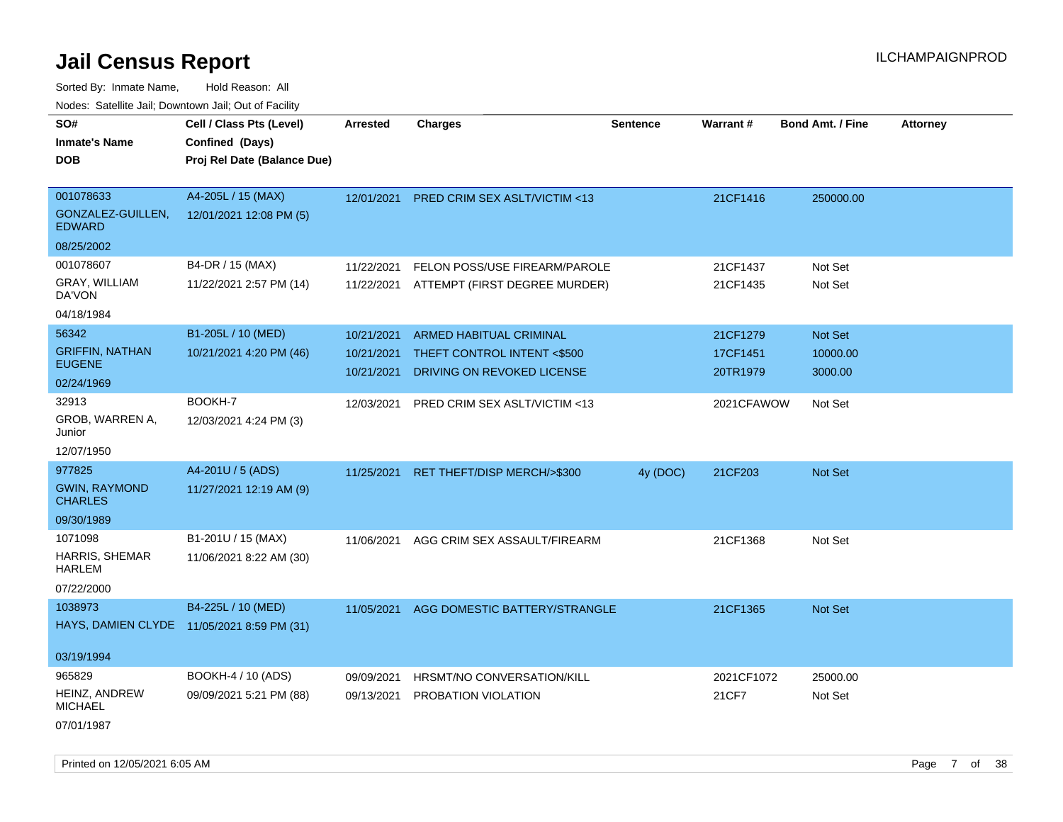| SO#                                    | Cell / Class Pts (Level)                   | <b>Arrested</b> | Charges                                  | <b>Sentence</b> | Warrant#   | <b>Bond Amt. / Fine</b> | <b>Attorney</b> |
|----------------------------------------|--------------------------------------------|-----------------|------------------------------------------|-----------------|------------|-------------------------|-----------------|
| <b>Inmate's Name</b>                   | Confined (Days)                            |                 |                                          |                 |            |                         |                 |
| <b>DOB</b>                             | Proj Rel Date (Balance Due)                |                 |                                          |                 |            |                         |                 |
|                                        |                                            |                 |                                          |                 |            |                         |                 |
| 001078633                              | A4-205L / 15 (MAX)                         | 12/01/2021      | <b>PRED CRIM SEX ASLT/VICTIM &lt;13</b>  |                 | 21CF1416   | 250000.00               |                 |
| GONZALEZ-GUILLEN,<br><b>EDWARD</b>     | 12/01/2021 12:08 PM (5)                    |                 |                                          |                 |            |                         |                 |
| 08/25/2002                             |                                            |                 |                                          |                 |            |                         |                 |
| 001078607                              | B4-DR / 15 (MAX)                           | 11/22/2021      | FELON POSS/USE FIREARM/PAROLE            |                 | 21CF1437   | Not Set                 |                 |
| GRAY, WILLIAM<br>DA'VON                | 11/22/2021 2:57 PM (14)                    |                 | 11/22/2021 ATTEMPT (FIRST DEGREE MURDER) |                 | 21CF1435   | Not Set                 |                 |
| 04/18/1984                             |                                            |                 |                                          |                 |            |                         |                 |
| 56342                                  | B1-205L / 10 (MED)                         | 10/21/2021      | ARMED HABITUAL CRIMINAL                  |                 | 21CF1279   | Not Set                 |                 |
| <b>GRIFFIN, NATHAN</b>                 | 10/21/2021 4:20 PM (46)                    | 10/21/2021      | THEFT CONTROL INTENT <\$500              |                 | 17CF1451   | 10000.00                |                 |
| <b>EUGENE</b>                          |                                            | 10/21/2021      | DRIVING ON REVOKED LICENSE               |                 | 20TR1979   | 3000.00                 |                 |
| 02/24/1969                             |                                            |                 |                                          |                 |            |                         |                 |
| 32913                                  | BOOKH-7                                    | 12/03/2021      | PRED CRIM SEX ASLT/VICTIM <13            |                 | 2021CFAWOW | Not Set                 |                 |
| GROB, WARREN A,<br>Junior              | 12/03/2021 4:24 PM (3)                     |                 |                                          |                 |            |                         |                 |
| 12/07/1950                             |                                            |                 |                                          |                 |            |                         |                 |
| 977825                                 | A4-201U / 5 (ADS)                          | 11/25/2021      | RET THEFT/DISP MERCH/>\$300              | 4y (DOC)        | 21CF203    | Not Set                 |                 |
| <b>GWIN, RAYMOND</b><br><b>CHARLES</b> | 11/27/2021 12:19 AM (9)                    |                 |                                          |                 |            |                         |                 |
| 09/30/1989                             |                                            |                 |                                          |                 |            |                         |                 |
| 1071098                                | B1-201U / 15 (MAX)                         | 11/06/2021      | AGG CRIM SEX ASSAULT/FIREARM             |                 | 21CF1368   | Not Set                 |                 |
| HARRIS, SHEMAR<br><b>HARLEM</b>        | 11/06/2021 8:22 AM (30)                    |                 |                                          |                 |            |                         |                 |
| 07/22/2000                             |                                            |                 |                                          |                 |            |                         |                 |
| 1038973                                | B4-225L / 10 (MED)                         |                 | 11/05/2021 AGG DOMESTIC BATTERY/STRANGLE |                 | 21CF1365   | Not Set                 |                 |
|                                        | HAYS, DAMIEN CLYDE 11/05/2021 8:59 PM (31) |                 |                                          |                 |            |                         |                 |
| 03/19/1994                             |                                            |                 |                                          |                 |            |                         |                 |
| 965829                                 | BOOKH-4 / 10 (ADS)                         | 09/09/2021      | HRSMT/NO CONVERSATION/KILL               |                 | 2021CF1072 | 25000.00                |                 |
| HEINZ, ANDREW<br><b>MICHAEL</b>        | 09/09/2021 5:21 PM (88)                    | 09/13/2021      | PROBATION VIOLATION                      |                 | 21CF7      | Not Set                 |                 |
| 07/01/1987                             |                                            |                 |                                          |                 |            |                         |                 |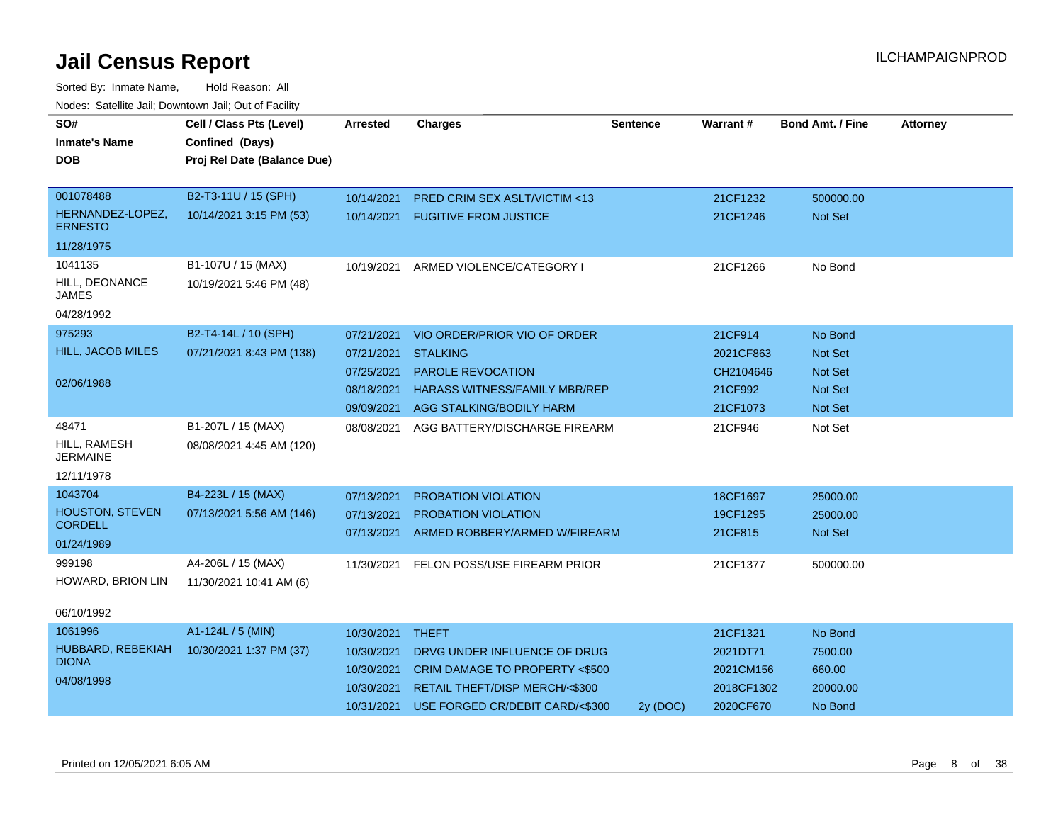| SO#<br><b>Inmate's Name</b><br><b>DOB</b> | Cell / Class Pts (Level)<br>Confined (Days)<br>Proj Rel Date (Balance Due) | <b>Arrested</b> | <b>Charges</b>                           | <b>Sentence</b> | <b>Warrant#</b> | <b>Bond Amt. / Fine</b> | <b>Attorney</b> |
|-------------------------------------------|----------------------------------------------------------------------------|-----------------|------------------------------------------|-----------------|-----------------|-------------------------|-----------------|
|                                           |                                                                            |                 |                                          |                 |                 |                         |                 |
| 001078488                                 | B2-T3-11U / 15 (SPH)                                                       | 10/14/2021      | <b>PRED CRIM SEX ASLT/VICTIM &lt;13</b>  |                 | 21CF1232        | 500000.00               |                 |
| HERNANDEZ-LOPEZ,<br><b>ERNESTO</b>        | 10/14/2021 3:15 PM (53)                                                    | 10/14/2021      | <b>FUGITIVE FROM JUSTICE</b>             |                 | 21CF1246        | Not Set                 |                 |
| 11/28/1975                                |                                                                            |                 |                                          |                 |                 |                         |                 |
| 1041135                                   | B1-107U / 15 (MAX)                                                         | 10/19/2021      | ARMED VIOLENCE/CATEGORY I                |                 | 21CF1266        | No Bond                 |                 |
| HILL, DEONANCE<br><b>JAMES</b>            | 10/19/2021 5:46 PM (48)                                                    |                 |                                          |                 |                 |                         |                 |
| 04/28/1992                                |                                                                            |                 |                                          |                 |                 |                         |                 |
| 975293                                    | B2-T4-14L / 10 (SPH)                                                       | 07/21/2021      | VIO ORDER/PRIOR VIO OF ORDER             |                 | 21CF914         | No Bond                 |                 |
| HILL, JACOB MILES                         | 07/21/2021 8:43 PM (138)                                                   | 07/21/2021      | <b>STALKING</b>                          |                 | 2021CF863       | <b>Not Set</b>          |                 |
|                                           |                                                                            | 07/25/2021      | <b>PAROLE REVOCATION</b>                 |                 | CH2104646       | Not Set                 |                 |
| 02/06/1988                                |                                                                            | 08/18/2021      | <b>HARASS WITNESS/FAMILY MBR/REP</b>     |                 | 21CF992         | <b>Not Set</b>          |                 |
|                                           |                                                                            | 09/09/2021      | AGG STALKING/BODILY HARM                 |                 | 21CF1073        | Not Set                 |                 |
| 48471                                     | B1-207L / 15 (MAX)                                                         | 08/08/2021      | AGG BATTERY/DISCHARGE FIREARM            |                 | 21CF946         | Not Set                 |                 |
| HILL, RAMESH<br><b>JERMAINE</b>           | 08/08/2021 4:45 AM (120)                                                   |                 |                                          |                 |                 |                         |                 |
| 12/11/1978                                |                                                                            |                 |                                          |                 |                 |                         |                 |
| 1043704                                   | B4-223L / 15 (MAX)                                                         | 07/13/2021      | <b>PROBATION VIOLATION</b>               |                 | 18CF1697        | 25000.00                |                 |
| HOUSTON, STEVEN                           | 07/13/2021 5:56 AM (146)                                                   | 07/13/2021      | PROBATION VIOLATION                      |                 | 19CF1295        | 25000.00                |                 |
| <b>CORDELL</b><br>01/24/1989              |                                                                            | 07/13/2021      | ARMED ROBBERY/ARMED W/FIREARM            |                 | 21CF815         | Not Set                 |                 |
| 999198                                    | A4-206L / 15 (MAX)                                                         |                 |                                          |                 |                 |                         |                 |
| HOWARD, BRION LIN                         |                                                                            | 11/30/2021      | FELON POSS/USE FIREARM PRIOR             |                 | 21CF1377        | 500000.00               |                 |
|                                           | 11/30/2021 10:41 AM (6)                                                    |                 |                                          |                 |                 |                         |                 |
| 06/10/1992                                |                                                                            |                 |                                          |                 |                 |                         |                 |
| 1061996                                   | A1-124L / 5 (MIN)                                                          | 10/30/2021      | <b>THEFT</b>                             |                 | 21CF1321        | No Bond                 |                 |
| HUBBARD, REBEKIAH                         | 10/30/2021 1:37 PM (37)                                                    | 10/30/2021      | DRVG UNDER INFLUENCE OF DRUG             |                 | 2021DT71        | 7500.00                 |                 |
| <b>DIONA</b>                              |                                                                            | 10/30/2021      | <b>CRIM DAMAGE TO PROPERTY &lt;\$500</b> |                 | 2021CM156       | 660.00                  |                 |
| 04/08/1998                                |                                                                            | 10/30/2021      | RETAIL THEFT/DISP MERCH/<\$300           |                 | 2018CF1302      | 20000.00                |                 |
|                                           |                                                                            | 10/31/2021      | USE FORGED CR/DEBIT CARD/<\$300          | 2y (DOC)        | 2020CF670       | No Bond                 |                 |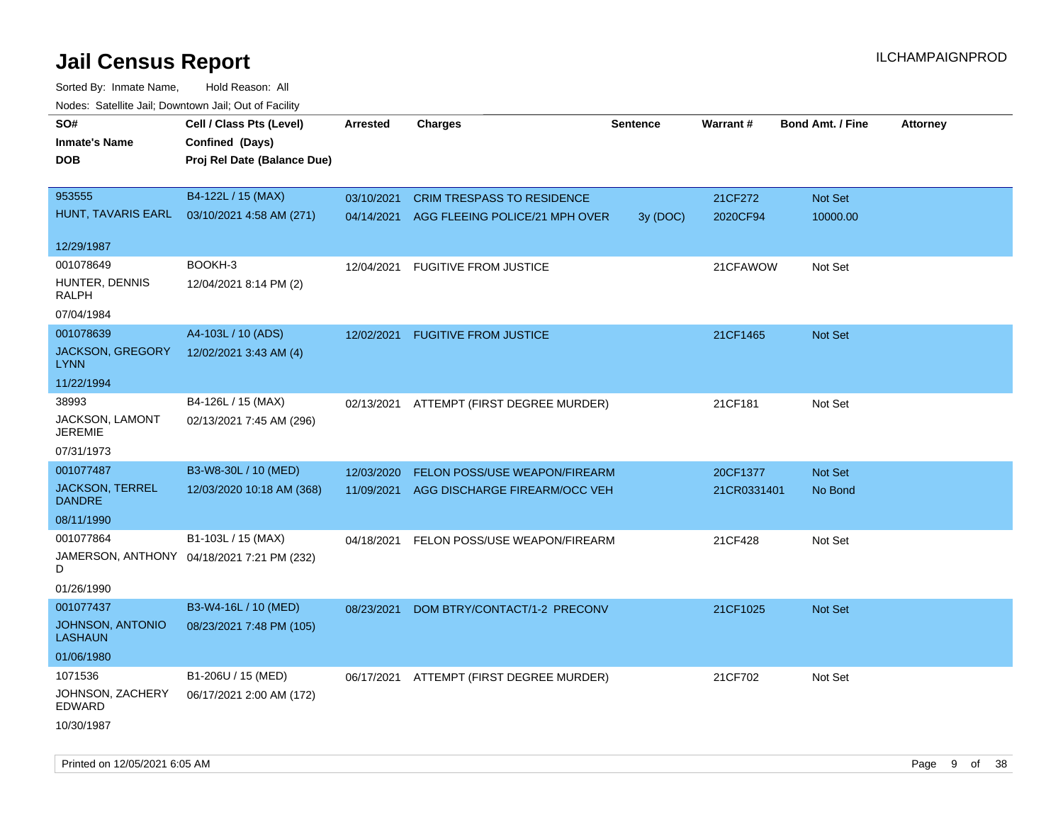| roaco. Catolino dall, Downtown dall, Out of Fability |                                            |                 |                                           |                 |             |                         |                 |
|------------------------------------------------------|--------------------------------------------|-----------------|-------------------------------------------|-----------------|-------------|-------------------------|-----------------|
| SO#                                                  | Cell / Class Pts (Level)                   | <b>Arrested</b> | <b>Charges</b>                            | <b>Sentence</b> | Warrant#    | <b>Bond Amt. / Fine</b> | <b>Attorney</b> |
| <b>Inmate's Name</b>                                 | Confined (Days)                            |                 |                                           |                 |             |                         |                 |
| <b>DOB</b>                                           | Proj Rel Date (Balance Due)                |                 |                                           |                 |             |                         |                 |
|                                                      |                                            |                 |                                           |                 |             |                         |                 |
| 953555                                               | B4-122L / 15 (MAX)                         | 03/10/2021      | <b>CRIM TRESPASS TO RESIDENCE</b>         |                 | 21CF272     | Not Set                 |                 |
| HUNT, TAVARIS EARL                                   | 03/10/2021 4:58 AM (271)                   |                 | 04/14/2021 AGG FLEEING POLICE/21 MPH OVER | 3y (DOC)        | 2020CF94    | 10000.00                |                 |
|                                                      |                                            |                 |                                           |                 |             |                         |                 |
| 12/29/1987                                           |                                            |                 |                                           |                 |             |                         |                 |
| 001078649                                            | BOOKH-3                                    | 12/04/2021      | <b>FUGITIVE FROM JUSTICE</b>              |                 | 21CFAWOW    | Not Set                 |                 |
| HUNTER, DENNIS<br>RALPH                              | 12/04/2021 8:14 PM (2)                     |                 |                                           |                 |             |                         |                 |
| 07/04/1984                                           |                                            |                 |                                           |                 |             |                         |                 |
| 001078639                                            | A4-103L / 10 (ADS)                         | 12/02/2021      | <b>FUGITIVE FROM JUSTICE</b>              |                 | 21CF1465    | Not Set                 |                 |
| <b>JACKSON, GREGORY</b><br><b>LYNN</b>               | 12/02/2021 3:43 AM (4)                     |                 |                                           |                 |             |                         |                 |
| 11/22/1994                                           |                                            |                 |                                           |                 |             |                         |                 |
| 38993                                                | B4-126L / 15 (MAX)                         | 02/13/2021      | ATTEMPT (FIRST DEGREE MURDER)             |                 | 21CF181     | Not Set                 |                 |
| JACKSON, LAMONT<br><b>JEREMIE</b>                    | 02/13/2021 7:45 AM (296)                   |                 |                                           |                 |             |                         |                 |
| 07/31/1973                                           |                                            |                 |                                           |                 |             |                         |                 |
| 001077487                                            | B3-W8-30L / 10 (MED)                       | 12/03/2020      | FELON POSS/USE WEAPON/FIREARM             |                 | 20CF1377    | Not Set                 |                 |
| <b>JACKSON, TERREL</b><br><b>DANDRE</b>              | 12/03/2020 10:18 AM (368)                  | 11/09/2021      | AGG DISCHARGE FIREARM/OCC VEH             |                 | 21CR0331401 | No Bond                 |                 |
| 08/11/1990                                           |                                            |                 |                                           |                 |             |                         |                 |
| 001077864                                            | B1-103L / 15 (MAX)                         | 04/18/2021      | FELON POSS/USE WEAPON/FIREARM             |                 | 21CF428     | Not Set                 |                 |
| D                                                    | JAMERSON, ANTHONY 04/18/2021 7:21 PM (232) |                 |                                           |                 |             |                         |                 |
| 01/26/1990                                           |                                            |                 |                                           |                 |             |                         |                 |
| 001077437                                            | B3-W4-16L / 10 (MED)                       | 08/23/2021      | DOM BTRY/CONTACT/1-2 PRECONV              |                 | 21CF1025    | Not Set                 |                 |
| JOHNSON, ANTONIO<br><b>LASHAUN</b>                   | 08/23/2021 7:48 PM (105)                   |                 |                                           |                 |             |                         |                 |
| 01/06/1980                                           |                                            |                 |                                           |                 |             |                         |                 |
| 1071536                                              | B1-206U / 15 (MED)                         |                 | 06/17/2021 ATTEMPT (FIRST DEGREE MURDER)  |                 | 21CF702     | Not Set                 |                 |
| JOHNSON, ZACHERY<br>EDWARD                           | 06/17/2021 2:00 AM (172)                   |                 |                                           |                 |             |                         |                 |
| 10/30/1987                                           |                                            |                 |                                           |                 |             |                         |                 |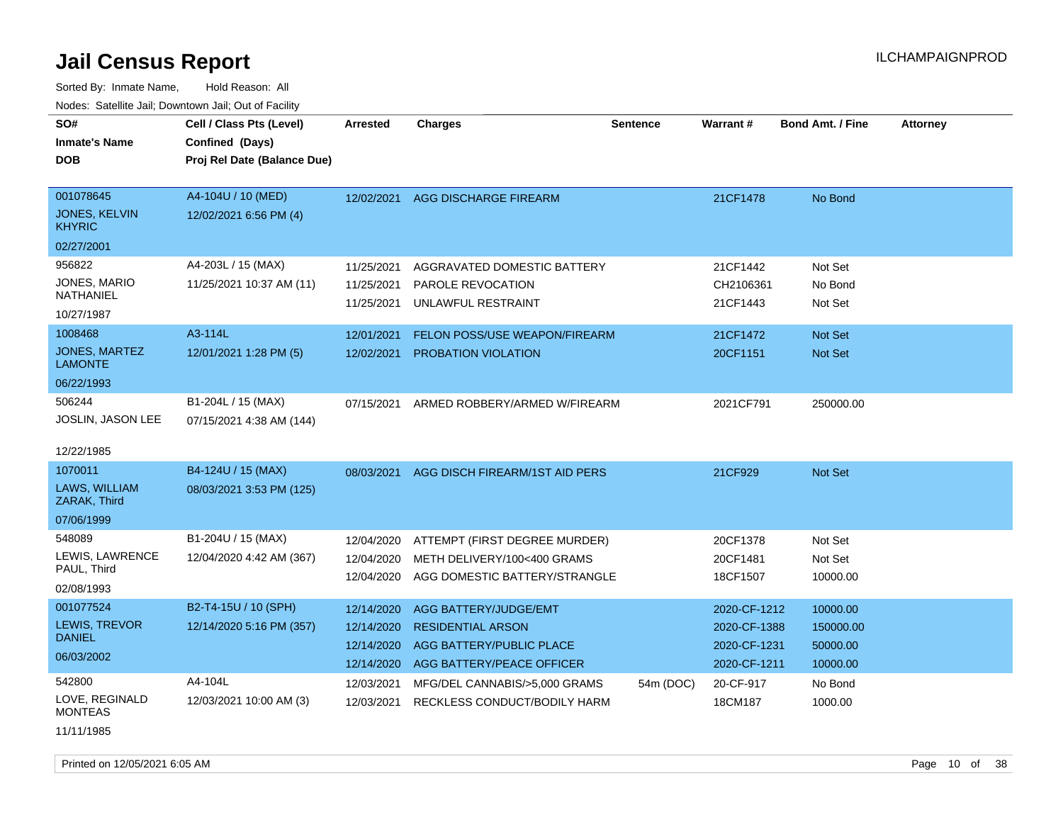Sorted By: Inmate Name, Hold Reason: All Nodes: Satellite Jail; Downtown Jail; Out of Facility

| SO#<br><b>Inmate's Name</b><br>DOB                 | Cell / Class Pts (Level)<br>Confined (Days)<br>Proj Rel Date (Balance Due) | Arrested                 | <b>Charges</b>                          | <b>Sentence</b> | Warrant#              | <b>Bond Amt. / Fine</b> | <b>Attorney</b> |
|----------------------------------------------------|----------------------------------------------------------------------------|--------------------------|-----------------------------------------|-----------------|-----------------------|-------------------------|-----------------|
| 001078645<br><b>JONES, KELVIN</b><br><b>KHYRIC</b> | A4-104U / 10 (MED)<br>12/02/2021 6:56 PM (4)                               | 12/02/2021               | AGG DISCHARGE FIREARM                   |                 | 21CF1478              | No Bond                 |                 |
| 02/27/2001                                         |                                                                            |                          |                                         |                 |                       |                         |                 |
| 956822                                             | A4-203L / 15 (MAX)                                                         | 11/25/2021               | AGGRAVATED DOMESTIC BATTERY             |                 | 21CF1442              | Not Set                 |                 |
| JONES, MARIO<br><b>NATHANIEL</b>                   | 11/25/2021 10:37 AM (11)                                                   | 11/25/2021<br>11/25/2021 | PAROLE REVOCATION<br>UNLAWFUL RESTRAINT |                 | CH2106361<br>21CF1443 | No Bond<br>Not Set      |                 |
| 10/27/1987                                         |                                                                            |                          |                                         |                 |                       |                         |                 |
| 1008468                                            | A3-114L                                                                    | 12/01/2021               | FELON POSS/USE WEAPON/FIREARM           |                 | 21CF1472              | Not Set                 |                 |
| <b>JONES, MARTEZ</b><br><b>LAMONTE</b>             | 12/01/2021 1:28 PM (5)                                                     | 12/02/2021               | PROBATION VIOLATION                     |                 | 20CF1151              | <b>Not Set</b>          |                 |
| 06/22/1993                                         |                                                                            |                          |                                         |                 |                       |                         |                 |
| 506244<br>JOSLIN, JASON LEE                        | B1-204L / 15 (MAX)<br>07/15/2021 4:38 AM (144)                             | 07/15/2021               | ARMED ROBBERY/ARMED W/FIREARM           |                 | 2021CF791             | 250000.00               |                 |
| 12/22/1985                                         |                                                                            |                          |                                         |                 |                       |                         |                 |
| 1070011                                            | B4-124U / 15 (MAX)                                                         | 08/03/2021               | AGG DISCH FIREARM/1ST AID PERS          |                 | 21CF929               | Not Set                 |                 |
| LAWS, WILLIAM<br>ZARAK, Third                      | 08/03/2021 3:53 PM (125)                                                   |                          |                                         |                 |                       |                         |                 |
| 07/06/1999                                         |                                                                            |                          |                                         |                 |                       |                         |                 |
| 548089                                             | B1-204U / 15 (MAX)                                                         | 12/04/2020               | ATTEMPT (FIRST DEGREE MURDER)           |                 | 20CF1378              | Not Set                 |                 |
| LEWIS, LAWRENCE<br>PAUL, Third                     | 12/04/2020 4:42 AM (367)                                                   | 12/04/2020               | METH DELIVERY/100<400 GRAMS             |                 | 20CF1481              | Not Set                 |                 |
| 02/08/1993                                         |                                                                            | 12/04/2020               | AGG DOMESTIC BATTERY/STRANGLE           |                 | 18CF1507              | 10000.00                |                 |
| 001077524                                          | B2-T4-15U / 10 (SPH)                                                       | 12/14/2020               | <b>AGG BATTERY/JUDGE/EMT</b>            |                 | 2020-CF-1212          | 10000.00                |                 |
| LEWIS, TREVOR                                      | 12/14/2020 5:16 PM (357)                                                   | 12/14/2020               | <b>RESIDENTIAL ARSON</b>                |                 | 2020-CF-1388          | 150000.00               |                 |
| <b>DANIEL</b>                                      |                                                                            | 12/14/2020               | AGG BATTERY/PUBLIC PLACE                |                 | 2020-CF-1231          | 50000.00                |                 |
| 06/03/2002                                         |                                                                            | 12/14/2020               | AGG BATTERY/PEACE OFFICER               |                 | 2020-CF-1211          | 10000.00                |                 |
| 542800                                             | A4-104L                                                                    | 12/03/2021               | MFG/DEL CANNABIS/>5,000 GRAMS           | 54m (DOC)       | 20-CF-917             | No Bond                 |                 |
| LOVE. REGINALD<br><b>MONTEAS</b>                   | 12/03/2021 10:00 AM (3)                                                    | 12/03/2021               | RECKLESS CONDUCT/BODILY HARM            |                 | 18CM187               | 1000.00                 |                 |

11/11/1985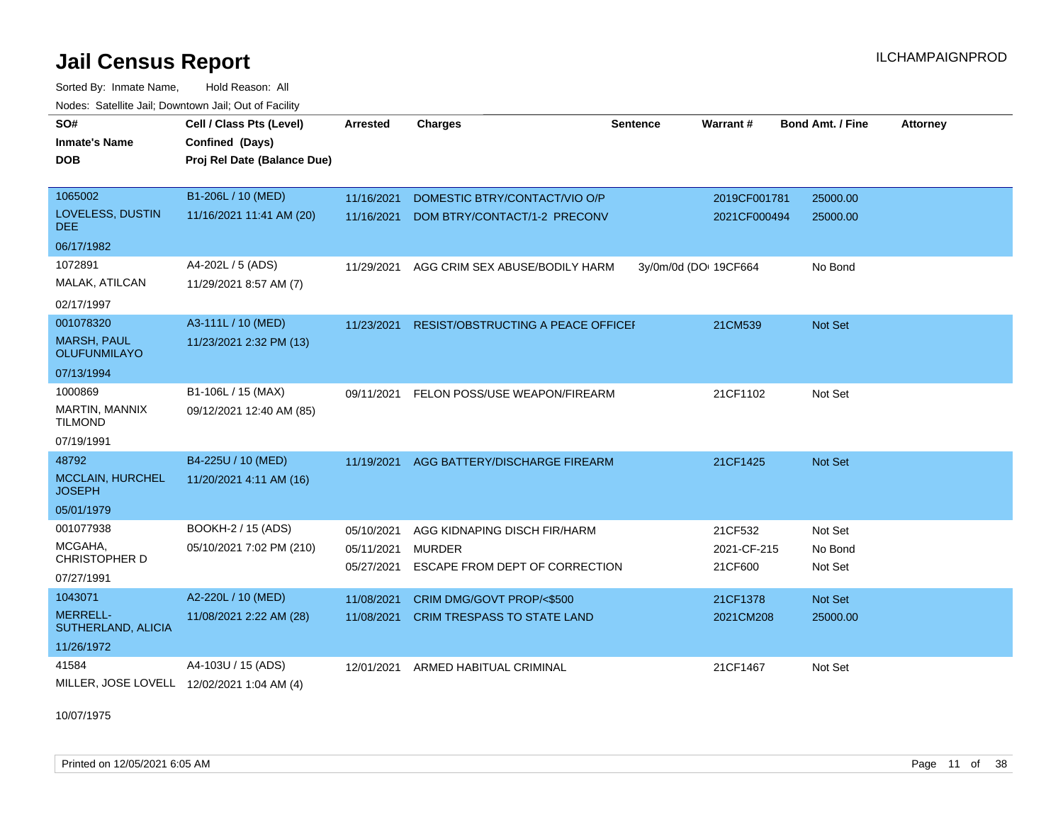Sorted By: Inmate Name, Hold Reason: All Nodes: Satellite Jail; Downtown Jail; Out of Facility

| SO#                                       | Cell / Class Pts (Level)                   | Arrested   | <b>Charges</b>                     | <b>Sentence</b> | Warrant#              | <b>Bond Amt. / Fine</b> | <b>Attorney</b> |
|-------------------------------------------|--------------------------------------------|------------|------------------------------------|-----------------|-----------------------|-------------------------|-----------------|
| <b>Inmate's Name</b>                      | Confined (Days)                            |            |                                    |                 |                       |                         |                 |
| <b>DOB</b>                                | Proj Rel Date (Balance Due)                |            |                                    |                 |                       |                         |                 |
|                                           |                                            |            |                                    |                 |                       |                         |                 |
| 1065002                                   | B1-206L / 10 (MED)                         | 11/16/2021 | DOMESTIC BTRY/CONTACT/VIO O/P      |                 | 2019CF001781          | 25000.00                |                 |
| LOVELESS, DUSTIN<br>DEE.                  | 11/16/2021 11:41 AM (20)                   | 11/16/2021 | DOM BTRY/CONTACT/1-2 PRECONV       |                 | 2021CF000494          | 25000.00                |                 |
| 06/17/1982                                |                                            |            |                                    |                 |                       |                         |                 |
| 1072891                                   | A4-202L / 5 (ADS)                          | 11/29/2021 | AGG CRIM SEX ABUSE/BODILY HARM     |                 | 3y/0m/0d (DO: 19CF664 | No Bond                 |                 |
| MALAK, ATILCAN                            | 11/29/2021 8:57 AM (7)                     |            |                                    |                 |                       |                         |                 |
| 02/17/1997                                |                                            |            |                                    |                 |                       |                         |                 |
| 001078320                                 | A3-111L / 10 (MED)                         | 11/23/2021 | RESIST/OBSTRUCTING A PEACE OFFICEF |                 | 21CM539               | Not Set                 |                 |
| <b>MARSH, PAUL</b><br><b>OLUFUNMILAYO</b> | 11/23/2021 2:32 PM (13)                    |            |                                    |                 |                       |                         |                 |
| 07/13/1994                                |                                            |            |                                    |                 |                       |                         |                 |
| 1000869                                   | B1-106L / 15 (MAX)                         | 09/11/2021 | FELON POSS/USE WEAPON/FIREARM      |                 | 21CF1102              | Not Set                 |                 |
| MARTIN, MANNIX<br><b>TILMOND</b>          | 09/12/2021 12:40 AM (85)                   |            |                                    |                 |                       |                         |                 |
| 07/19/1991                                |                                            |            |                                    |                 |                       |                         |                 |
| 48792                                     | B4-225U / 10 (MED)                         | 11/19/2021 | AGG BATTERY/DISCHARGE FIREARM      |                 | 21CF1425              | Not Set                 |                 |
| MCCLAIN, HURCHEL<br><b>JOSEPH</b>         | 11/20/2021 4:11 AM (16)                    |            |                                    |                 |                       |                         |                 |
| 05/01/1979                                |                                            |            |                                    |                 |                       |                         |                 |
| 001077938                                 | BOOKH-2 / 15 (ADS)                         | 05/10/2021 | AGG KIDNAPING DISCH FIR/HARM       |                 | 21CF532               | Not Set                 |                 |
| MCGAHA,<br><b>CHRISTOPHER D</b>           | 05/10/2021 7:02 PM (210)                   | 05/11/2021 | <b>MURDER</b>                      |                 | 2021-CF-215           | No Bond                 |                 |
| 07/27/1991                                |                                            | 05/27/2021 | ESCAPE FROM DEPT OF CORRECTION     |                 | 21CF600               | Not Set                 |                 |
| 1043071                                   | A2-220L / 10 (MED)                         | 11/08/2021 | CRIM DMG/GOVT PROP/<\$500          |                 | 21CF1378              | Not Set                 |                 |
| <b>MERRELL-</b><br>SUTHERLAND, ALICIA     | 11/08/2021 2:22 AM (28)                    | 11/08/2021 | CRIM TRESPASS TO STATE LAND        |                 | 2021CM208             | 25000.00                |                 |
| 11/26/1972                                |                                            |            |                                    |                 |                       |                         |                 |
| 41584                                     | A4-103U / 15 (ADS)                         | 12/01/2021 | ARMED HABITUAL CRIMINAL            |                 | 21CF1467              | Not Set                 |                 |
|                                           | MILLER, JOSE LOVELL 12/02/2021 1:04 AM (4) |            |                                    |                 |                       |                         |                 |

10/07/1975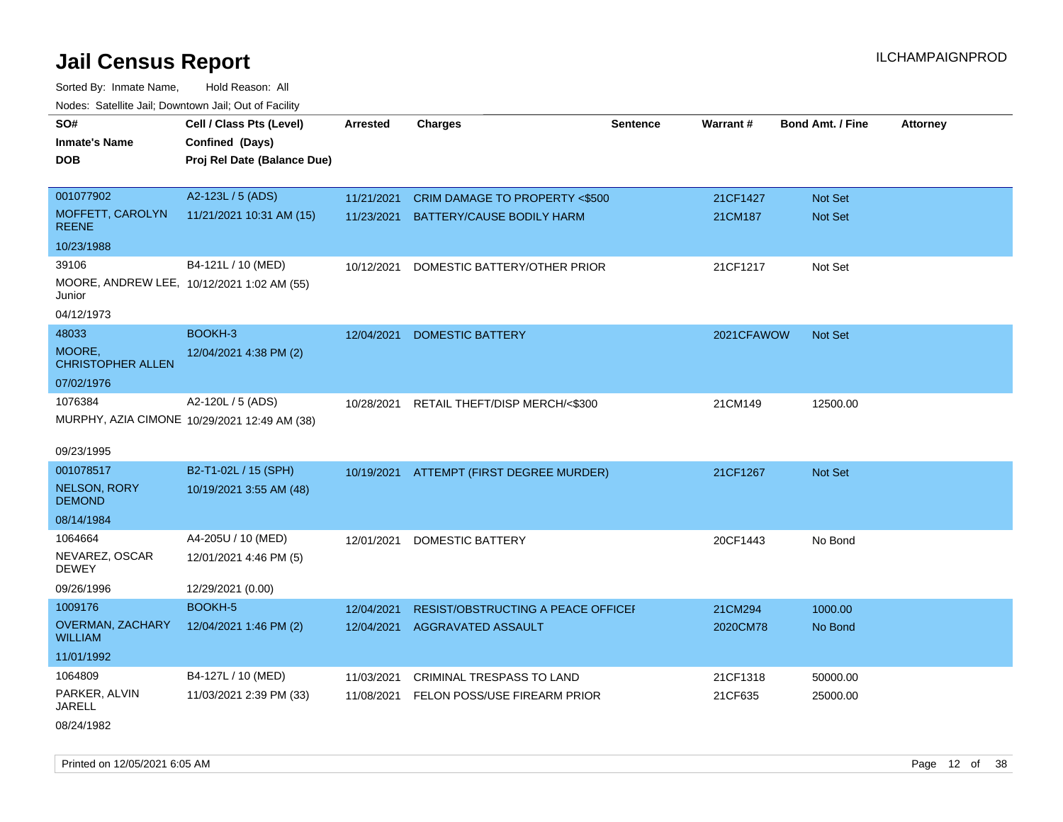Sorted By: Inmate Name, Hold Reason: All Nodes: Satellite Jail; Downtown Jail; Out of Facility

| SO#                                       | Cell / Class Pts (Level)                     | <b>Arrested</b> | <b>Charges</b>                            | <b>Sentence</b> | <b>Warrant#</b> | <b>Bond Amt. / Fine</b> | <b>Attorney</b> |
|-------------------------------------------|----------------------------------------------|-----------------|-------------------------------------------|-----------------|-----------------|-------------------------|-----------------|
| <b>Inmate's Name</b>                      | Confined (Days)                              |                 |                                           |                 |                 |                         |                 |
| <b>DOB</b>                                | Proj Rel Date (Balance Due)                  |                 |                                           |                 |                 |                         |                 |
|                                           |                                              |                 |                                           |                 |                 |                         |                 |
| 001077902                                 | A2-123L / 5 (ADS)                            | 11/21/2021      | CRIM DAMAGE TO PROPERTY <\$500            |                 | 21CF1427        | <b>Not Set</b>          |                 |
| MOFFETT, CAROLYN<br><b>REENE</b>          | 11/21/2021 10:31 AM (15)                     |                 | 11/23/2021 BATTERY/CAUSE BODILY HARM      |                 | 21CM187         | Not Set                 |                 |
| 10/23/1988                                |                                              |                 |                                           |                 |                 |                         |                 |
| 39106                                     | B4-121L / 10 (MED)                           | 10/12/2021      | DOMESTIC BATTERY/OTHER PRIOR              |                 | 21CF1217        | Not Set                 |                 |
| Junior                                    | MOORE, ANDREW LEE, 10/12/2021 1:02 AM (55)   |                 |                                           |                 |                 |                         |                 |
| 04/12/1973                                |                                              |                 |                                           |                 |                 |                         |                 |
| 48033                                     | BOOKH-3                                      | 12/04/2021      | <b>DOMESTIC BATTERY</b>                   |                 | 2021CFAWOW      | Not Set                 |                 |
| MOORE,<br><b>CHRISTOPHER ALLEN</b>        | 12/04/2021 4:38 PM (2)                       |                 |                                           |                 |                 |                         |                 |
| 07/02/1976                                |                                              |                 |                                           |                 |                 |                         |                 |
| 1076384                                   | A2-120L / 5 (ADS)                            |                 | 10/28/2021 RETAIL THEFT/DISP MERCH/<\$300 |                 | 21CM149         | 12500.00                |                 |
|                                           | MURPHY, AZIA CIMONE 10/29/2021 12:49 AM (38) |                 |                                           |                 |                 |                         |                 |
|                                           |                                              |                 |                                           |                 |                 |                         |                 |
| 09/23/1995                                |                                              |                 |                                           |                 |                 |                         |                 |
| 001078517                                 | B2-T1-02L / 15 (SPH)                         |                 | 10/19/2021 ATTEMPT (FIRST DEGREE MURDER)  |                 | 21CF1267        | Not Set                 |                 |
| <b>NELSON, RORY</b><br><b>DEMOND</b>      | 10/19/2021 3:55 AM (48)                      |                 |                                           |                 |                 |                         |                 |
| 08/14/1984                                |                                              |                 |                                           |                 |                 |                         |                 |
| 1064664                                   | A4-205U / 10 (MED)                           | 12/01/2021      | <b>DOMESTIC BATTERY</b>                   |                 | 20CF1443        | No Bond                 |                 |
| NEVAREZ, OSCAR<br><b>DEWEY</b>            | 12/01/2021 4:46 PM (5)                       |                 |                                           |                 |                 |                         |                 |
| 09/26/1996                                | 12/29/2021 (0.00)                            |                 |                                           |                 |                 |                         |                 |
| 1009176                                   | BOOKH-5                                      | 12/04/2021      | RESIST/OBSTRUCTING A PEACE OFFICEI        |                 | 21CM294         | 1000.00                 |                 |
| <b>OVERMAN, ZACHARY</b><br><b>WILLIAM</b> | 12/04/2021 1:46 PM (2)                       |                 | 12/04/2021 AGGRAVATED ASSAULT             |                 | 2020CM78        | No Bond                 |                 |
| 11/01/1992                                |                                              |                 |                                           |                 |                 |                         |                 |
| 1064809                                   | B4-127L / 10 (MED)                           | 11/03/2021      | CRIMINAL TRESPASS TO LAND                 |                 | 21CF1318        | 50000.00                |                 |
| PARKER, ALVIN<br><b>JARELL</b>            | 11/03/2021 2:39 PM (33)                      |                 | 11/08/2021 FELON POSS/USE FIREARM PRIOR   |                 | 21CF635         | 25000.00                |                 |
| 08/24/1982                                |                                              |                 |                                           |                 |                 |                         |                 |

Printed on 12/05/2021 6:05 AM **Page 12** of 38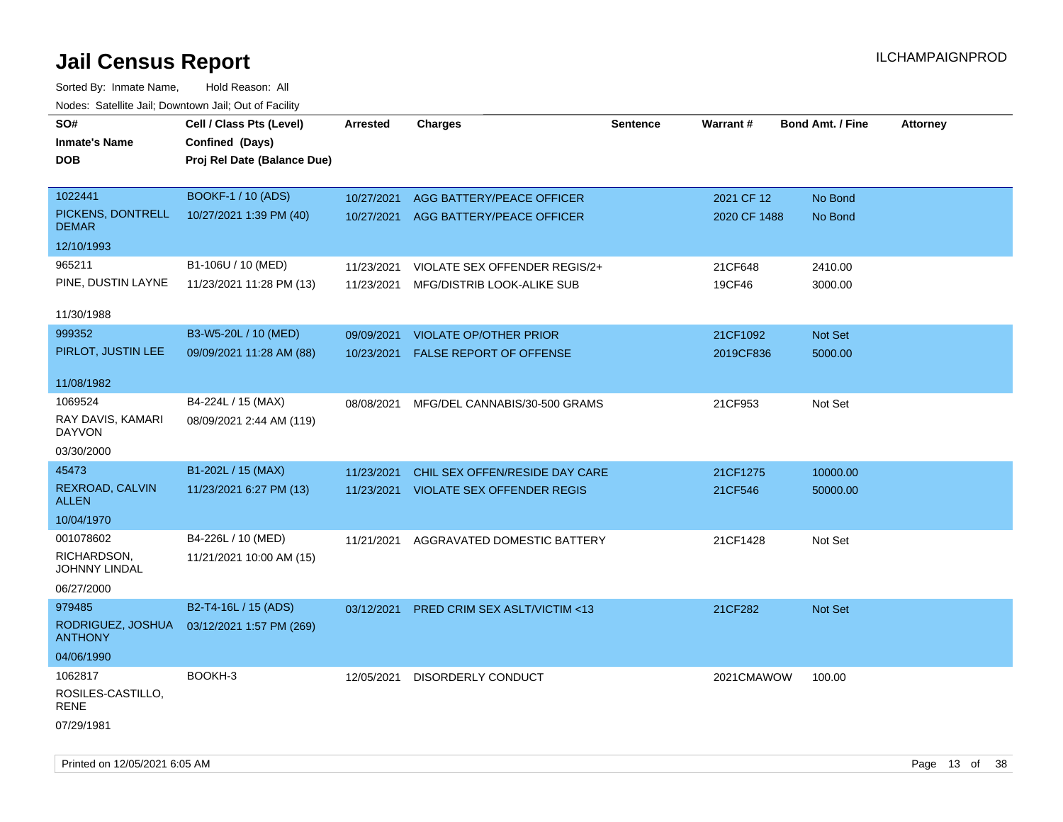| rouce. Calcinic Jan, Downtown Jan, Out or Facility |                                                |                 |                                       |                 |              |                         |                 |
|----------------------------------------------------|------------------------------------------------|-----------------|---------------------------------------|-----------------|--------------|-------------------------|-----------------|
| SO#                                                | Cell / Class Pts (Level)                       | <b>Arrested</b> | <b>Charges</b>                        | <b>Sentence</b> | Warrant#     | <b>Bond Amt. / Fine</b> | <b>Attorney</b> |
| <b>Inmate's Name</b>                               | Confined (Days)                                |                 |                                       |                 |              |                         |                 |
| <b>DOB</b>                                         | Proj Rel Date (Balance Due)                    |                 |                                       |                 |              |                         |                 |
|                                                    |                                                |                 |                                       |                 |              |                         |                 |
| 1022441                                            | BOOKF-1 / 10 (ADS)                             | 10/27/2021      | AGG BATTERY/PEACE OFFICER             |                 | 2021 CF 12   | No Bond                 |                 |
| PICKENS, DONTRELL<br><b>DEMAR</b>                  | 10/27/2021 1:39 PM (40)                        | 10/27/2021      | AGG BATTERY/PEACE OFFICER             |                 | 2020 CF 1488 | No Bond                 |                 |
| 12/10/1993                                         |                                                |                 |                                       |                 |              |                         |                 |
| 965211                                             | B1-106U / 10 (MED)                             | 11/23/2021      | VIOLATE SEX OFFENDER REGIS/2+         |                 | 21CF648      | 2410.00                 |                 |
| PINE, DUSTIN LAYNE                                 | 11/23/2021 11:28 PM (13)                       | 11/23/2021      | MFG/DISTRIB LOOK-ALIKE SUB            |                 | 19CF46       | 3000.00                 |                 |
| 11/30/1988                                         |                                                |                 |                                       |                 |              |                         |                 |
| 999352                                             | B3-W5-20L / 10 (MED)                           | 09/09/2021      | <b>VIOLATE OP/OTHER PRIOR</b>         |                 | 21CF1092     | Not Set                 |                 |
| PIRLOT, JUSTIN LEE                                 | 09/09/2021 11:28 AM (88)                       | 10/23/2021      | <b>FALSE REPORT OF OFFENSE</b>        |                 | 2019CF836    | 5000.00                 |                 |
| 11/08/1982                                         |                                                |                 |                                       |                 |              |                         |                 |
| 1069524<br>RAY DAVIS, KAMARI<br><b>DAYVON</b>      | B4-224L / 15 (MAX)<br>08/09/2021 2:44 AM (119) | 08/08/2021      | MFG/DEL CANNABIS/30-500 GRAMS         |                 | 21CF953      | Not Set                 |                 |
| 03/30/2000                                         |                                                |                 |                                       |                 |              |                         |                 |
| 45473                                              | B1-202L / 15 (MAX)                             | 11/23/2021      | CHIL SEX OFFEN/RESIDE DAY CARE        |                 | 21CF1275     | 10000.00                |                 |
| REXROAD, CALVIN<br><b>ALLEN</b>                    | 11/23/2021 6:27 PM (13)                        |                 | 11/23/2021 VIOLATE SEX OFFENDER REGIS |                 | 21CF546      | 50000.00                |                 |
| 10/04/1970                                         |                                                |                 |                                       |                 |              |                         |                 |
| 001078602                                          | B4-226L / 10 (MED)                             | 11/21/2021      | AGGRAVATED DOMESTIC BATTERY           |                 | 21CF1428     | Not Set                 |                 |
| RICHARDSON,<br><b>JOHNNY LINDAL</b>                | 11/21/2021 10:00 AM (15)                       |                 |                                       |                 |              |                         |                 |
| 06/27/2000                                         |                                                |                 |                                       |                 |              |                         |                 |
| 979485                                             | B2-T4-16L / 15 (ADS)                           | 03/12/2021      | PRED CRIM SEX ASLT/VICTIM <13         |                 | 21CF282      | <b>Not Set</b>          |                 |
| RODRIGUEZ, JOSHUA<br><b>ANTHONY</b>                | 03/12/2021 1:57 PM (269)                       |                 |                                       |                 |              |                         |                 |
| 04/06/1990                                         |                                                |                 |                                       |                 |              |                         |                 |
| 1062817<br>ROSILES-CASTILLO,<br>RENE               | BOOKH-3                                        | 12/05/2021      | DISORDERLY CONDUCT                    |                 | 2021CMAWOW   | 100.00                  |                 |
| 07/29/1981                                         |                                                |                 |                                       |                 |              |                         |                 |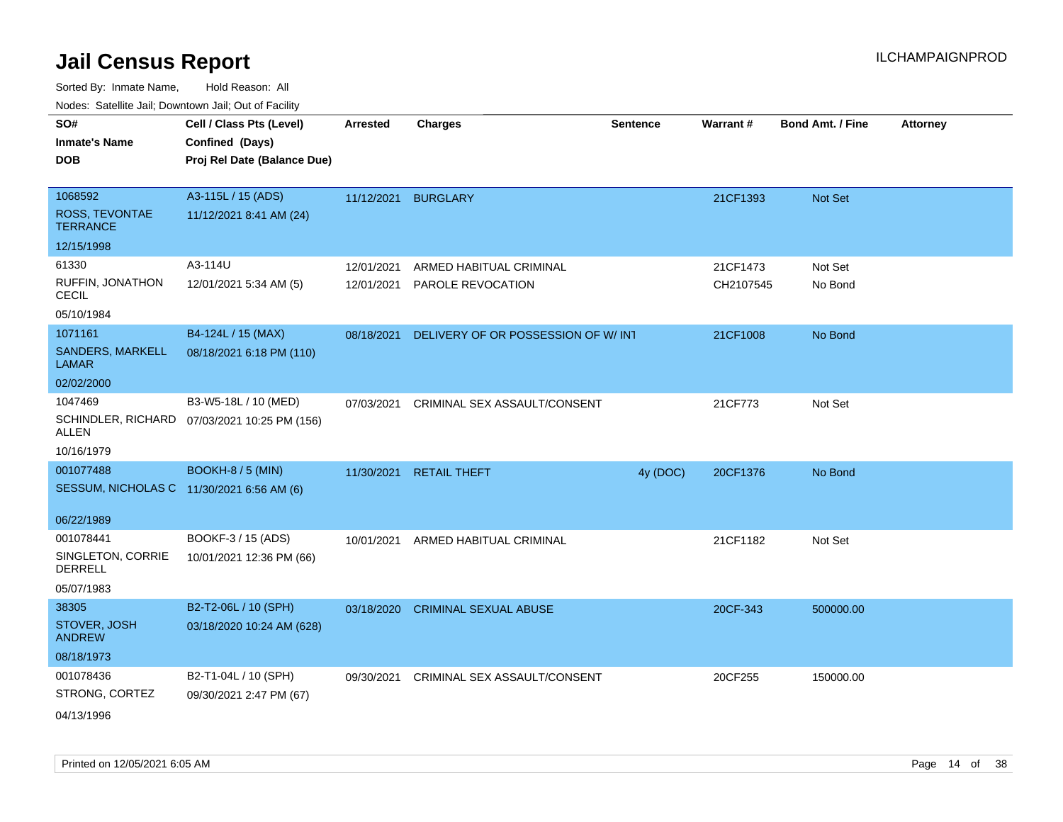| roaco. Oatomto dan, Downtown dan, Oat or Fability |                                              |            |                                    |                 |                 |                         |                 |
|---------------------------------------------------|----------------------------------------------|------------|------------------------------------|-----------------|-----------------|-------------------------|-----------------|
| SO#<br><b>Inmate's Name</b>                       | Cell / Class Pts (Level)<br>Confined (Days)  | Arrested   | <b>Charges</b>                     | <b>Sentence</b> | <b>Warrant#</b> | <b>Bond Amt. / Fine</b> | <b>Attorney</b> |
| <b>DOB</b>                                        | Proj Rel Date (Balance Due)                  |            |                                    |                 |                 |                         |                 |
| 1068592                                           | A3-115L / 15 (ADS)                           | 11/12/2021 | <b>BURGLARY</b>                    |                 | 21CF1393        | Not Set                 |                 |
| ROSS, TEVONTAE<br><b>TERRANCE</b>                 | 11/12/2021 8:41 AM (24)                      |            |                                    |                 |                 |                         |                 |
| 12/15/1998                                        |                                              |            |                                    |                 |                 |                         |                 |
| 61330                                             | A3-114U                                      | 12/01/2021 | ARMED HABITUAL CRIMINAL            |                 | 21CF1473        | Not Set                 |                 |
| RUFFIN, JONATHON<br><b>CECIL</b>                  | 12/01/2021 5:34 AM (5)                       | 12/01/2021 | PAROLE REVOCATION                  |                 | CH2107545       | No Bond                 |                 |
| 05/10/1984                                        |                                              |            |                                    |                 |                 |                         |                 |
| 1071161                                           | B4-124L / 15 (MAX)                           | 08/18/2021 | DELIVERY OF OR POSSESSION OF W/INT |                 | 21CF1008        | No Bond                 |                 |
| SANDERS, MARKELL<br><b>LAMAR</b>                  | 08/18/2021 6:18 PM (110)                     |            |                                    |                 |                 |                         |                 |
| 02/02/2000                                        |                                              |            |                                    |                 |                 |                         |                 |
| 1047469                                           | B3-W5-18L / 10 (MED)                         | 07/03/2021 | CRIMINAL SEX ASSAULT/CONSENT       |                 | 21CF773         | Not Set                 |                 |
| ALLEN                                             | SCHINDLER, RICHARD 07/03/2021 10:25 PM (156) |            |                                    |                 |                 |                         |                 |
| 10/16/1979                                        |                                              |            |                                    |                 |                 |                         |                 |
| 001077488                                         | <b>BOOKH-8 / 5 (MIN)</b>                     | 11/30/2021 | <b>RETAIL THEFT</b>                | 4y (DOC)        | 20CF1376        | No Bond                 |                 |
| SESSUM, NICHOLAS C 11/30/2021 6:56 AM (6)         |                                              |            |                                    |                 |                 |                         |                 |
| 06/22/1989                                        |                                              |            |                                    |                 |                 |                         |                 |
| 001078441                                         | BOOKF-3 / 15 (ADS)                           | 10/01/2021 | ARMED HABITUAL CRIMINAL            |                 | 21CF1182        | Not Set                 |                 |
| SINGLETON, CORRIE<br>DERRELL                      | 10/01/2021 12:36 PM (66)                     |            |                                    |                 |                 |                         |                 |
| 05/07/1983                                        |                                              |            |                                    |                 |                 |                         |                 |
| 38305                                             | B2-T2-06L / 10 (SPH)                         | 03/18/2020 | <b>CRIMINAL SEXUAL ABUSE</b>       |                 | 20CF-343        | 500000.00               |                 |
| STOVER, JOSH<br><b>ANDREW</b>                     | 03/18/2020 10:24 AM (628)                    |            |                                    |                 |                 |                         |                 |
| 08/18/1973                                        |                                              |            |                                    |                 |                 |                         |                 |
| 001078436                                         | B2-T1-04L / 10 (SPH)                         | 09/30/2021 | CRIMINAL SEX ASSAULT/CONSENT       |                 | 20CF255         | 150000.00               |                 |
| STRONG, CORTEZ                                    | 09/30/2021 2:47 PM (67)                      |            |                                    |                 |                 |                         |                 |
| 04/13/1996                                        |                                              |            |                                    |                 |                 |                         |                 |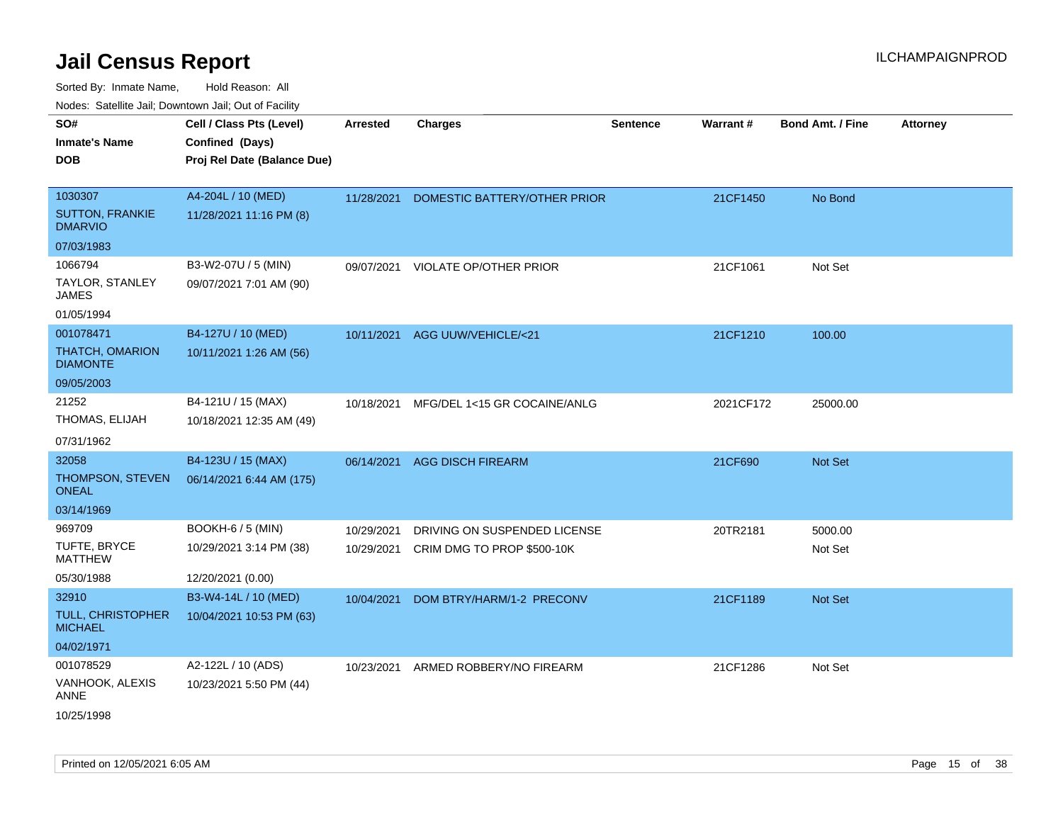| roaco. Odichile Jan, Downtown Jan, Out of Facility |                                                                            |                 |                                |                 |           |                         |                 |
|----------------------------------------------------|----------------------------------------------------------------------------|-----------------|--------------------------------|-----------------|-----------|-------------------------|-----------------|
| SO#<br><b>Inmate's Name</b><br><b>DOB</b>          | Cell / Class Pts (Level)<br>Confined (Days)<br>Proj Rel Date (Balance Due) | <b>Arrested</b> | <b>Charges</b>                 | <b>Sentence</b> | Warrant#  | <b>Bond Amt. / Fine</b> | <b>Attorney</b> |
| 1030307                                            | A4-204L / 10 (MED)                                                         |                 |                                |                 |           |                         |                 |
| <b>SUTTON, FRANKIE</b><br><b>DMARVIO</b>           | 11/28/2021 11:16 PM (8)                                                    | 11/28/2021      | DOMESTIC BATTERY/OTHER PRIOR   |                 | 21CF1450  | No Bond                 |                 |
| 07/03/1983                                         |                                                                            |                 |                                |                 |           |                         |                 |
| 1066794                                            | B3-W2-07U / 5 (MIN)                                                        | 09/07/2021      | <b>VIOLATE OP/OTHER PRIOR</b>  |                 | 21CF1061  | Not Set                 |                 |
| <b>TAYLOR, STANLEY</b><br>JAMES                    | 09/07/2021 7:01 AM (90)                                                    |                 |                                |                 |           |                         |                 |
| 01/05/1994                                         |                                                                            |                 |                                |                 |           |                         |                 |
| 001078471                                          | B4-127U / 10 (MED)                                                         |                 | 10/11/2021 AGG UUW/VEHICLE/<21 |                 | 21CF1210  | 100.00                  |                 |
| THATCH, OMARION<br><b>DIAMONTE</b>                 | 10/11/2021 1:26 AM (56)                                                    |                 |                                |                 |           |                         |                 |
| 09/05/2003                                         |                                                                            |                 |                                |                 |           |                         |                 |
| 21252                                              | B4-121U / 15 (MAX)                                                         | 10/18/2021      | MFG/DEL 1<15 GR COCAINE/ANLG   |                 | 2021CF172 | 25000.00                |                 |
| THOMAS, ELIJAH                                     | 10/18/2021 12:35 AM (49)                                                   |                 |                                |                 |           |                         |                 |
| 07/31/1962                                         |                                                                            |                 |                                |                 |           |                         |                 |
| 32058                                              | B4-123U / 15 (MAX)                                                         | 06/14/2021      | <b>AGG DISCH FIREARM</b>       |                 | 21CF690   | <b>Not Set</b>          |                 |
| THOMPSON, STEVEN<br><b>ONEAL</b>                   | 06/14/2021 6:44 AM (175)                                                   |                 |                                |                 |           |                         |                 |
| 03/14/1969                                         |                                                                            |                 |                                |                 |           |                         |                 |
| 969709                                             | <b>BOOKH-6 / 5 (MIN)</b>                                                   | 10/29/2021      | DRIVING ON SUSPENDED LICENSE   |                 | 20TR2181  | 5000.00                 |                 |
| TUFTE, BRYCE<br><b>MATTHEW</b>                     | 10/29/2021 3:14 PM (38)                                                    | 10/29/2021      | CRIM DMG TO PROP \$500-10K     |                 |           | Not Set                 |                 |
| 05/30/1988                                         | 12/20/2021 (0.00)                                                          |                 |                                |                 |           |                         |                 |
| 32910                                              | B3-W4-14L / 10 (MED)                                                       | 10/04/2021      | DOM BTRY/HARM/1-2 PRECONV      |                 | 21CF1189  | <b>Not Set</b>          |                 |
| <b>TULL, CHRISTOPHER</b><br><b>MICHAEL</b>         | 10/04/2021 10:53 PM (63)                                                   |                 |                                |                 |           |                         |                 |
| 04/02/1971                                         |                                                                            |                 |                                |                 |           |                         |                 |
| 001078529                                          | A2-122L / 10 (ADS)                                                         | 10/23/2021      | ARMED ROBBERY/NO FIREARM       |                 | 21CF1286  | Not Set                 |                 |
| VANHOOK, ALEXIS<br>ANNE                            | 10/23/2021 5:50 PM (44)                                                    |                 |                                |                 |           |                         |                 |
| 10/25/1998                                         |                                                                            |                 |                                |                 |           |                         |                 |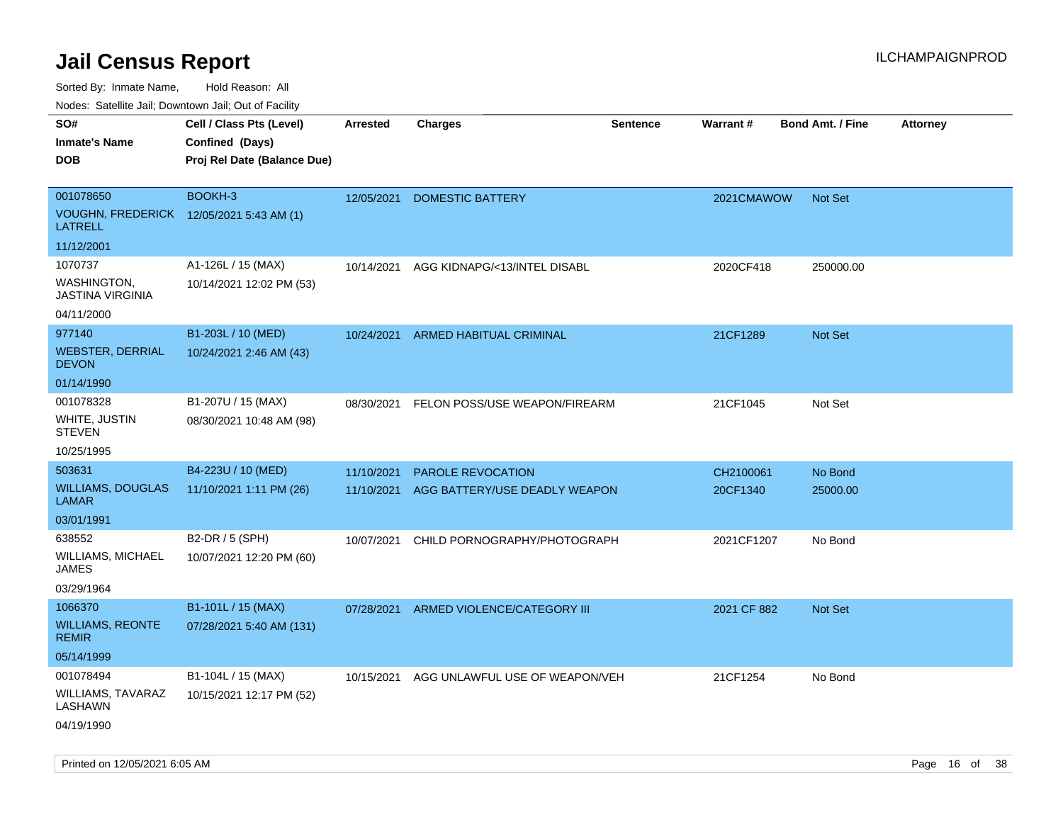Sorted By: Inmate Name, Hold Reason: All

Nodes: Satellite Jail; Downtown Jail; Out of Facility

| rougs. Calcing Jan, Downtown Jan, Out of Facility          |                             |                 |                                |                 |                 |                         |                 |
|------------------------------------------------------------|-----------------------------|-----------------|--------------------------------|-----------------|-----------------|-------------------------|-----------------|
| SO#                                                        | Cell / Class Pts (Level)    | <b>Arrested</b> | <b>Charges</b>                 | <b>Sentence</b> | <b>Warrant#</b> | <b>Bond Amt. / Fine</b> | <b>Attorney</b> |
| <b>Inmate's Name</b>                                       | Confined (Days)             |                 |                                |                 |                 |                         |                 |
| <b>DOB</b>                                                 | Proj Rel Date (Balance Due) |                 |                                |                 |                 |                         |                 |
|                                                            |                             |                 |                                |                 |                 |                         |                 |
| 001078650                                                  | BOOKH-3                     | 12/05/2021      | <b>DOMESTIC BATTERY</b>        |                 | 2021CMAWOW      | <b>Not Set</b>          |                 |
| VOUGHN, FREDERICK 12/05/2021 5:43 AM (1)<br><b>LATRELL</b> |                             |                 |                                |                 |                 |                         |                 |
| 11/12/2001                                                 |                             |                 |                                |                 |                 |                         |                 |
| 1070737                                                    | A1-126L / 15 (MAX)          | 10/14/2021      | AGG KIDNAPG/<13/INTEL DISABL   |                 | 2020CF418       | 250000.00               |                 |
| WASHINGTON,<br><b>JASTINA VIRGINIA</b>                     | 10/14/2021 12:02 PM (53)    |                 |                                |                 |                 |                         |                 |
| 04/11/2000                                                 |                             |                 |                                |                 |                 |                         |                 |
| 977140                                                     | B1-203L / 10 (MED)          | 10/24/2021      | <b>ARMED HABITUAL CRIMINAL</b> |                 | 21CF1289        | <b>Not Set</b>          |                 |
| <b>WEBSTER, DERRIAL</b><br><b>DEVON</b>                    | 10/24/2021 2:46 AM (43)     |                 |                                |                 |                 |                         |                 |
| 01/14/1990                                                 |                             |                 |                                |                 |                 |                         |                 |
| 001078328                                                  | B1-207U / 15 (MAX)          | 08/30/2021      | FELON POSS/USE WEAPON/FIREARM  |                 | 21CF1045        | Not Set                 |                 |
| WHITE, JUSTIN<br><b>STEVEN</b>                             | 08/30/2021 10:48 AM (98)    |                 |                                |                 |                 |                         |                 |
| 10/25/1995                                                 |                             |                 |                                |                 |                 |                         |                 |
| 503631                                                     | B4-223U / 10 (MED)          | 11/10/2021      | PAROLE REVOCATION              |                 | CH2100061       | No Bond                 |                 |
| <b>WILLIAMS, DOUGLAS</b><br><b>LAMAR</b>                   | 11/10/2021 1:11 PM (26)     | 11/10/2021      | AGG BATTERY/USE DEADLY WEAPON  |                 | 20CF1340        | 25000.00                |                 |
| 03/01/1991                                                 |                             |                 |                                |                 |                 |                         |                 |
| 638552                                                     | B2-DR / 5 (SPH)             | 10/07/2021      | CHILD PORNOGRAPHY/PHOTOGRAPH   |                 | 2021CF1207      | No Bond                 |                 |
| WILLIAMS, MICHAEL<br>JAMES                                 | 10/07/2021 12:20 PM (60)    |                 |                                |                 |                 |                         |                 |
| 03/29/1964                                                 |                             |                 |                                |                 |                 |                         |                 |
| 1066370                                                    | B1-101L / 15 (MAX)          | 07/28/2021      | ARMED VIOLENCE/CATEGORY III    |                 | 2021 CF 882     | <b>Not Set</b>          |                 |
| <b>WILLIAMS, REONTE</b><br><b>REMIR</b>                    | 07/28/2021 5:40 AM (131)    |                 |                                |                 |                 |                         |                 |
| 05/14/1999                                                 |                             |                 |                                |                 |                 |                         |                 |
| 001078494                                                  | B1-104L / 15 (MAX)          | 10/15/2021      | AGG UNLAWFUL USE OF WEAPON/VEH |                 | 21CF1254        | No Bond                 |                 |
| <b>WILLIAMS, TAVARAZ</b><br>LASHAWN                        | 10/15/2021 12:17 PM (52)    |                 |                                |                 |                 |                         |                 |
| 04/19/1990                                                 |                             |                 |                                |                 |                 |                         |                 |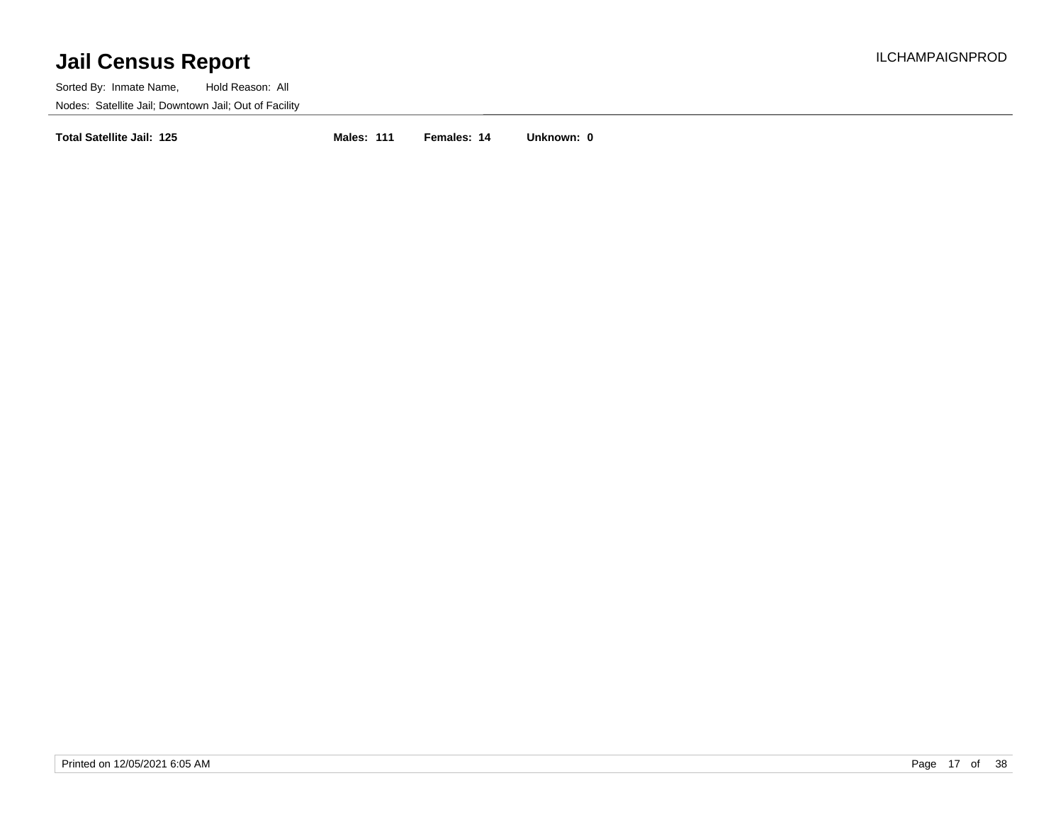Sorted By: Inmate Name, Hold Reason: All Nodes: Satellite Jail; Downtown Jail; Out of Facility

**Total Satellite Jail: 125 Males: 111 Females: 14 Unknown: 0**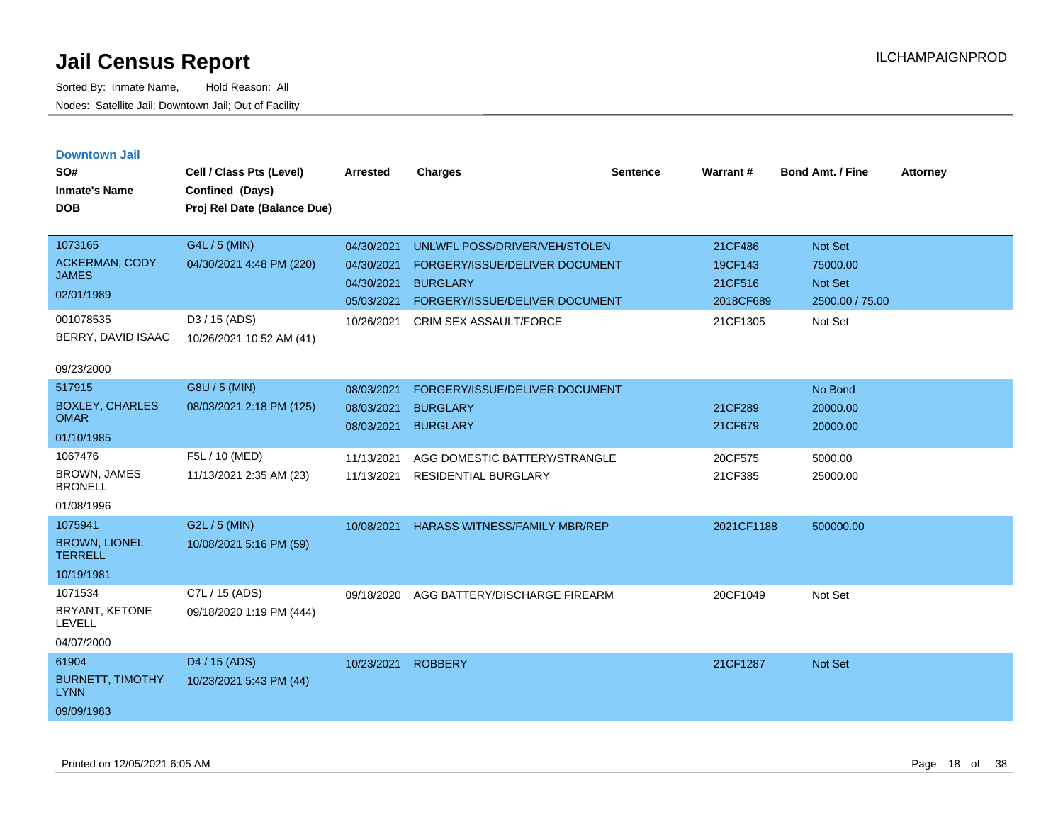| <b>Downtown Jail</b> |  |
|----------------------|--|
|----------------------|--|

| SO#<br><b>Inmate's Name</b><br><b>DOB</b>                                                         | Cell / Class Pts (Level)<br>Confined (Days)<br>Proj Rel Date (Balance Due)             | <b>Arrested</b>                                                    | <b>Charges</b>                                                                                                                                 | <b>Sentence</b> | Warrant#                                               | <b>Bond Amt. / Fine</b>                                      | <b>Attorney</b> |
|---------------------------------------------------------------------------------------------------|----------------------------------------------------------------------------------------|--------------------------------------------------------------------|------------------------------------------------------------------------------------------------------------------------------------------------|-----------------|--------------------------------------------------------|--------------------------------------------------------------|-----------------|
| 1073165<br><b>ACKERMAN, CODY</b><br><b>JAMES</b><br>02/01/1989<br>001078535<br>BERRY, DAVID ISAAC | G4L / 5 (MIN)<br>04/30/2021 4:48 PM (220)<br>D3 / 15 (ADS)<br>10/26/2021 10:52 AM (41) | 04/30/2021<br>04/30/2021<br>04/30/2021<br>05/03/2021<br>10/26/2021 | UNLWFL POSS/DRIVER/VEH/STOLEN<br>FORGERY/ISSUE/DELIVER DOCUMENT<br><b>BURGLARY</b><br>FORGERY/ISSUE/DELIVER DOCUMENT<br>CRIM SEX ASSAULT/FORCE |                 | 21CF486<br>19CF143<br>21CF516<br>2018CF689<br>21CF1305 | Not Set<br>75000.00<br>Not Set<br>2500.00 / 75.00<br>Not Set |                 |
| 09/23/2000                                                                                        |                                                                                        |                                                                    |                                                                                                                                                |                 |                                                        |                                                              |                 |
| 517915<br><b>BOXLEY, CHARLES</b><br><b>OMAR</b><br>01/10/1985                                     | G8U / 5 (MIN)<br>08/03/2021 2:18 PM (125)                                              | 08/03/2021<br>08/03/2021<br>08/03/2021                             | FORGERY/ISSUE/DELIVER DOCUMENT<br><b>BURGLARY</b><br><b>BURGLARY</b>                                                                           |                 | 21CF289<br>21CF679                                     | No Bond<br>20000.00<br>20000.00                              |                 |
| 1067476<br><b>BROWN, JAMES</b><br><b>BRONELL</b><br>01/08/1996                                    | F5L / 10 (MED)<br>11/13/2021 2:35 AM (23)                                              | 11/13/2021<br>11/13/2021                                           | AGG DOMESTIC BATTERY/STRANGLE<br><b>RESIDENTIAL BURGLARY</b>                                                                                   |                 | 20CF575<br>21CF385                                     | 5000.00<br>25000.00                                          |                 |
| 1075941<br><b>BROWN, LIONEL</b><br><b>TERRELL</b><br>10/19/1981                                   | G2L / 5 (MIN)<br>10/08/2021 5:16 PM (59)                                               | 10/08/2021                                                         | <b>HARASS WITNESS/FAMILY MBR/REP</b>                                                                                                           |                 | 2021CF1188                                             | 500000.00                                                    |                 |
| 1071534<br>BRYANT, KETONE<br><b>LEVELL</b><br>04/07/2000                                          | C7L / 15 (ADS)<br>09/18/2020 1:19 PM (444)                                             | 09/18/2020                                                         | AGG BATTERY/DISCHARGE FIREARM                                                                                                                  |                 | 20CF1049                                               | Not Set                                                      |                 |
| 61904<br><b>BURNETT, TIMOTHY</b><br><b>LYNN</b><br>09/09/1983                                     | D4 / 15 (ADS)<br>10/23/2021 5:43 PM (44)                                               | 10/23/2021                                                         | <b>ROBBERY</b>                                                                                                                                 |                 | 21CF1287                                               | Not Set                                                      |                 |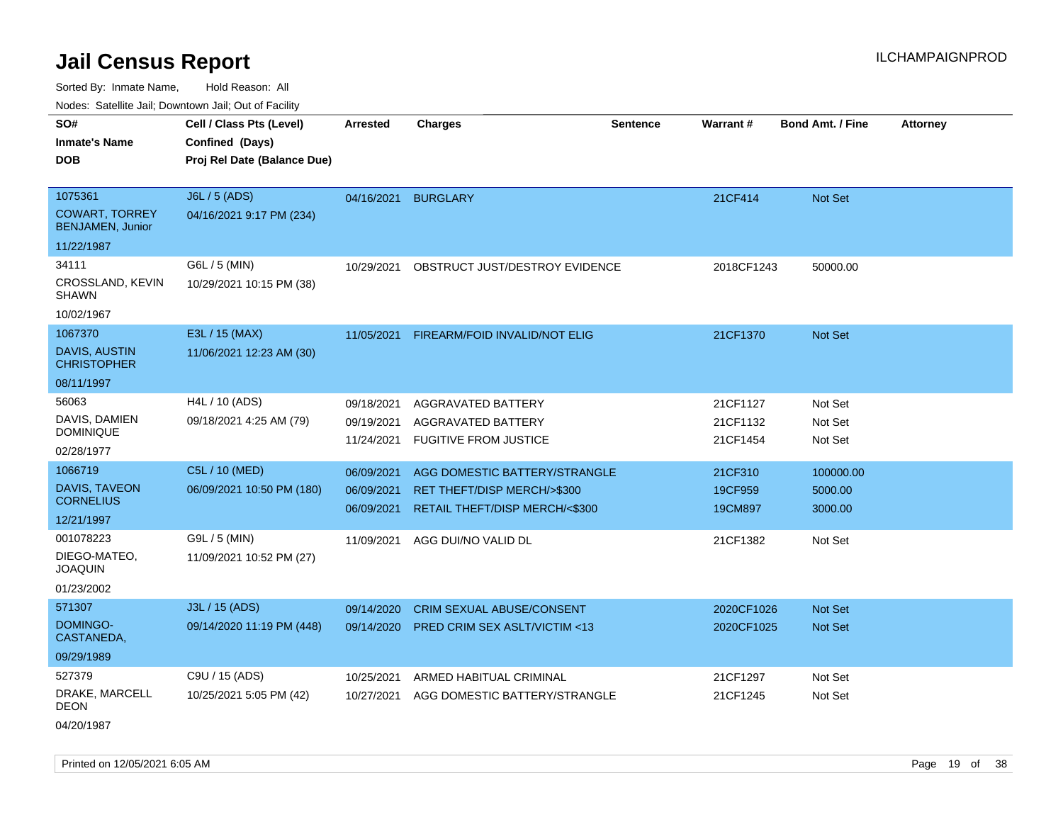Sorted By: Inmate Name, Hold Reason: All

Nodes: Satellite Jail; Downtown Jail; Out of Facility

| vouco. Catolino cali, Downtown cali, Out of Fability                  |                                                                            |                                        |                                                                                                |                 |                                  |                                 |                 |
|-----------------------------------------------------------------------|----------------------------------------------------------------------------|----------------------------------------|------------------------------------------------------------------------------------------------|-----------------|----------------------------------|---------------------------------|-----------------|
| SO#<br><b>Inmate's Name</b><br><b>DOB</b>                             | Cell / Class Pts (Level)<br>Confined (Days)<br>Proj Rel Date (Balance Due) | <b>Arrested</b>                        | <b>Charges</b>                                                                                 | <b>Sentence</b> | Warrant#                         | <b>Bond Amt. / Fine</b>         | <b>Attorney</b> |
| 1075361<br><b>COWART, TORREY</b><br><b>BENJAMEN, Junior</b>           | J6L / 5 (ADS)<br>04/16/2021 9:17 PM (234)                                  | 04/16/2021                             | <b>BURGLARY</b>                                                                                |                 | 21CF414                          | Not Set                         |                 |
| 11/22/1987<br>34111<br>CROSSLAND, KEVIN<br><b>SHAWN</b><br>10/02/1967 | G6L / 5 (MIN)<br>10/29/2021 10:15 PM (38)                                  | 10/29/2021                             | OBSTRUCT JUST/DESTROY EVIDENCE                                                                 |                 | 2018CF1243                       | 50000.00                        |                 |
| 1067370<br><b>DAVIS, AUSTIN</b><br><b>CHRISTOPHER</b><br>08/11/1997   | E3L / 15 (MAX)<br>11/06/2021 12:23 AM (30)                                 | 11/05/2021                             | FIREARM/FOID INVALID/NOT ELIG                                                                  |                 | 21CF1370                         | <b>Not Set</b>                  |                 |
| 56063<br>DAVIS, DAMIEN<br><b>DOMINIQUE</b><br>02/28/1977              | H4L / 10 (ADS)<br>09/18/2021 4:25 AM (79)                                  | 09/18/2021<br>09/19/2021<br>11/24/2021 | AGGRAVATED BATTERY<br>AGGRAVATED BATTERY<br><b>FUGITIVE FROM JUSTICE</b>                       |                 | 21CF1127<br>21CF1132<br>21CF1454 | Not Set<br>Not Set<br>Not Set   |                 |
| 1066719<br>DAVIS, TAVEON<br><b>CORNELIUS</b><br>12/21/1997            | C5L / 10 (MED)<br>06/09/2021 10:50 PM (180)                                | 06/09/2021<br>06/09/2021<br>06/09/2021 | AGG DOMESTIC BATTERY/STRANGLE<br>RET THEFT/DISP MERCH/>\$300<br>RETAIL THEFT/DISP MERCH/<\$300 |                 | 21CF310<br>19CF959<br>19CM897    | 100000.00<br>5000.00<br>3000.00 |                 |
| 001078223<br>DIEGO-MATEO,<br><b>JOAQUIN</b><br>01/23/2002             | G9L / 5 (MIN)<br>11/09/2021 10:52 PM (27)                                  | 11/09/2021                             | AGG DUI/NO VALID DL                                                                            |                 | 21CF1382                         | Not Set                         |                 |
| 571307<br>DOMINGO-<br>CASTANEDA,<br>09/29/1989                        | J3L / 15 (ADS)<br>09/14/2020 11:19 PM (448)                                | 09/14/2020<br>09/14/2020               | CRIM SEXUAL ABUSE/CONSENT<br><b>PRED CRIM SEX ASLT/VICTIM &lt;13</b>                           |                 | 2020CF1026<br>2020CF1025         | Not Set<br><b>Not Set</b>       |                 |
| 527379<br>DRAKE, MARCELL<br><b>DEON</b>                               | C9U / 15 (ADS)<br>10/25/2021 5:05 PM (42)                                  | 10/25/2021<br>10/27/2021               | ARMED HABITUAL CRIMINAL<br>AGG DOMESTIC BATTERY/STRANGLE                                       |                 | 21CF1297<br>21CF1245             | Not Set<br>Not Set              |                 |

04/20/1987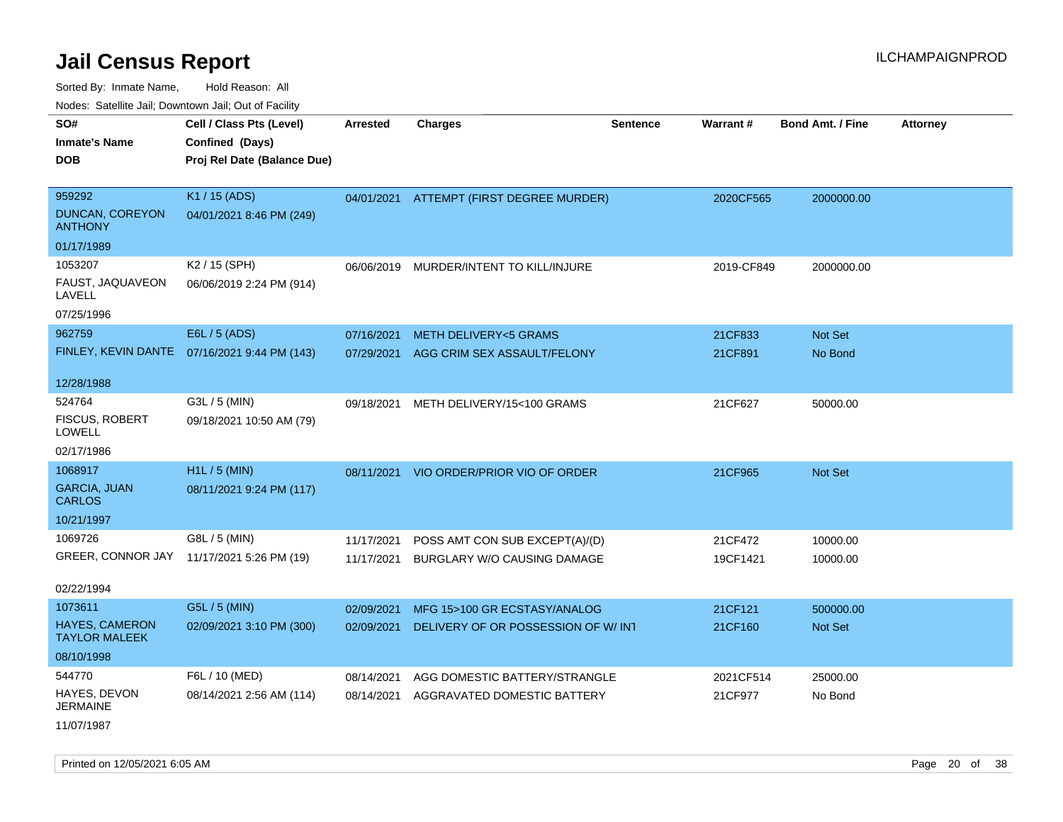Sorted By: Inmate Name, Hold Reason: All

Nodes: Satellite Jail; Downtown Jail; Out of Facility

| SO#<br><b>Inmate's Name</b><br><b>DOB</b>           | Cell / Class Pts (Level)<br>Confined (Days)<br>Proj Rel Date (Balance Due) | Arrested                 | <b>Charges</b>                                                | <b>Sentence</b> | Warrant#            | <b>Bond Amt. / Fine</b> | <b>Attorney</b> |
|-----------------------------------------------------|----------------------------------------------------------------------------|--------------------------|---------------------------------------------------------------|-----------------|---------------------|-------------------------|-----------------|
| 959292<br><b>DUNCAN, COREYON</b><br><b>ANTHONY</b>  | K1 / 15 (ADS)<br>04/01/2021 8:46 PM (249)                                  |                          | 04/01/2021 ATTEMPT (FIRST DEGREE MURDER)                      |                 | 2020CF565           | 2000000.00              |                 |
| 01/17/1989                                          |                                                                            |                          |                                                               |                 |                     |                         |                 |
| 1053207<br>FAUST, JAQUAVEON<br>LAVELL<br>07/25/1996 | K2 / 15 (SPH)<br>06/06/2019 2:24 PM (914)                                  |                          | 06/06/2019 MURDER/INTENT TO KILL/INJURE                       |                 | 2019-CF849          | 2000000.00              |                 |
| 962759                                              | E6L / 5 (ADS)                                                              | 07/16/2021               | <b>METH DELIVERY&lt;5 GRAMS</b>                               |                 | 21CF833             | Not Set                 |                 |
|                                                     | FINLEY, KEVIN DANTE 07/16/2021 9:44 PM (143)                               | 07/29/2021               | AGG CRIM SEX ASSAULT/FELONY                                   |                 | 21CF891             | No Bond                 |                 |
| 12/28/1988                                          |                                                                            |                          |                                                               |                 |                     |                         |                 |
| 524764<br><b>FISCUS, ROBERT</b><br><b>LOWELL</b>    | G3L / 5 (MIN)<br>09/18/2021 10:50 AM (79)                                  | 09/18/2021               | METH DELIVERY/15<100 GRAMS                                    |                 | 21CF627             | 50000.00                |                 |
| 02/17/1986                                          |                                                                            |                          |                                                               |                 |                     |                         |                 |
| 1068917<br><b>GARCIA, JUAN</b><br><b>CARLOS</b>     | H1L / 5 (MIN)<br>08/11/2021 9:24 PM (117)                                  | 08/11/2021               | VIO ORDER/PRIOR VIO OF ORDER                                  |                 | 21CF965             | <b>Not Set</b>          |                 |
| 10/21/1997                                          |                                                                            |                          |                                                               |                 |                     |                         |                 |
| 1069726<br>GREER, CONNOR JAY                        | G8L / 5 (MIN)<br>11/17/2021 5:26 PM (19)                                   | 11/17/2021<br>11/17/2021 | POSS AMT CON SUB EXCEPT(A)/(D)<br>BURGLARY W/O CAUSING DAMAGE |                 | 21CF472<br>19CF1421 | 10000.00<br>10000.00    |                 |
| 02/22/1994                                          |                                                                            |                          |                                                               |                 |                     |                         |                 |
| 1073611                                             | G5L / 5 (MIN)                                                              | 02/09/2021               | MFG 15>100 GR ECSTASY/ANALOG                                  |                 | 21CF121             | 500000.00               |                 |
| <b>HAYES, CAMERON</b><br><b>TAYLOR MALEEK</b>       | 02/09/2021 3:10 PM (300)                                                   | 02/09/2021               | DELIVERY OF OR POSSESSION OF W/INT                            |                 | 21CF160             | <b>Not Set</b>          |                 |
| 08/10/1998                                          |                                                                            |                          |                                                               |                 |                     |                         |                 |
| 544770                                              | F6L / 10 (MED)                                                             | 08/14/2021               | AGG DOMESTIC BATTERY/STRANGLE                                 |                 | 2021CF514           | 25000.00                |                 |
| HAYES, DEVON<br><b>JERMAINE</b>                     | 08/14/2021 2:56 AM (114)                                                   | 08/14/2021               | AGGRAVATED DOMESTIC BATTERY                                   |                 | 21CF977             | No Bond                 |                 |

11/07/1987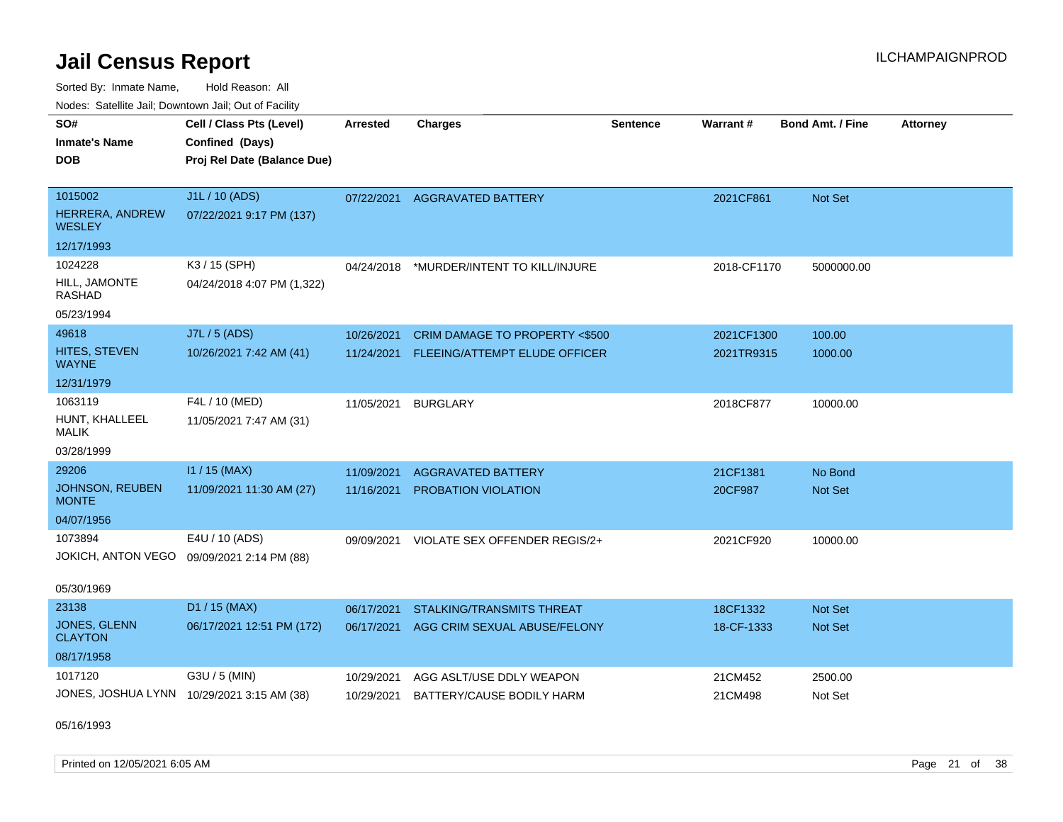Sorted By: Inmate Name, Hold Reason: All Nodes: Satellite Jail; Downtown Jail; Out of Facility

| roaco. Catolino dall, Downtown dall, Out of Fability |                                            |                 |                                  |                 |                 |                         |                 |
|------------------------------------------------------|--------------------------------------------|-----------------|----------------------------------|-----------------|-----------------|-------------------------|-----------------|
| SO#                                                  | Cell / Class Pts (Level)                   | <b>Arrested</b> | <b>Charges</b>                   | <b>Sentence</b> | <b>Warrant#</b> | <b>Bond Amt. / Fine</b> | <b>Attorney</b> |
| <b>Inmate's Name</b>                                 | Confined (Days)                            |                 |                                  |                 |                 |                         |                 |
| <b>DOB</b>                                           | Proj Rel Date (Balance Due)                |                 |                                  |                 |                 |                         |                 |
|                                                      |                                            |                 |                                  |                 |                 |                         |                 |
| 1015002                                              | J1L / 10 (ADS)                             | 07/22/2021      | <b>AGGRAVATED BATTERY</b>        |                 | 2021CF861       | Not Set                 |                 |
| HERRERA, ANDREW<br>WESLEY                            | 07/22/2021 9:17 PM (137)                   |                 |                                  |                 |                 |                         |                 |
| 12/17/1993                                           |                                            |                 |                                  |                 |                 |                         |                 |
| 1024228                                              | K3 / 15 (SPH)                              | 04/24/2018      | *MURDER/INTENT TO KILL/INJURE    |                 | 2018-CF1170     | 5000000.00              |                 |
| HILL, JAMONTE<br>RASHAD                              | 04/24/2018 4:07 PM (1,322)                 |                 |                                  |                 |                 |                         |                 |
| 05/23/1994                                           |                                            |                 |                                  |                 |                 |                         |                 |
| 49618                                                | J7L / 5 (ADS)                              | 10/26/2021      | CRIM DAMAGE TO PROPERTY <\$500   |                 | 2021CF1300      | 100.00                  |                 |
| <b>HITES, STEVEN</b><br><b>WAYNE</b>                 | 10/26/2021 7:42 AM (41)                    | 11/24/2021      | FLEEING/ATTEMPT ELUDE OFFICER    |                 | 2021TR9315      | 1000.00                 |                 |
| 12/31/1979                                           |                                            |                 |                                  |                 |                 |                         |                 |
| 1063119                                              | F4L / 10 (MED)                             | 11/05/2021      | <b>BURGLARY</b>                  |                 | 2018CF877       | 10000.00                |                 |
| HUNT, KHALLEEL<br>MALIK                              | 11/05/2021 7:47 AM (31)                    |                 |                                  |                 |                 |                         |                 |
| 03/28/1999                                           |                                            |                 |                                  |                 |                 |                         |                 |
| 29206                                                | $11 / 15$ (MAX)                            | 11/09/2021      | <b>AGGRAVATED BATTERY</b>        |                 | 21CF1381        | No Bond                 |                 |
| <b>JOHNSON, REUBEN</b><br><b>MONTE</b>               | 11/09/2021 11:30 AM (27)                   | 11/16/2021      | <b>PROBATION VIOLATION</b>       |                 | 20CF987         | <b>Not Set</b>          |                 |
| 04/07/1956                                           |                                            |                 |                                  |                 |                 |                         |                 |
| 1073894                                              | E4U / 10 (ADS)                             | 09/09/2021      | VIOLATE SEX OFFENDER REGIS/2+    |                 | 2021CF920       | 10000.00                |                 |
|                                                      | JOKICH, ANTON VEGO 09/09/2021 2:14 PM (88) |                 |                                  |                 |                 |                         |                 |
|                                                      |                                            |                 |                                  |                 |                 |                         |                 |
| 05/30/1969                                           |                                            |                 |                                  |                 |                 |                         |                 |
| 23138                                                | D1 / 15 (MAX)                              | 06/17/2021      | <b>STALKING/TRANSMITS THREAT</b> |                 | 18CF1332        | Not Set                 |                 |
| <b>JONES, GLENN</b><br><b>CLAYTON</b>                | 06/17/2021 12:51 PM (172)                  | 06/17/2021      | AGG CRIM SEXUAL ABUSE/FELONY     |                 | 18-CF-1333      | <b>Not Set</b>          |                 |
| 08/17/1958                                           |                                            |                 |                                  |                 |                 |                         |                 |
| 1017120                                              | G3U / 5 (MIN)                              | 10/29/2021      | AGG ASLT/USE DDLY WEAPON         |                 | 21CM452         | 2500.00                 |                 |
|                                                      | JONES, JOSHUA LYNN 10/29/2021 3:15 AM (38) | 10/29/2021      | BATTERY/CAUSE BODILY HARM        |                 | 21CM498         | Not Set                 |                 |

05/16/1993

Printed on 12/05/2021 6:05 AM Page 21 of 38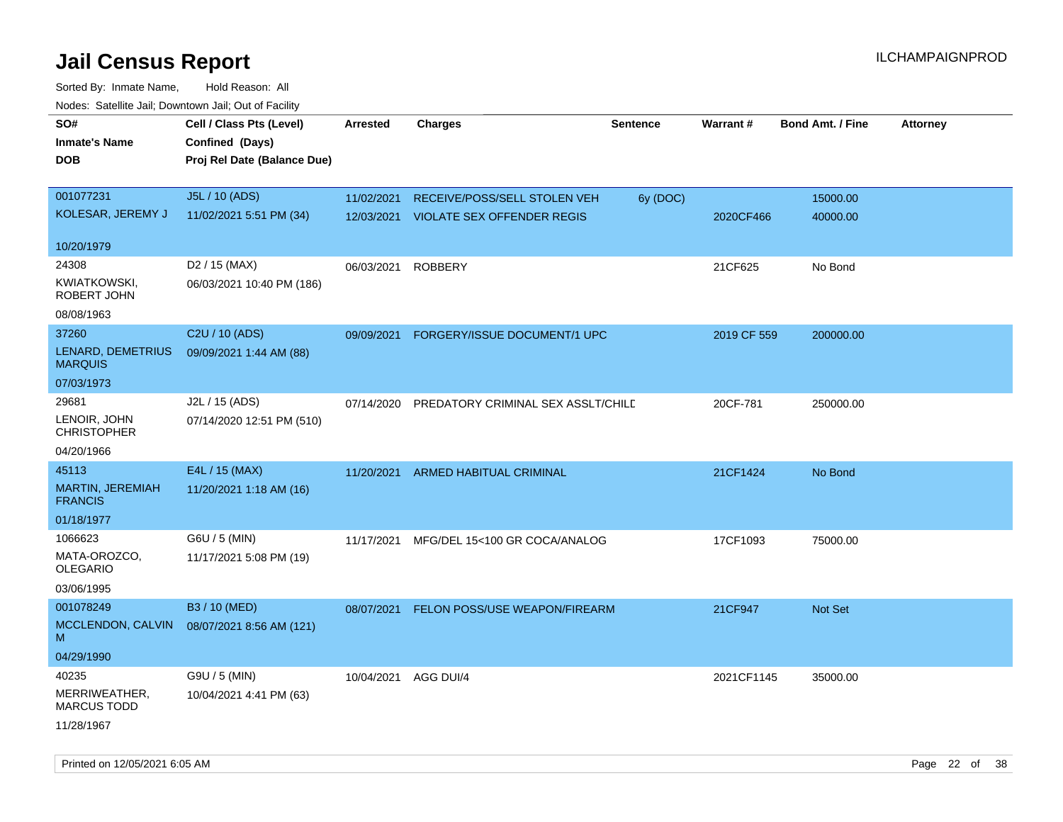| ivouss. Satellite Jall, Downtown Jall, Out of Facility |                                             |            |                                      |          |             |                         |                 |
|--------------------------------------------------------|---------------------------------------------|------------|--------------------------------------|----------|-------------|-------------------------|-----------------|
| SO#<br><b>Inmate's Name</b>                            | Cell / Class Pts (Level)<br>Confined (Days) | Arrested   | <b>Charges</b>                       | Sentence | Warrant#    | <b>Bond Amt. / Fine</b> | <b>Attorney</b> |
| <b>DOB</b>                                             | Proj Rel Date (Balance Due)                 |            |                                      |          |             |                         |                 |
|                                                        |                                             |            |                                      |          |             |                         |                 |
| 001077231                                              | J5L / 10 (ADS)                              | 11/02/2021 | RECEIVE/POSS/SELL STOLEN VEH         | 6y (DOC) |             | 15000.00                |                 |
| KOLESAR, JEREMY J                                      | 11/02/2021 5:51 PM (34)                     | 12/03/2021 | <b>VIOLATE SEX OFFENDER REGIS</b>    |          | 2020CF466   | 40000.00                |                 |
| 10/20/1979                                             |                                             |            |                                      |          |             |                         |                 |
| 24308                                                  | D <sub>2</sub> / 15 (MAX)                   | 06/03/2021 | <b>ROBBERY</b>                       |          | 21CF625     | No Bond                 |                 |
| KWIATKOWSKI,<br>ROBERT JOHN                            | 06/03/2021 10:40 PM (186)                   |            |                                      |          |             |                         |                 |
| 08/08/1963                                             |                                             |            |                                      |          |             |                         |                 |
| 37260                                                  | C <sub>2</sub> U / 10 (ADS)                 | 09/09/2021 | FORGERY/ISSUE DOCUMENT/1 UPC         |          | 2019 CF 559 | 200000.00               |                 |
| LENARD, DEMETRIUS<br><b>MARQUIS</b>                    | 09/09/2021 1:44 AM (88)                     |            |                                      |          |             |                         |                 |
| 07/03/1973                                             |                                             |            |                                      |          |             |                         |                 |
| 29681                                                  | J2L / 15 (ADS)                              | 07/14/2020 | PREDATORY CRIMINAL SEX ASSLT/CHILD   |          | 20CF-781    | 250000.00               |                 |
| LENOIR, JOHN<br><b>CHRISTOPHER</b>                     | 07/14/2020 12:51 PM (510)                   |            |                                      |          |             |                         |                 |
| 04/20/1966                                             |                                             |            |                                      |          |             |                         |                 |
| 45113                                                  | E4L / 15 (MAX)                              | 11/20/2021 | <b>ARMED HABITUAL CRIMINAL</b>       |          | 21CF1424    | No Bond                 |                 |
| <b>MARTIN, JEREMIAH</b><br><b>FRANCIS</b>              | 11/20/2021 1:18 AM (16)                     |            |                                      |          |             |                         |                 |
| 01/18/1977                                             |                                             |            |                                      |          |             |                         |                 |
| 1066623                                                | G6U / 5 (MIN)                               | 11/17/2021 | MFG/DEL 15<100 GR COCA/ANALOG        |          | 17CF1093    | 75000.00                |                 |
| MATA-OROZCO,<br><b>OLEGARIO</b>                        | 11/17/2021 5:08 PM (19)                     |            |                                      |          |             |                         |                 |
| 03/06/1995                                             |                                             |            |                                      |          |             |                         |                 |
| 001078249                                              | B3 / 10 (MED)                               | 08/07/2021 | <b>FELON POSS/USE WEAPON/FIREARM</b> |          | 21CF947     | Not Set                 |                 |
| MCCLENDON, CALVIN<br>м                                 | 08/07/2021 8:56 AM (121)                    |            |                                      |          |             |                         |                 |
| 04/29/1990                                             |                                             |            |                                      |          |             |                         |                 |
| 40235                                                  | G9U / 5 (MIN)                               | 10/04/2021 | AGG DUI/4                            |          | 2021CF1145  | 35000.00                |                 |
| MERRIWEATHER,<br><b>MARCUS TODD</b>                    | 10/04/2021 4:41 PM (63)                     |            |                                      |          |             |                         |                 |
| 11/28/1967                                             |                                             |            |                                      |          |             |                         |                 |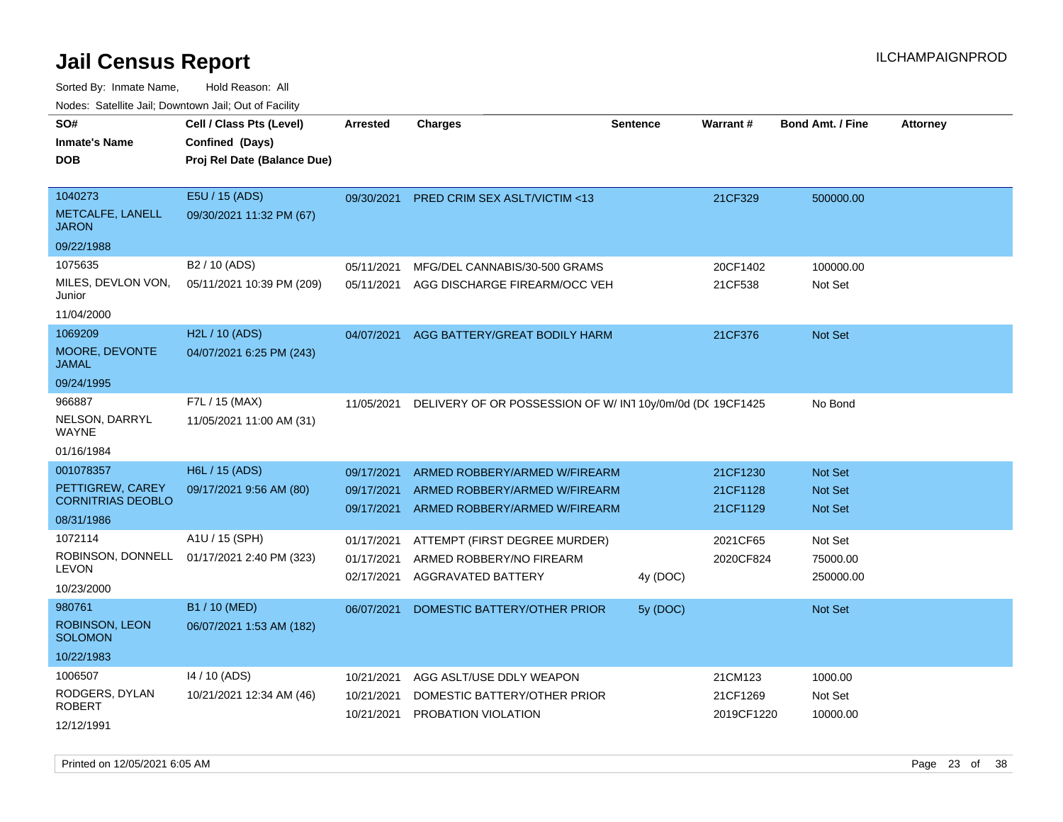| roaco. Calcinio dan, Domnomi dan, Cal or Fability |                                                                            |                          |                                                                |                 |                      |                                  |                 |
|---------------------------------------------------|----------------------------------------------------------------------------|--------------------------|----------------------------------------------------------------|-----------------|----------------------|----------------------------------|-----------------|
| SO#<br><b>Inmate's Name</b><br><b>DOB</b>         | Cell / Class Pts (Level)<br>Confined (Days)<br>Proj Rel Date (Balance Due) | Arrested                 | Charges                                                        | <b>Sentence</b> | <b>Warrant#</b>      | <b>Bond Amt. / Fine</b>          | <b>Attorney</b> |
|                                                   |                                                                            |                          |                                                                |                 |                      |                                  |                 |
| 1040273                                           | E5U / 15 (ADS)                                                             | 09/30/2021               | PRED CRIM SEX ASLT/VICTIM <13                                  |                 | 21CF329              | 500000.00                        |                 |
| METCALFE, LANELL<br><b>JARON</b>                  | 09/30/2021 11:32 PM (67)                                                   |                          |                                                                |                 |                      |                                  |                 |
| 09/22/1988                                        |                                                                            |                          |                                                                |                 |                      |                                  |                 |
| 1075635                                           | B <sub>2</sub> / 10 (ADS)                                                  | 05/11/2021               | MFG/DEL CANNABIS/30-500 GRAMS                                  |                 | 20CF1402             | 100000.00                        |                 |
| MILES, DEVLON VON,<br>Junior                      | 05/11/2021 10:39 PM (209)                                                  | 05/11/2021               | AGG DISCHARGE FIREARM/OCC VEH                                  |                 | 21CF538              | Not Set                          |                 |
| 11/04/2000                                        |                                                                            |                          |                                                                |                 |                      |                                  |                 |
| 1069209                                           | H2L / 10 (ADS)                                                             | 04/07/2021               | AGG BATTERY/GREAT BODILY HARM                                  |                 | 21CF376              | Not Set                          |                 |
| MOORE, DEVONTE<br>JAMAL                           | 04/07/2021 6:25 PM (243)                                                   |                          |                                                                |                 |                      |                                  |                 |
| 09/24/1995                                        |                                                                            |                          |                                                                |                 |                      |                                  |                 |
| 966887                                            | F7L / 15 (MAX)                                                             | 11/05/2021               | DELIVERY OF OR POSSESSION OF W/IN110y/0m/0d (DC 19CF1425       |                 |                      | No Bond                          |                 |
| NELSON, DARRYL<br>WAYNE                           | 11/05/2021 11:00 AM (31)                                                   |                          |                                                                |                 |                      |                                  |                 |
| 01/16/1984                                        |                                                                            |                          |                                                                |                 |                      |                                  |                 |
| 001078357                                         | H6L / 15 (ADS)                                                             | 09/17/2021               | ARMED ROBBERY/ARMED W/FIREARM                                  |                 | 21CF1230             | <b>Not Set</b>                   |                 |
| PETTIGREW, CAREY<br><b>CORNITRIAS DEOBLO</b>      | 09/17/2021 9:56 AM (80)                                                    | 09/17/2021<br>09/17/2021 | ARMED ROBBERY/ARMED W/FIREARM<br>ARMED ROBBERY/ARMED W/FIREARM |                 | 21CF1128<br>21CF1129 | <b>Not Set</b><br><b>Not Set</b> |                 |
| 08/31/1986                                        |                                                                            |                          |                                                                |                 |                      |                                  |                 |
| 1072114                                           | A1U / 15 (SPH)                                                             | 01/17/2021               | ATTEMPT (FIRST DEGREE MURDER)                                  |                 | 2021CF65             | Not Set                          |                 |
| ROBINSON, DONNELL<br><b>LEVON</b>                 | 01/17/2021 2:40 PM (323)                                                   | 01/17/2021               | ARMED ROBBERY/NO FIREARM                                       |                 | 2020CF824            | 75000.00                         |                 |
| 10/23/2000                                        |                                                                            | 02/17/2021               | AGGRAVATED BATTERY                                             | 4y (DOC)        |                      | 250000.00                        |                 |
| 980761                                            | B1 / 10 (MED)                                                              | 06/07/2021               | DOMESTIC BATTERY/OTHER PRIOR                                   | 5y (DOC)        |                      | <b>Not Set</b>                   |                 |
| ROBINSON, LEON<br><b>SOLOMON</b>                  | 06/07/2021 1:53 AM (182)                                                   |                          |                                                                |                 |                      |                                  |                 |
| 10/22/1983                                        |                                                                            |                          |                                                                |                 |                      |                                  |                 |
| 1006507                                           | 14 / 10 (ADS)                                                              | 10/21/2021               | AGG ASLT/USE DDLY WEAPON                                       |                 | 21CM123              | 1000.00                          |                 |
| RODGERS, DYLAN<br>ROBERT                          | 10/21/2021 12:34 AM (46)                                                   | 10/21/2021               | DOMESTIC BATTERY/OTHER PRIOR                                   |                 | 21CF1269             | Not Set                          |                 |
| 12/12/1991                                        |                                                                            | 10/21/2021               | PROBATION VIOLATION                                            |                 | 2019CF1220           | 10000.00                         |                 |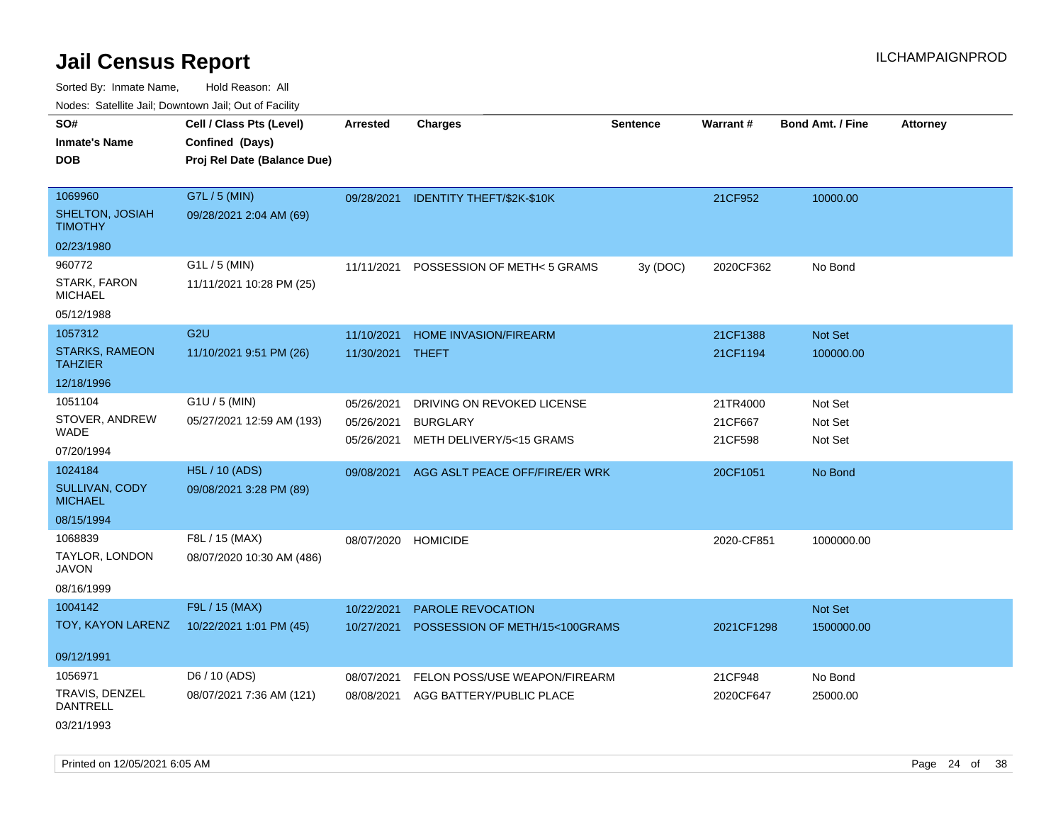Sorted By: Inmate Name, Hold Reason: All Nodes: Satellite Jail; Downtown Jail; Out of Facility

| ivuutos. Saltiilit Jall, Duwilluwii Jall, Oul of Facility |                             |            |                                |                 |            |                         |                 |
|-----------------------------------------------------------|-----------------------------|------------|--------------------------------|-----------------|------------|-------------------------|-----------------|
| SO#                                                       | Cell / Class Pts (Level)    | Arrested   | <b>Charges</b>                 | <b>Sentence</b> | Warrant#   | <b>Bond Amt. / Fine</b> | <b>Attorney</b> |
| <b>Inmate's Name</b>                                      | Confined (Days)             |            |                                |                 |            |                         |                 |
| <b>DOB</b>                                                | Proj Rel Date (Balance Due) |            |                                |                 |            |                         |                 |
|                                                           |                             |            |                                |                 |            |                         |                 |
| 1069960                                                   | G7L / 5 (MIN)               | 09/28/2021 | IDENTITY THEFT/\$2K-\$10K      |                 | 21CF952    | 10000.00                |                 |
| SHELTON, JOSIAH<br><b>TIMOTHY</b>                         | 09/28/2021 2:04 AM (69)     |            |                                |                 |            |                         |                 |
| 02/23/1980                                                |                             |            |                                |                 |            |                         |                 |
| 960772                                                    | G1L / 5 (MIN)               | 11/11/2021 | POSSESSION OF METH< 5 GRAMS    | 3y(DOC)         | 2020CF362  | No Bond                 |                 |
| <b>STARK, FARON</b><br><b>MICHAEL</b>                     | 11/11/2021 10:28 PM (25)    |            |                                |                 |            |                         |                 |
| 05/12/1988                                                |                             |            |                                |                 |            |                         |                 |
| 1057312                                                   | G <sub>2U</sub>             | 11/10/2021 | <b>HOME INVASION/FIREARM</b>   |                 | 21CF1388   | Not Set                 |                 |
| <b>STARKS, RAMEON</b><br><b>TAHZIER</b>                   | 11/10/2021 9:51 PM (26)     | 11/30/2021 | THEFT                          |                 | 21CF1194   | 100000.00               |                 |
| 12/18/1996                                                |                             |            |                                |                 |            |                         |                 |
| 1051104                                                   | G1U / 5 (MIN)               | 05/26/2021 | DRIVING ON REVOKED LICENSE     |                 | 21TR4000   | Not Set                 |                 |
| STOVER, ANDREW                                            | 05/27/2021 12:59 AM (193)   | 05/26/2021 | <b>BURGLARY</b>                |                 | 21CF667    | Not Set                 |                 |
| WADE                                                      |                             | 05/26/2021 | METH DELIVERY/5<15 GRAMS       |                 | 21CF598    | Not Set                 |                 |
| 07/20/1994                                                |                             |            |                                |                 |            |                         |                 |
| 1024184                                                   | H5L / 10 (ADS)              | 09/08/2021 | AGG ASLT PEACE OFF/FIRE/ER WRK |                 | 20CF1051   | No Bond                 |                 |
| SULLIVAN, CODY<br><b>MICHAEL</b>                          | 09/08/2021 3:28 PM (89)     |            |                                |                 |            |                         |                 |
| 08/15/1994                                                |                             |            |                                |                 |            |                         |                 |
| 1068839                                                   | F8L / 15 (MAX)              | 08/07/2020 | <b>HOMICIDE</b>                |                 | 2020-CF851 | 1000000.00              |                 |
| TAYLOR, LONDON<br>JAVON                                   | 08/07/2020 10:30 AM (486)   |            |                                |                 |            |                         |                 |
| 08/16/1999                                                |                             |            |                                |                 |            |                         |                 |
| 1004142                                                   | F9L / 15 (MAX)              | 10/22/2021 | PAROLE REVOCATION              |                 |            | Not Set                 |                 |
| TOY, KAYON LARENZ                                         | 10/22/2021 1:01 PM (45)     | 10/27/2021 | POSSESSION OF METH/15<100GRAMS |                 | 2021CF1298 | 1500000.00              |                 |
|                                                           |                             |            |                                |                 |            |                         |                 |
| 09/12/1991                                                |                             |            |                                |                 |            |                         |                 |
| 1056971                                                   | D6 / 10 (ADS)               | 08/07/2021 | FELON POSS/USE WEAPON/FIREARM  |                 | 21CF948    | No Bond                 |                 |
| <b>TRAVIS, DENZEL</b><br><b>DANTRELL</b>                  | 08/07/2021 7:36 AM (121)    | 08/08/2021 | AGG BATTERY/PUBLIC PLACE       |                 | 2020CF647  | 25000.00                |                 |
| 03/21/1993                                                |                             |            |                                |                 |            |                         |                 |

Printed on 12/05/2021 6:05 AM **Page 24 of 38**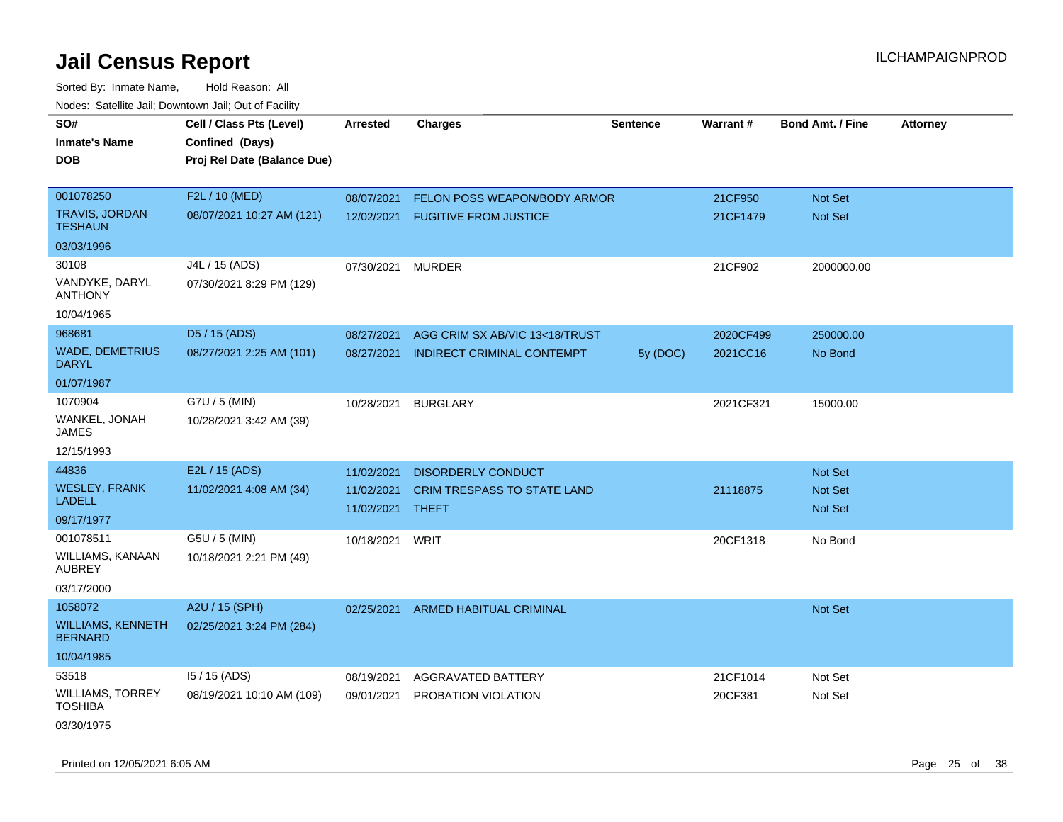Sorted By: Inmate Name, Hold Reason: All Nodes: Satellite Jail; Downtown Jail; Out of Facility

| SO#<br>Inmate's Name<br><b>DOB</b>         | Cell / Class Pts (Level)<br>Confined (Days)<br>Proj Rel Date (Balance Due) | <b>Arrested</b>          | <b>Charges</b>                       | <b>Sentence</b> | Warrant#  | <b>Bond Amt. / Fine</b>          | <b>Attorney</b> |
|--------------------------------------------|----------------------------------------------------------------------------|--------------------------|--------------------------------------|-----------------|-----------|----------------------------------|-----------------|
|                                            |                                                                            |                          |                                      |                 |           |                                  |                 |
| 001078250                                  | F2L / 10 (MED)                                                             | 08/07/2021               | FELON POSS WEAPON/BODY ARMOR         |                 | 21CF950   | Not Set                          |                 |
| TRAVIS, JORDAN<br>TESHAUN                  | 08/07/2021 10:27 AM (121)                                                  | 12/02/2021               | <b>FUGITIVE FROM JUSTICE</b>         |                 | 21CF1479  | <b>Not Set</b>                   |                 |
| 03/03/1996                                 |                                                                            |                          |                                      |                 |           |                                  |                 |
| 30108                                      | J4L / 15 (ADS)                                                             | 07/30/2021               | <b>MURDER</b>                        |                 | 21CF902   | 2000000.00                       |                 |
| VANDYKE, DARYL<br>ANTHONY                  | 07/30/2021 8:29 PM (129)                                                   |                          |                                      |                 |           |                                  |                 |
| 10/04/1965                                 |                                                                            |                          |                                      |                 |           |                                  |                 |
| 968681                                     | D5 / 15 (ADS)                                                              | 08/27/2021               | AGG CRIM SX AB/VIC 13<18/TRUST       |                 | 2020CF499 | 250000.00                        |                 |
| <b>WADE, DEMETRIUS</b><br>DARYL            | 08/27/2021 2:25 AM (101)                                                   | 08/27/2021               | <b>INDIRECT CRIMINAL CONTEMPT</b>    | 5y (DOC)        | 2021CC16  | No Bond                          |                 |
| 01/07/1987                                 |                                                                            |                          |                                      |                 |           |                                  |                 |
| 1070904                                    | G7U / 5 (MIN)                                                              | 10/28/2021               | <b>BURGLARY</b>                      |                 | 2021CF321 | 15000.00                         |                 |
| WANKEL, JONAH<br>JAMES                     | 10/28/2021 3:42 AM (39)                                                    |                          |                                      |                 |           |                                  |                 |
| 12/15/1993                                 |                                                                            |                          |                                      |                 |           |                                  |                 |
| 44836                                      | E2L / 15 (ADS)                                                             | 11/02/2021               | <b>DISORDERLY CONDUCT</b>            |                 |           | <b>Not Set</b>                   |                 |
| <b>WESLEY, FRANK</b><br>LADELL             | 11/02/2021 4:08 AM (34)                                                    | 11/02/2021<br>11/02/2021 | CRIM TRESPASS TO STATE LAND<br>THEFT |                 | 21118875  | <b>Not Set</b><br><b>Not Set</b> |                 |
| 09/17/1977                                 |                                                                            |                          |                                      |                 |           |                                  |                 |
| 001078511                                  | G5U / 5 (MIN)                                                              | 10/18/2021 WRIT          |                                      |                 | 20CF1318  | No Bond                          |                 |
| WILLIAMS, KANAAN<br>AUBREY                 | 10/18/2021 2:21 PM (49)                                                    |                          |                                      |                 |           |                                  |                 |
| 03/17/2000                                 |                                                                            |                          |                                      |                 |           |                                  |                 |
| 1058072                                    | A2U / 15 (SPH)                                                             | 02/25/2021               | <b>ARMED HABITUAL CRIMINAL</b>       |                 |           | <b>Not Set</b>                   |                 |
| <b>WILLIAMS, KENNETH</b><br><b>BERNARD</b> | 02/25/2021 3:24 PM (284)                                                   |                          |                                      |                 |           |                                  |                 |
| 10/04/1985                                 |                                                                            |                          |                                      |                 |           |                                  |                 |
| 53518                                      | 15 / 15 (ADS)                                                              | 08/19/2021               | AGGRAVATED BATTERY                   |                 | 21CF1014  | Not Set                          |                 |
| WILLIAMS, TORREY<br>TOSHIBA                | 08/19/2021 10:10 AM (109)                                                  | 09/01/2021               | PROBATION VIOLATION                  |                 | 20CF381   | Not Set                          |                 |
| 03/30/1975                                 |                                                                            |                          |                                      |                 |           |                                  |                 |

Printed on 12/05/2021 6:05 AM **Page 25** of 38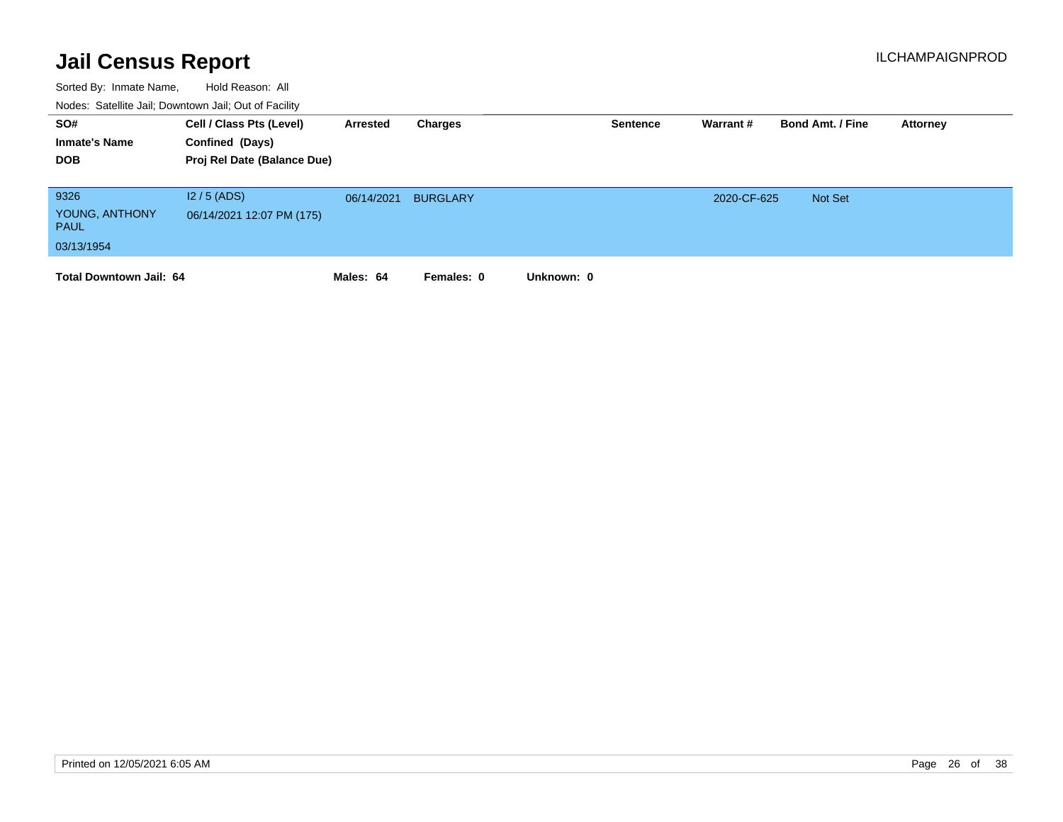| SO#<br><b>Inmate's Name</b><br><b>DOB</b>           | Cell / Class Pts (Level)<br>Confined (Days)<br>Proj Rel Date (Balance Due) | Arrested   | Charges         |            | <b>Sentence</b> | Warrant #   | <b>Bond Amt. / Fine</b> | Attorney |
|-----------------------------------------------------|----------------------------------------------------------------------------|------------|-----------------|------------|-----------------|-------------|-------------------------|----------|
| 9326<br>YOUNG, ANTHONY<br><b>PAUL</b><br>03/13/1954 | $12/5$ (ADS)<br>06/14/2021 12:07 PM (175)                                  | 06/14/2021 | <b>BURGLARY</b> |            |                 | 2020-CF-625 | Not Set                 |          |
| <b>Total Downtown Jail: 64</b>                      |                                                                            | Males: 64  | Females: 0      | Unknown: 0 |                 |             |                         |          |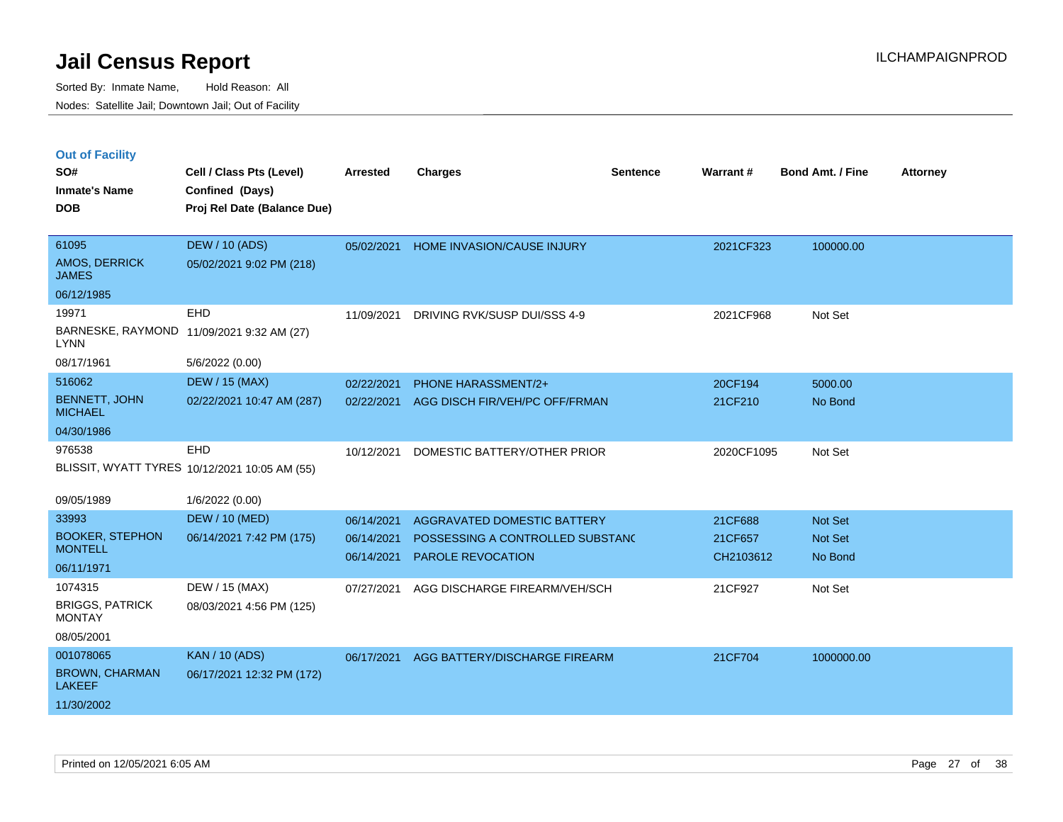|  | <b>Out of Facility</b> |  |
|--|------------------------|--|

| SO#<br><b>Inmate's Name</b><br><b>DOB</b>                         | Cell / Class Pts (Level)<br>Confined (Days)<br>Proj Rel Date (Balance Due) | <b>Arrested</b>                        | <b>Charges</b>                                                                                     | <b>Sentence</b> | Warrant#                        | <b>Bond Amt. / Fine</b>       | <b>Attorney</b> |
|-------------------------------------------------------------------|----------------------------------------------------------------------------|----------------------------------------|----------------------------------------------------------------------------------------------------|-----------------|---------------------------------|-------------------------------|-----------------|
| 61095<br>AMOS, DERRICK<br><b>JAMES</b>                            | <b>DEW / 10 (ADS)</b><br>05/02/2021 9:02 PM (218)                          | 05/02/2021                             | HOME INVASION/CAUSE INJURY                                                                         |                 | 2021CF323                       | 100000.00                     |                 |
| 06/12/1985<br>19971<br><b>LYNN</b>                                | <b>EHD</b><br>BARNESKE, RAYMOND 11/09/2021 9:32 AM (27)                    | 11/09/2021                             | DRIVING RVK/SUSP DUI/SSS 4-9                                                                       |                 | 2021CF968                       | Not Set                       |                 |
| 08/17/1961<br>516062                                              | 5/6/2022 (0.00)<br><b>DEW / 15 (MAX)</b>                                   | 02/22/2021                             | <b>PHONE HARASSMENT/2+</b>                                                                         |                 | 20CF194                         | 5000.00                       |                 |
| <b>BENNETT, JOHN</b><br><b>MICHAEL</b>                            | 02/22/2021 10:47 AM (287)                                                  | 02/22/2021                             | AGG DISCH FIR/VEH/PC OFF/FRMAN                                                                     |                 | 21CF210                         | No Bond                       |                 |
| 04/30/1986<br>976538                                              | EHD<br>BLISSIT, WYATT TYRES 10/12/2021 10:05 AM (55)                       | 10/12/2021                             | DOMESTIC BATTERY/OTHER PRIOR                                                                       |                 | 2020CF1095                      | Not Set                       |                 |
| 09/05/1989                                                        | 1/6/2022 (0.00)                                                            |                                        |                                                                                                    |                 |                                 |                               |                 |
| 33993<br><b>BOOKER, STEPHON</b><br><b>MONTELL</b><br>06/11/1971   | <b>DEW / 10 (MED)</b><br>06/14/2021 7:42 PM (175)                          | 06/14/2021<br>06/14/2021<br>06/14/2021 | <b>AGGRAVATED DOMESTIC BATTERY</b><br>POSSESSING A CONTROLLED SUBSTANC<br><b>PAROLE REVOCATION</b> |                 | 21CF688<br>21CF657<br>CH2103612 | Not Set<br>Not Set<br>No Bond |                 |
| 1074315<br><b>BRIGGS, PATRICK</b><br><b>MONTAY</b><br>08/05/2001  | DEW / 15 (MAX)<br>08/03/2021 4:56 PM (125)                                 | 07/27/2021                             | AGG DISCHARGE FIREARM/VEH/SCH                                                                      |                 | 21CF927                         | Not Set                       |                 |
| 001078065<br><b>BROWN, CHARMAN</b><br><b>LAKEEF</b><br>11/30/2002 | <b>KAN / 10 (ADS)</b><br>06/17/2021 12:32 PM (172)                         | 06/17/2021                             | AGG BATTERY/DISCHARGE FIREARM                                                                      |                 | 21CF704                         | 1000000.00                    |                 |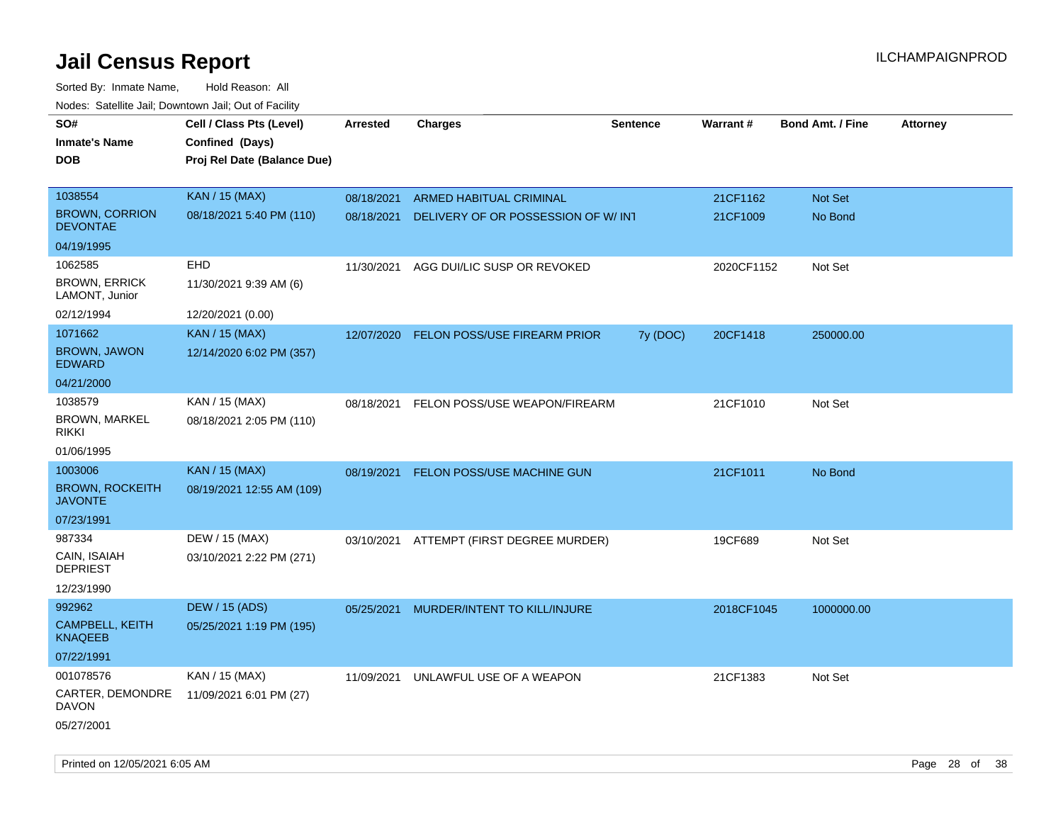| SO#<br><b>Inmate's Name</b><br>DOB       | Cell / Class Pts (Level)<br>Confined (Days)<br>Proj Rel Date (Balance Due) | Arrested   | <b>Charges</b>                           | <b>Sentence</b> | <b>Warrant#</b> | <b>Bond Amt. / Fine</b> | Attorney |
|------------------------------------------|----------------------------------------------------------------------------|------------|------------------------------------------|-----------------|-----------------|-------------------------|----------|
| 1038554                                  | <b>KAN / 15 (MAX)</b>                                                      | 08/18/2021 | ARMED HABITUAL CRIMINAL                  |                 | 21CF1162        | Not Set                 |          |
| <b>BROWN, CORRION</b><br><b>DEVONTAE</b> | 08/18/2021 5:40 PM (110)                                                   | 08/18/2021 | DELIVERY OF OR POSSESSION OF W/INT       |                 | 21CF1009        | No Bond                 |          |
| 04/19/1995                               |                                                                            |            |                                          |                 |                 |                         |          |
| 1062585                                  | <b>EHD</b>                                                                 | 11/30/2021 | AGG DUI/LIC SUSP OR REVOKED              |                 | 2020CF1152      | Not Set                 |          |
| <b>BROWN, ERRICK</b><br>LAMONT, Junior   | 11/30/2021 9:39 AM (6)                                                     |            |                                          |                 |                 |                         |          |
| 02/12/1994                               | 12/20/2021 (0.00)                                                          |            |                                          |                 |                 |                         |          |
| 1071662                                  | <b>KAN / 15 (MAX)</b>                                                      | 12/07/2020 | FELON POSS/USE FIREARM PRIOR             | 7y (DOC)        | 20CF1418        | 250000.00               |          |
| <b>BROWN, JAWON</b><br><b>EDWARD</b>     | 12/14/2020 6:02 PM (357)                                                   |            |                                          |                 |                 |                         |          |
| 04/21/2000                               |                                                                            |            |                                          |                 |                 |                         |          |
| 1038579                                  | KAN / 15 (MAX)                                                             | 08/18/2021 | FELON POSS/USE WEAPON/FIREARM            |                 | 21CF1010        | Not Set                 |          |
| <b>BROWN, MARKEL</b><br>rikki            | 08/18/2021 2:05 PM (110)                                                   |            |                                          |                 |                 |                         |          |
| 01/06/1995                               |                                                                            |            |                                          |                 |                 |                         |          |
| 1003006                                  | <b>KAN / 15 (MAX)</b>                                                      | 08/19/2021 | FELON POSS/USE MACHINE GUN               |                 | 21CF1011        | No Bond                 |          |
| <b>BROWN, ROCKEITH</b><br><b>JAVONTE</b> | 08/19/2021 12:55 AM (109)                                                  |            |                                          |                 |                 |                         |          |
| 07/23/1991                               |                                                                            |            |                                          |                 |                 |                         |          |
| 987334                                   | DEW / 15 (MAX)                                                             |            | 03/10/2021 ATTEMPT (FIRST DEGREE MURDER) |                 | 19CF689         | Not Set                 |          |
| CAIN, ISAIAH<br><b>DEPRIEST</b>          | 03/10/2021 2:22 PM (271)                                                   |            |                                          |                 |                 |                         |          |
| 12/23/1990                               |                                                                            |            |                                          |                 |                 |                         |          |
| 992962                                   | <b>DEW / 15 (ADS)</b>                                                      | 05/25/2021 | MURDER/INTENT TO KILL/INJURE             |                 | 2018CF1045      | 1000000.00              |          |
| CAMPBELL, KEITH<br>KNAQEEB               | 05/25/2021 1:19 PM (195)                                                   |            |                                          |                 |                 |                         |          |
| 07/22/1991                               |                                                                            |            |                                          |                 |                 |                         |          |
| 001078576                                | KAN / 15 (MAX)                                                             | 11/09/2021 | UNLAWFUL USE OF A WEAPON                 |                 | 21CF1383        | Not Set                 |          |
| CARTER, DEMONDRE<br><b>DAVON</b>         | 11/09/2021 6:01 PM (27)                                                    |            |                                          |                 |                 |                         |          |
| 05/27/2001                               |                                                                            |            |                                          |                 |                 |                         |          |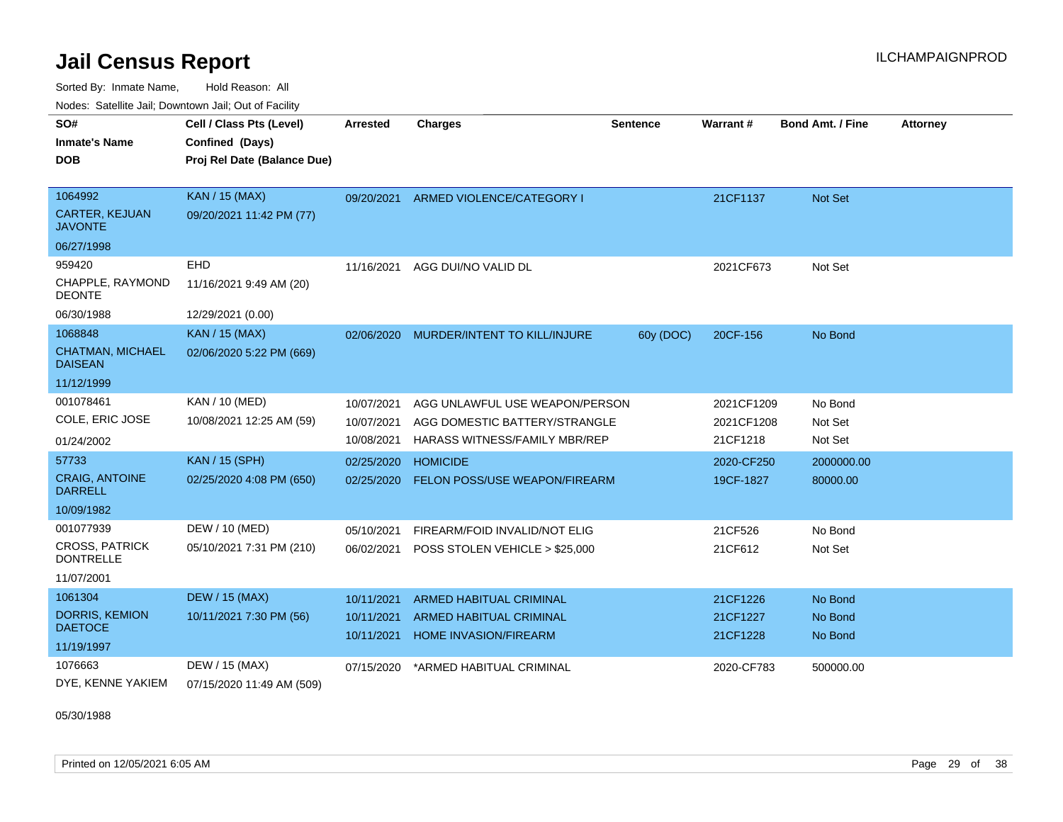Sorted By: Inmate Name, Hold Reason: All Nodes: Satellite Jail; Downtown Jail; Out of Facility

| SO#                                       | Cell / Class Pts (Level)    | Arrested   | <b>Charges</b>                       | <b>Sentence</b> | <b>Warrant#</b> | <b>Bond Amt. / Fine</b> | <b>Attorney</b> |
|-------------------------------------------|-----------------------------|------------|--------------------------------------|-----------------|-----------------|-------------------------|-----------------|
| <b>Inmate's Name</b>                      | Confined (Days)             |            |                                      |                 |                 |                         |                 |
| <b>DOB</b>                                | Proj Rel Date (Balance Due) |            |                                      |                 |                 |                         |                 |
|                                           |                             |            |                                      |                 |                 |                         |                 |
| 1064992                                   | <b>KAN / 15 (MAX)</b>       | 09/20/2021 | ARMED VIOLENCE/CATEGORY I            |                 | 21CF1137        | <b>Not Set</b>          |                 |
| CARTER, KEJUAN<br><b>JAVONTE</b>          | 09/20/2021 11:42 PM (77)    |            |                                      |                 |                 |                         |                 |
| 06/27/1998                                |                             |            |                                      |                 |                 |                         |                 |
| 959420                                    | EHD                         | 11/16/2021 | AGG DUI/NO VALID DL                  |                 | 2021CF673       | Not Set                 |                 |
| CHAPPLE, RAYMOND<br><b>DEONTE</b>         | 11/16/2021 9:49 AM (20)     |            |                                      |                 |                 |                         |                 |
| 06/30/1988                                | 12/29/2021 (0.00)           |            |                                      |                 |                 |                         |                 |
| 1068848                                   | <b>KAN / 15 (MAX)</b>       | 02/06/2020 | MURDER/INTENT TO KILL/INJURE         | 60y (DOC)       | 20CF-156        | No Bond                 |                 |
| <b>CHATMAN, MICHAEL</b><br><b>DAISEAN</b> | 02/06/2020 5:22 PM (669)    |            |                                      |                 |                 |                         |                 |
| 11/12/1999                                |                             |            |                                      |                 |                 |                         |                 |
| 001078461                                 | KAN / 10 (MED)              | 10/07/2021 | AGG UNLAWFUL USE WEAPON/PERSON       |                 | 2021CF1209      | No Bond                 |                 |
| COLE, ERIC JOSE                           | 10/08/2021 12:25 AM (59)    | 10/07/2021 | AGG DOMESTIC BATTERY/STRANGLE        |                 | 2021CF1208      | Not Set                 |                 |
| 01/24/2002                                |                             | 10/08/2021 | <b>HARASS WITNESS/FAMILY MBR/REP</b> |                 | 21CF1218        | Not Set                 |                 |
| 57733                                     | <b>KAN / 15 (SPH)</b>       | 02/25/2020 | <b>HOMICIDE</b>                      |                 | 2020-CF250      | 2000000.00              |                 |
| <b>CRAIG, ANTOINE</b><br><b>DARRELL</b>   | 02/25/2020 4:08 PM (650)    | 02/25/2020 | FELON POSS/USE WEAPON/FIREARM        |                 | 19CF-1827       | 80000.00                |                 |
| 10/09/1982                                |                             |            |                                      |                 |                 |                         |                 |
| 001077939                                 | DEW / 10 (MED)              | 05/10/2021 | FIREARM/FOID INVALID/NOT ELIG        |                 | 21CF526         | No Bond                 |                 |
| <b>CROSS, PATRICK</b><br><b>DONTRELLE</b> | 05/10/2021 7:31 PM (210)    | 06/02/2021 | POSS STOLEN VEHICLE > \$25,000       |                 | 21CF612         | Not Set                 |                 |
| 11/07/2001                                |                             |            |                                      |                 |                 |                         |                 |
| 1061304                                   | <b>DEW / 15 (MAX)</b>       | 10/11/2021 | <b>ARMED HABITUAL CRIMINAL</b>       |                 | 21CF1226        | No Bond                 |                 |
| <b>DORRIS, KEMION</b>                     | 10/11/2021 7:30 PM (56)     | 10/11/2021 | <b>ARMED HABITUAL CRIMINAL</b>       |                 | 21CF1227        | No Bond                 |                 |
| <b>DAETOCE</b>                            |                             | 10/11/2021 | <b>HOME INVASION/FIREARM</b>         |                 | 21CF1228        | No Bond                 |                 |
| 11/19/1997                                |                             |            |                                      |                 |                 |                         |                 |
| 1076663                                   | DEW / 15 (MAX)              | 07/15/2020 | *ARMED HABITUAL CRIMINAL             |                 | 2020-CF783      | 500000.00               |                 |
| DYE, KENNE YAKIEM                         | 07/15/2020 11:49 AM (509)   |            |                                      |                 |                 |                         |                 |

05/30/1988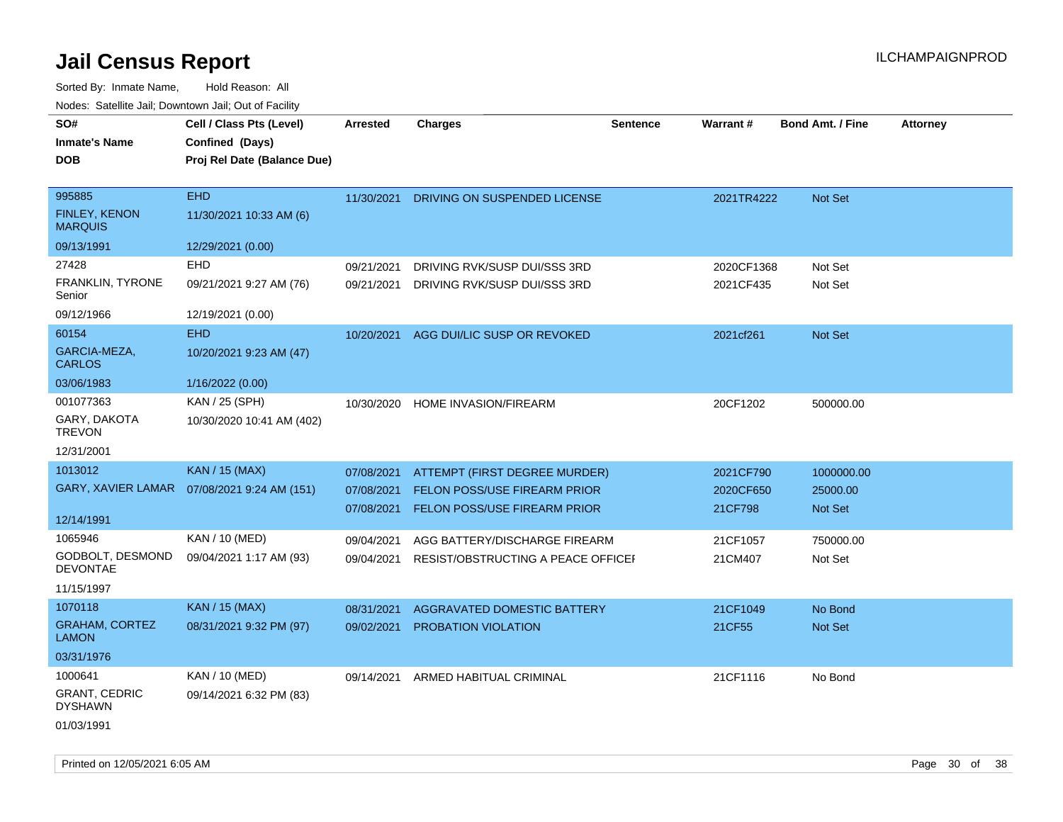Sorted By: Inmate Name, Hold Reason: All

| Nodes: Satellite Jail; Downtown Jail; Out of Facility |                             |                 |                                     |                 |            |                         |                 |
|-------------------------------------------------------|-----------------------------|-----------------|-------------------------------------|-----------------|------------|-------------------------|-----------------|
| SO#                                                   | Cell / Class Pts (Level)    | <b>Arrested</b> | <b>Charges</b>                      | <b>Sentence</b> | Warrant#   | <b>Bond Amt. / Fine</b> | <b>Attorney</b> |
| <b>Inmate's Name</b>                                  | Confined (Days)             |                 |                                     |                 |            |                         |                 |
| <b>DOB</b>                                            | Proj Rel Date (Balance Due) |                 |                                     |                 |            |                         |                 |
|                                                       |                             |                 |                                     |                 |            |                         |                 |
| 995885                                                | <b>EHD</b>                  | 11/30/2021      | DRIVING ON SUSPENDED LICENSE        |                 | 2021TR4222 | Not Set                 |                 |
| FINLEY, KENON<br><b>MARQUIS</b>                       | 11/30/2021 10:33 AM (6)     |                 |                                     |                 |            |                         |                 |
| 09/13/1991                                            | 12/29/2021 (0.00)           |                 |                                     |                 |            |                         |                 |
| 27428                                                 | EHD                         | 09/21/2021      | DRIVING RVK/SUSP DUI/SSS 3RD        |                 | 2020CF1368 | Not Set                 |                 |
| FRANKLIN, TYRONE<br>Senior                            | 09/21/2021 9:27 AM (76)     | 09/21/2021      | DRIVING RVK/SUSP DUI/SSS 3RD        |                 | 2021CF435  | Not Set                 |                 |
| 09/12/1966                                            | 12/19/2021 (0.00)           |                 |                                     |                 |            |                         |                 |
| 60154                                                 | <b>EHD</b>                  | 10/20/2021      | AGG DUI/LIC SUSP OR REVOKED         |                 | 2021cf261  | Not Set                 |                 |
| GARCIA-MEZA,<br><b>CARLOS</b>                         | 10/20/2021 9:23 AM (47)     |                 |                                     |                 |            |                         |                 |
| 03/06/1983                                            | 1/16/2022 (0.00)            |                 |                                     |                 |            |                         |                 |
| 001077363                                             | KAN / 25 (SPH)              | 10/30/2020      | HOME INVASION/FIREARM               |                 | 20CF1202   | 500000.00               |                 |
| GARY, DAKOTA<br><b>TREVON</b>                         | 10/30/2020 10:41 AM (402)   |                 |                                     |                 |            |                         |                 |
| 12/31/2001                                            |                             |                 |                                     |                 |            |                         |                 |
| 1013012                                               | <b>KAN / 15 (MAX)</b>       | 07/08/2021      | ATTEMPT (FIRST DEGREE MURDER)       |                 | 2021CF790  | 1000000.00              |                 |
| GARY, XAVIER LAMAR                                    | 07/08/2021 9:24 AM (151)    | 07/08/2021      | FELON POSS/USE FIREARM PRIOR        |                 | 2020CF650  | 25000.00                |                 |
|                                                       |                             | 07/08/2021      | <b>FELON POSS/USE FIREARM PRIOR</b> |                 | 21CF798    | Not Set                 |                 |
| 12/14/1991                                            |                             |                 |                                     |                 |            |                         |                 |
| 1065946                                               | KAN / 10 (MED)              | 09/04/2021      | AGG BATTERY/DISCHARGE FIREARM       |                 | 21CF1057   | 750000.00               |                 |
| GODBOLT, DESMOND<br><b>DEVONTAE</b>                   | 09/04/2021 1:17 AM (93)     | 09/04/2021      | RESIST/OBSTRUCTING A PEACE OFFICEI  |                 | 21CM407    | Not Set                 |                 |
| 11/15/1997                                            |                             |                 |                                     |                 |            |                         |                 |
| 1070118                                               | <b>KAN / 15 (MAX)</b>       | 08/31/2021      | AGGRAVATED DOMESTIC BATTERY         |                 | 21CF1049   | No Bond                 |                 |
| <b>GRAHAM, CORTEZ</b><br><b>LAMON</b>                 | 08/31/2021 9:32 PM (97)     | 09/02/2021      | <b>PROBATION VIOLATION</b>          |                 | 21CF55     | Not Set                 |                 |
| 03/31/1976                                            |                             |                 |                                     |                 |            |                         |                 |
| 1000641                                               | KAN / 10 (MED)              | 09/14/2021      | ARMED HABITUAL CRIMINAL             |                 | 21CF1116   | No Bond                 |                 |
| <b>GRANT, CEDRIC</b><br><b>DYSHAWN</b>                | 09/14/2021 6:32 PM (83)     |                 |                                     |                 |            |                         |                 |
| 01/03/1991                                            |                             |                 |                                     |                 |            |                         |                 |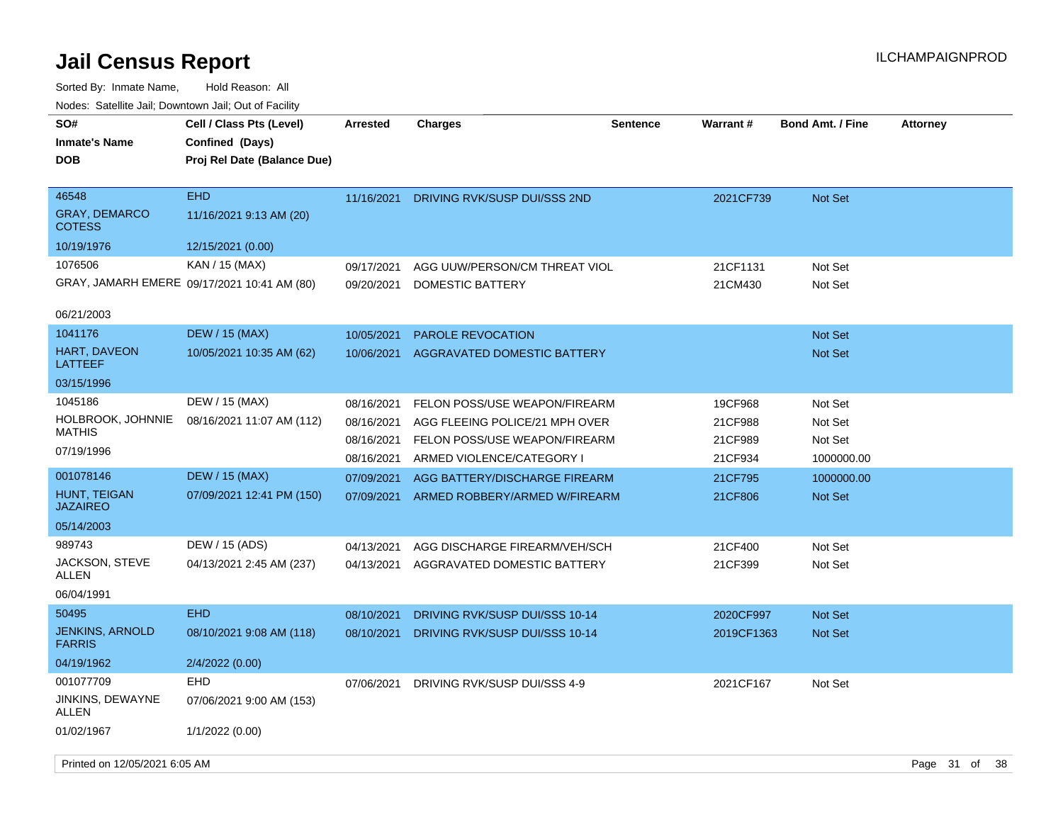| SO#<br><b>Inmate's Name</b><br><b>DOB</b>      | Cell / Class Pts (Level)<br>Confined (Days)<br>Proj Rel Date (Balance Due) | Arrested   | <b>Charges</b>                     | Sentence | <b>Warrant#</b> | <b>Bond Amt. / Fine</b> | <b>Attorney</b> |      |
|------------------------------------------------|----------------------------------------------------------------------------|------------|------------------------------------|----------|-----------------|-------------------------|-----------------|------|
| 46548<br><b>GRAY, DEMARCO</b><br><b>COTESS</b> | <b>EHD</b><br>11/16/2021 9:13 AM (20)                                      | 11/16/2021 | DRIVING RVK/SUSP DUI/SSS 2ND       |          | 2021CF739       | Not Set                 |                 |      |
| 10/19/1976                                     | 12/15/2021 (0.00)                                                          |            |                                    |          |                 |                         |                 |      |
| 1076506                                        | KAN / 15 (MAX)                                                             | 09/17/2021 | AGG UUW/PERSON/CM THREAT VIOL      |          | 21CF1131        | Not Set                 |                 |      |
|                                                | GRAY, JAMARH EMERE 09/17/2021 10:41 AM (80)                                | 09/20/2021 | <b>DOMESTIC BATTERY</b>            |          | 21CM430         | Not Set                 |                 |      |
| 06/21/2003                                     |                                                                            |            |                                    |          |                 |                         |                 |      |
| 1041176                                        | <b>DEW / 15 (MAX)</b>                                                      | 10/05/2021 | PAROLE REVOCATION                  |          |                 | <b>Not Set</b>          |                 |      |
| HART, DAVEON<br>LATTEEF                        | 10/05/2021 10:35 AM (62)                                                   | 10/06/2021 | <b>AGGRAVATED DOMESTIC BATTERY</b> |          |                 | Not Set                 |                 |      |
| 03/15/1996                                     |                                                                            |            |                                    |          |                 |                         |                 |      |
| 1045186                                        | DEW / 15 (MAX)                                                             | 08/16/2021 | FELON POSS/USE WEAPON/FIREARM      |          | 19CF968         | Not Set                 |                 |      |
| HOLBROOK, JOHNNIE                              | 08/16/2021 11:07 AM (112)                                                  | 08/16/2021 | AGG FLEEING POLICE/21 MPH OVER     |          | 21CF988         | Not Set                 |                 |      |
| <b>MATHIS</b>                                  |                                                                            | 08/16/2021 | FELON POSS/USE WEAPON/FIREARM      |          | 21CF989         | Not Set                 |                 |      |
| 07/19/1996                                     |                                                                            | 08/16/2021 | ARMED VIOLENCE/CATEGORY I          |          | 21CF934         | 1000000.00              |                 |      |
| 001078146                                      | <b>DEW / 15 (MAX)</b>                                                      | 07/09/2021 | AGG BATTERY/DISCHARGE FIREARM      |          | 21CF795         | 1000000.00              |                 |      |
| <b>HUNT, TEIGAN</b><br><b>JAZAIREO</b>         | 07/09/2021 12:41 PM (150)                                                  | 07/09/2021 | ARMED ROBBERY/ARMED W/FIREARM      |          | 21CF806         | Not Set                 |                 |      |
| 05/14/2003                                     |                                                                            |            |                                    |          |                 |                         |                 |      |
| 989743                                         | DEW / 15 (ADS)                                                             | 04/13/2021 | AGG DISCHARGE FIREARM/VEH/SCH      |          | 21CF400         | Not Set                 |                 |      |
| JACKSON, STEVE<br>ALLEN                        | 04/13/2021 2:45 AM (237)                                                   | 04/13/2021 | AGGRAVATED DOMESTIC BATTERY        |          | 21CF399         | Not Set                 |                 |      |
| 06/04/1991                                     |                                                                            |            |                                    |          |                 |                         |                 |      |
| 50495                                          | <b>EHD</b>                                                                 | 08/10/2021 | DRIVING RVK/SUSP DUI/SSS 10-14     |          | 2020CF997       | <b>Not Set</b>          |                 |      |
| <b>JENKINS, ARNOLD</b><br><b>FARRIS</b>        | 08/10/2021 9:08 AM (118)                                                   | 08/10/2021 | DRIVING RVK/SUSP DUI/SSS 10-14     |          | 2019CF1363      | <b>Not Set</b>          |                 |      |
| 04/19/1962                                     | 2/4/2022 (0.00)                                                            |            |                                    |          |                 |                         |                 |      |
| 001077709                                      | <b>EHD</b>                                                                 | 07/06/2021 | DRIVING RVK/SUSP DUI/SSS 4-9       |          | 2021CF167       | Not Set                 |                 |      |
| JINKINS, DEWAYNE<br><b>ALLEN</b>               | 07/06/2021 9:00 AM (153)                                                   |            |                                    |          |                 |                         |                 |      |
| 01/02/1967                                     | 1/1/2022 (0.00)                                                            |            |                                    |          |                 |                         |                 |      |
| Printed on 12/05/2021 6:05 AM                  |                                                                            |            |                                    |          |                 |                         | Page 31 of      | - 38 |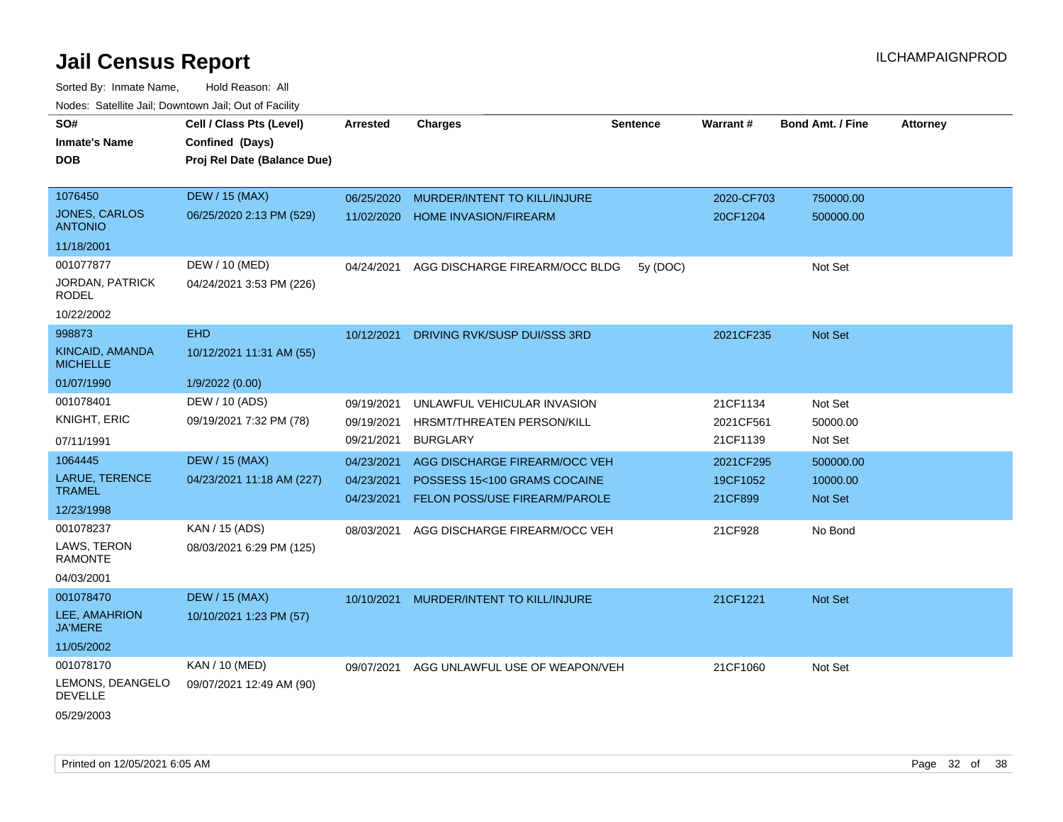| SO#<br><b>Inmate's Name</b><br><b>DOB</b> | Cell / Class Pts (Level)<br>Confined (Days)<br>Proj Rel Date (Balance Due) | <b>Arrested</b>          | <b>Charges</b>                                                       | <b>Sentence</b> | <b>Warrant#</b>     | <b>Bond Amt. / Fine</b> | <b>Attorney</b> |
|-------------------------------------------|----------------------------------------------------------------------------|--------------------------|----------------------------------------------------------------------|-----------------|---------------------|-------------------------|-----------------|
|                                           |                                                                            |                          |                                                                      |                 |                     |                         |                 |
| 1076450                                   | <b>DEW / 15 (MAX)</b>                                                      | 06/25/2020               | MURDER/INTENT TO KILL/INJURE                                         |                 | 2020-CF703          | 750000.00               |                 |
| <b>JONES, CARLOS</b><br><b>ANTONIO</b>    | 06/25/2020 2:13 PM (529)                                                   | 11/02/2020               | <b>HOME INVASION/FIREARM</b>                                         |                 | 20CF1204            | 500000.00               |                 |
| 11/18/2001                                |                                                                            |                          |                                                                      |                 |                     |                         |                 |
| 001077877                                 | DEW / 10 (MED)                                                             | 04/24/2021               | AGG DISCHARGE FIREARM/OCC BLDG                                       | 5y (DOC)        |                     | Not Set                 |                 |
| <b>JORDAN, PATRICK</b><br>RODEL           | 04/24/2021 3:53 PM (226)                                                   |                          |                                                                      |                 |                     |                         |                 |
| 10/22/2002                                |                                                                            |                          |                                                                      |                 |                     |                         |                 |
| 998873                                    | <b>EHD</b>                                                                 | 10/12/2021               | DRIVING RVK/SUSP DUI/SSS 3RD                                         |                 | 2021CF235           | Not Set                 |                 |
| KINCAID, AMANDA<br><b>MICHELLE</b>        | 10/12/2021 11:31 AM (55)                                                   |                          |                                                                      |                 |                     |                         |                 |
| 01/07/1990                                | 1/9/2022 (0.00)                                                            |                          |                                                                      |                 |                     |                         |                 |
| 001078401                                 | DEW / 10 (ADS)                                                             | 09/19/2021               | UNLAWFUL VEHICULAR INVASION                                          |                 | 21CF1134            | Not Set                 |                 |
| KNIGHT, ERIC                              | 09/19/2021 7:32 PM (78)                                                    | 09/19/2021               | HRSMT/THREATEN PERSON/KILL                                           |                 | 2021CF561           | 50000.00                |                 |
| 07/11/1991                                |                                                                            | 09/21/2021               | <b>BURGLARY</b>                                                      |                 | 21CF1139            | Not Set                 |                 |
| 1064445                                   | <b>DEW / 15 (MAX)</b>                                                      | 04/23/2021               | AGG DISCHARGE FIREARM/OCC VEH                                        |                 | 2021CF295           | 500000.00               |                 |
| LARUE, TERENCE<br><b>TRAMEL</b>           | 04/23/2021 11:18 AM (227)                                                  | 04/23/2021<br>04/23/2021 | POSSESS 15<100 GRAMS COCAINE<br><b>FELON POSS/USE FIREARM/PAROLE</b> |                 | 19CF1052<br>21CF899 | 10000.00<br>Not Set     |                 |
| 12/23/1998                                |                                                                            |                          |                                                                      |                 |                     |                         |                 |
| 001078237                                 | KAN / 15 (ADS)                                                             | 08/03/2021               | AGG DISCHARGE FIREARM/OCC VEH                                        |                 | 21CF928             | No Bond                 |                 |
| LAWS, TERON<br><b>RAMONTE</b>             | 08/03/2021 6:29 PM (125)                                                   |                          |                                                                      |                 |                     |                         |                 |
| 04/03/2001                                |                                                                            |                          |                                                                      |                 |                     |                         |                 |
| 001078470                                 | <b>DEW / 15 (MAX)</b>                                                      | 10/10/2021               | MURDER/INTENT TO KILL/INJURE                                         |                 | 21CF1221            | Not Set                 |                 |
| LEE, AMAHRION<br><b>JA'MERE</b>           | 10/10/2021 1:23 PM (57)                                                    |                          |                                                                      |                 |                     |                         |                 |
| 11/05/2002                                |                                                                            |                          |                                                                      |                 |                     |                         |                 |
| 001078170                                 | KAN / 10 (MED)                                                             | 09/07/2021               | AGG UNLAWFUL USE OF WEAPON/VEH                                       |                 | 21CF1060            | Not Set                 |                 |
| LEMONS, DEANGELO<br><b>DEVELLE</b>        | 09/07/2021 12:49 AM (90)                                                   |                          |                                                                      |                 |                     |                         |                 |
| 05/29/2003                                |                                                                            |                          |                                                                      |                 |                     |                         |                 |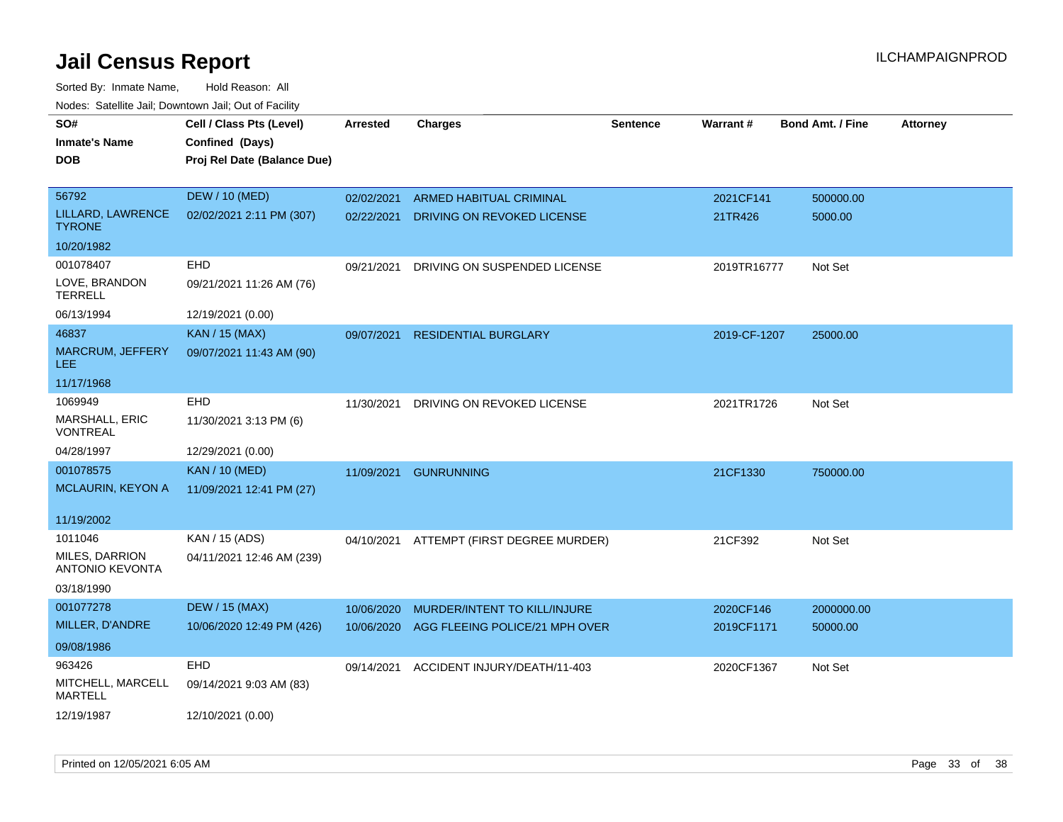| SO#                                      | Cell / Class Pts (Level)    | <b>Arrested</b> | <b>Charges</b>                           | <b>Sentence</b> | Warrant#     | <b>Bond Amt. / Fine</b> | <b>Attorney</b> |
|------------------------------------------|-----------------------------|-----------------|------------------------------------------|-----------------|--------------|-------------------------|-----------------|
| <b>Inmate's Name</b>                     | Confined (Days)             |                 |                                          |                 |              |                         |                 |
| <b>DOB</b>                               | Proj Rel Date (Balance Due) |                 |                                          |                 |              |                         |                 |
|                                          |                             |                 |                                          |                 |              |                         |                 |
| 56792                                    | <b>DEW / 10 (MED)</b>       | 02/02/2021      | <b>ARMED HABITUAL CRIMINAL</b>           |                 | 2021CF141    | 500000.00               |                 |
| LILLARD, LAWRENCE<br><b>TYRONE</b>       | 02/02/2021 2:11 PM (307)    | 02/22/2021      | DRIVING ON REVOKED LICENSE               |                 | 21TR426      | 5000.00                 |                 |
| 10/20/1982                               |                             |                 |                                          |                 |              |                         |                 |
| 001078407                                | EHD                         | 09/21/2021      | DRIVING ON SUSPENDED LICENSE             |                 | 2019TR16777  | Not Set                 |                 |
| LOVE, BRANDON<br><b>TERRELL</b>          | 09/21/2021 11:26 AM (76)    |                 |                                          |                 |              |                         |                 |
| 06/13/1994                               | 12/19/2021 (0.00)           |                 |                                          |                 |              |                         |                 |
| 46837                                    | <b>KAN / 15 (MAX)</b>       | 09/07/2021      | <b>RESIDENTIAL BURGLARY</b>              |                 | 2019-CF-1207 | 25000.00                |                 |
| <b>MARCRUM, JEFFERY</b><br>LEE.          | 09/07/2021 11:43 AM (90)    |                 |                                          |                 |              |                         |                 |
| 11/17/1968                               |                             |                 |                                          |                 |              |                         |                 |
| 1069949                                  | EHD                         | 11/30/2021      | DRIVING ON REVOKED LICENSE               |                 | 2021TR1726   | Not Set                 |                 |
| <b>MARSHALL, ERIC</b><br><b>VONTREAL</b> | 11/30/2021 3:13 PM (6)      |                 |                                          |                 |              |                         |                 |
| 04/28/1997                               | 12/29/2021 (0.00)           |                 |                                          |                 |              |                         |                 |
| 001078575                                | <b>KAN / 10 (MED)</b>       | 11/09/2021      | <b>GUNRUNNING</b>                        |                 | 21CF1330     | 750000.00               |                 |
| <b>MCLAURIN, KEYON A</b>                 | 11/09/2021 12:41 PM (27)    |                 |                                          |                 |              |                         |                 |
| 11/19/2002                               |                             |                 |                                          |                 |              |                         |                 |
| 1011046                                  | KAN / 15 (ADS)              |                 | 04/10/2021 ATTEMPT (FIRST DEGREE MURDER) |                 | 21CF392      | Not Set                 |                 |
| MILES, DARRION<br>ANTONIO KEVONTA        | 04/11/2021 12:46 AM (239)   |                 |                                          |                 |              |                         |                 |
| 03/18/1990                               |                             |                 |                                          |                 |              |                         |                 |
| 001077278                                | <b>DEW / 15 (MAX)</b>       | 10/06/2020      | MURDER/INTENT TO KILL/INJURE             |                 | 2020CF146    | 2000000.00              |                 |
| MILLER, D'ANDRE                          | 10/06/2020 12:49 PM (426)   | 10/06/2020      | AGG FLEEING POLICE/21 MPH OVER           |                 | 2019CF1171   | 50000.00                |                 |
| 09/08/1986                               |                             |                 |                                          |                 |              |                         |                 |
| 963426                                   | EHD                         | 09/14/2021      | ACCIDENT INJURY/DEATH/11-403             |                 | 2020CF1367   | Not Set                 |                 |
| MITCHELL, MARCELL<br><b>MARTELL</b>      | 09/14/2021 9:03 AM (83)     |                 |                                          |                 |              |                         |                 |
| 12/19/1987                               | 12/10/2021 (0.00)           |                 |                                          |                 |              |                         |                 |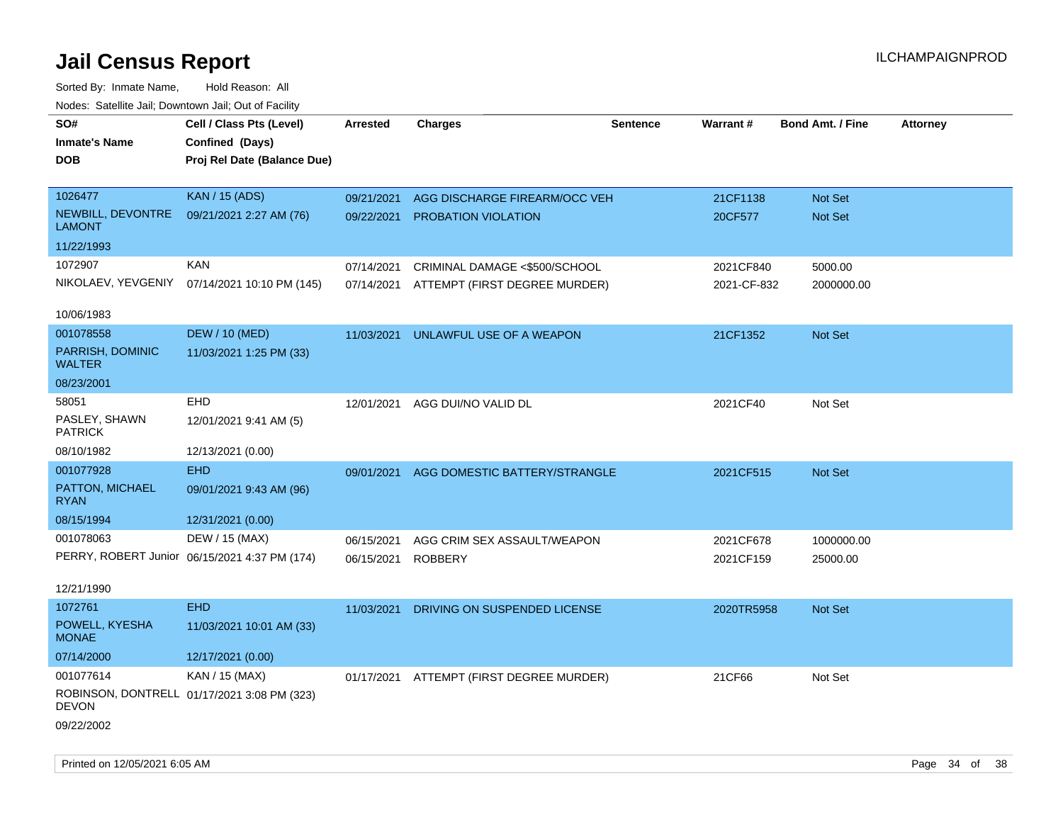| rouco. Calcillo Jali, Downtown Jali, Out of Facility |                                               |                 |                                          |          |             |                         |                 |
|------------------------------------------------------|-----------------------------------------------|-----------------|------------------------------------------|----------|-------------|-------------------------|-----------------|
| SO#<br><b>Inmate's Name</b>                          | Cell / Class Pts (Level)<br>Confined (Days)   | <b>Arrested</b> | <b>Charges</b>                           | Sentence | Warrant#    | <b>Bond Amt. / Fine</b> | <b>Attorney</b> |
| DOB                                                  | Proj Rel Date (Balance Due)                   |                 |                                          |          |             |                         |                 |
|                                                      |                                               |                 |                                          |          |             |                         |                 |
| 1026477                                              | <b>KAN / 15 (ADS)</b>                         | 09/21/2021      | AGG DISCHARGE FIREARM/OCC VEH            |          | 21CF1138    | Not Set                 |                 |
| NEWBILL, DEVONTRE<br><b>LAMONT</b>                   | 09/21/2021 2:27 AM (76)                       | 09/22/2021      | PROBATION VIOLATION                      |          | 20CF577     | Not Set                 |                 |
| 11/22/1993                                           |                                               |                 |                                          |          |             |                         |                 |
| 1072907                                              | KAN                                           | 07/14/2021      | CRIMINAL DAMAGE <\$500/SCHOOL            |          | 2021CF840   | 5000.00                 |                 |
|                                                      | NIKOLAEV, YEVGENIY 07/14/2021 10:10 PM (145)  | 07/14/2021      | ATTEMPT (FIRST DEGREE MURDER)            |          | 2021-CF-832 | 2000000.00              |                 |
| 10/06/1983                                           |                                               |                 |                                          |          |             |                         |                 |
| 001078558                                            | <b>DEW / 10 (MED)</b>                         | 11/03/2021      | UNLAWFUL USE OF A WEAPON                 |          | 21CF1352    | Not Set                 |                 |
| PARRISH, DOMINIC<br><b>WALTER</b>                    | 11/03/2021 1:25 PM (33)                       |                 |                                          |          |             |                         |                 |
| 08/23/2001                                           |                                               |                 |                                          |          |             |                         |                 |
| 58051                                                | <b>EHD</b>                                    | 12/01/2021      | AGG DUI/NO VALID DL                      |          | 2021CF40    | Not Set                 |                 |
| PASLEY, SHAWN<br><b>PATRICK</b>                      | 12/01/2021 9:41 AM (5)                        |                 |                                          |          |             |                         |                 |
| 08/10/1982                                           | 12/13/2021 (0.00)                             |                 |                                          |          |             |                         |                 |
| 001077928                                            | <b>EHD</b>                                    | 09/01/2021      | AGG DOMESTIC BATTERY/STRANGLE            |          | 2021CF515   | <b>Not Set</b>          |                 |
| PATTON, MICHAEL<br><b>RYAN</b>                       | 09/01/2021 9:43 AM (96)                       |                 |                                          |          |             |                         |                 |
| 08/15/1994                                           | 12/31/2021 (0.00)                             |                 |                                          |          |             |                         |                 |
| 001078063                                            | DEW / 15 (MAX)                                | 06/15/2021      | AGG CRIM SEX ASSAULT/WEAPON              |          | 2021CF678   | 1000000.00              |                 |
|                                                      | PERRY, ROBERT Junior 06/15/2021 4:37 PM (174) | 06/15/2021      | <b>ROBBERY</b>                           |          | 2021CF159   | 25000.00                |                 |
|                                                      |                                               |                 |                                          |          |             |                         |                 |
| 12/21/1990<br>1072761                                | <b>EHD</b>                                    |                 |                                          |          |             |                         |                 |
| POWELL, KYESHA                                       |                                               | 11/03/2021      | DRIVING ON SUSPENDED LICENSE             |          | 2020TR5958  | <b>Not Set</b>          |                 |
| <b>MONAE</b>                                         | 11/03/2021 10:01 AM (33)                      |                 |                                          |          |             |                         |                 |
| 07/14/2000                                           | 12/17/2021 (0.00)                             |                 |                                          |          |             |                         |                 |
| 001077614                                            | KAN / 15 (MAX)                                |                 | 01/17/2021 ATTEMPT (FIRST DEGREE MURDER) |          | 21CF66      | Not Set                 |                 |
| DEVON                                                | ROBINSON, DONTRELL 01/17/2021 3:08 PM (323)   |                 |                                          |          |             |                         |                 |
| 09/22/2002                                           |                                               |                 |                                          |          |             |                         |                 |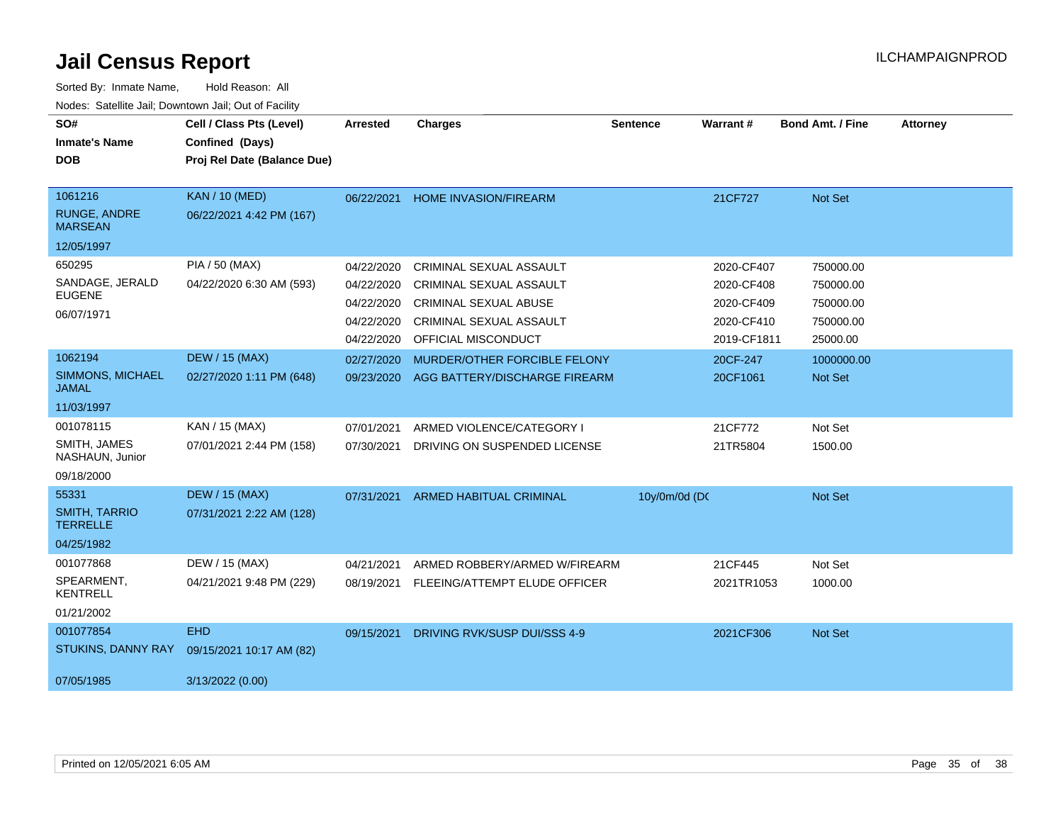| SO#<br><b>Inmate's Name</b><br><b>DOB</b>                      | Cell / Class Pts (Level)<br>Confined (Days)<br>Proj Rel Date (Balance Due) | <b>Arrested</b>                                                    | <b>Charges</b>                                                                                                                              | <b>Sentence</b> | Warrant#                                                            | <b>Bond Amt. / Fine</b>                                      | <b>Attorney</b> |
|----------------------------------------------------------------|----------------------------------------------------------------------------|--------------------------------------------------------------------|---------------------------------------------------------------------------------------------------------------------------------------------|-----------------|---------------------------------------------------------------------|--------------------------------------------------------------|-----------------|
| 1061216<br><b>RUNGE, ANDRE</b><br><b>MARSEAN</b><br>12/05/1997 | <b>KAN / 10 (MED)</b><br>06/22/2021 4:42 PM (167)                          | 06/22/2021                                                         | <b>HOME INVASION/FIREARM</b>                                                                                                                |                 | 21CF727                                                             | Not Set                                                      |                 |
| 650295<br>SANDAGE, JERALD<br><b>EUGENE</b><br>06/07/1971       | PIA / 50 (MAX)<br>04/22/2020 6:30 AM (593)                                 | 04/22/2020<br>04/22/2020<br>04/22/2020<br>04/22/2020<br>04/22/2020 | CRIMINAL SEXUAL ASSAULT<br><b>CRIMINAL SEXUAL ASSAULT</b><br><b>CRIMINAL SEXUAL ABUSE</b><br>CRIMINAL SEXUAL ASSAULT<br>OFFICIAL MISCONDUCT |                 | 2020-CF407<br>2020-CF408<br>2020-CF409<br>2020-CF410<br>2019-CF1811 | 750000.00<br>750000.00<br>750000.00<br>750000.00<br>25000.00 |                 |
| 1062194<br>SIMMONS, MICHAEL<br><b>JAMAL</b><br>11/03/1997      | <b>DEW / 15 (MAX)</b><br>02/27/2020 1:11 PM (648)                          | 02/27/2020<br>09/23/2020                                           | MURDER/OTHER FORCIBLE FELONY<br>AGG BATTERY/DISCHARGE FIREARM                                                                               |                 | 20CF-247<br>20CF1061                                                | 1000000.00<br>Not Set                                        |                 |
| 001078115<br>SMITH, JAMES<br>NASHAUN, Junior<br>09/18/2000     | KAN / 15 (MAX)<br>07/01/2021 2:44 PM (158)                                 | 07/01/2021<br>07/30/2021                                           | ARMED VIOLENCE/CATEGORY I<br>DRIVING ON SUSPENDED LICENSE                                                                                   |                 | 21CF772<br>21TR5804                                                 | Not Set<br>1500.00                                           |                 |
| 55331<br><b>SMITH, TARRIO</b><br><b>TERRELLE</b><br>04/25/1982 | <b>DEW / 15 (MAX)</b><br>07/31/2021 2:22 AM (128)                          | 07/31/2021                                                         | <b>ARMED HABITUAL CRIMINAL</b>                                                                                                              | 10y/0m/0d (DC   |                                                                     | Not Set                                                      |                 |
| 001077868<br>SPEARMENT.<br><b>KENTRELL</b><br>01/21/2002       | DEW / 15 (MAX)<br>04/21/2021 9:48 PM (229)                                 | 04/21/2021<br>08/19/2021                                           | ARMED ROBBERY/ARMED W/FIREARM<br>FLEEING/ATTEMPT ELUDE OFFICER                                                                              |                 | 21CF445<br>2021TR1053                                               | Not Set<br>1000.00                                           |                 |
| 001077854<br>STUKINS, DANNY RAY<br>07/05/1985                  | <b>EHD</b><br>09/15/2021 10:17 AM (82)<br>3/13/2022 (0.00)                 | 09/15/2021                                                         | DRIVING RVK/SUSP DUI/SSS 4-9                                                                                                                |                 | 2021CF306                                                           | Not Set                                                      |                 |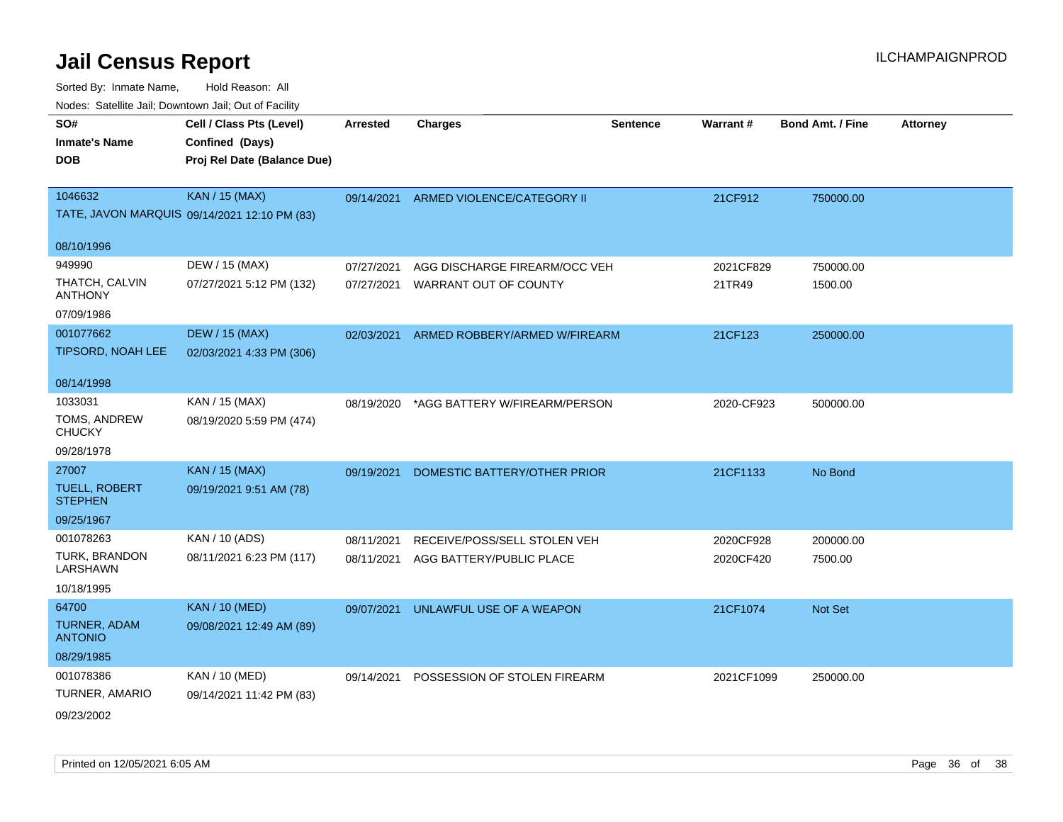| rouco. Calcillo Jali, Downtown Jali, Out of Facility |                                              |                 |                                     |                 |                 |                         |                 |
|------------------------------------------------------|----------------------------------------------|-----------------|-------------------------------------|-----------------|-----------------|-------------------------|-----------------|
| SO#                                                  | Cell / Class Pts (Level)                     | <b>Arrested</b> | <b>Charges</b>                      | <b>Sentence</b> | <b>Warrant#</b> | <b>Bond Amt. / Fine</b> | <b>Attorney</b> |
| <b>Inmate's Name</b>                                 | Confined (Days)                              |                 |                                     |                 |                 |                         |                 |
| <b>DOB</b>                                           | Proj Rel Date (Balance Due)                  |                 |                                     |                 |                 |                         |                 |
|                                                      |                                              |                 |                                     |                 |                 |                         |                 |
| 1046632                                              | <b>KAN / 15 (MAX)</b>                        | 09/14/2021      | ARMED VIOLENCE/CATEGORY II          |                 | 21CF912         | 750000.00               |                 |
|                                                      | TATE, JAVON MARQUIS 09/14/2021 12:10 PM (83) |                 |                                     |                 |                 |                         |                 |
| 08/10/1996                                           |                                              |                 |                                     |                 |                 |                         |                 |
| 949990                                               | DEW / 15 (MAX)                               | 07/27/2021      | AGG DISCHARGE FIREARM/OCC VEH       |                 | 2021CF829       | 750000.00               |                 |
| THATCH, CALVIN<br><b>ANTHONY</b>                     | 07/27/2021 5:12 PM (132)                     | 07/27/2021      | WARRANT OUT OF COUNTY               |                 | 21TR49          | 1500.00                 |                 |
| 07/09/1986                                           |                                              |                 |                                     |                 |                 |                         |                 |
| 001077662                                            | <b>DEW / 15 (MAX)</b>                        | 02/03/2021      | ARMED ROBBERY/ARMED W/FIREARM       |                 | 21CF123         | 250000.00               |                 |
| TIPSORD, NOAH LEE                                    | 02/03/2021 4:33 PM (306)                     |                 |                                     |                 |                 |                         |                 |
|                                                      |                                              |                 |                                     |                 |                 |                         |                 |
| 08/14/1998                                           |                                              |                 |                                     |                 |                 |                         |                 |
| 1033031                                              | KAN / 15 (MAX)                               | 08/19/2020      | *AGG BATTERY W/FIREARM/PERSON       |                 | 2020-CF923      | 500000.00               |                 |
| TOMS, ANDREW<br><b>CHUCKY</b>                        | 08/19/2020 5:59 PM (474)                     |                 |                                     |                 |                 |                         |                 |
| 09/28/1978                                           |                                              |                 |                                     |                 |                 |                         |                 |
| 27007                                                | <b>KAN / 15 (MAX)</b>                        | 09/19/2021      | DOMESTIC BATTERY/OTHER PRIOR        |                 | 21CF1133        | No Bond                 |                 |
| <b>TUELL, ROBERT</b><br><b>STEPHEN</b>               | 09/19/2021 9:51 AM (78)                      |                 |                                     |                 |                 |                         |                 |
| 09/25/1967                                           |                                              |                 |                                     |                 |                 |                         |                 |
| 001078263                                            | KAN / 10 (ADS)                               | 08/11/2021      | RECEIVE/POSS/SELL STOLEN VEH        |                 | 2020CF928       | 200000.00               |                 |
| TURK, BRANDON<br>LARSHAWN                            | 08/11/2021 6:23 PM (117)                     |                 | 08/11/2021 AGG BATTERY/PUBLIC PLACE |                 | 2020CF420       | 7500.00                 |                 |
| 10/18/1995                                           |                                              |                 |                                     |                 |                 |                         |                 |
| 64700                                                | <b>KAN / 10 (MED)</b>                        | 09/07/2021      | UNLAWFUL USE OF A WEAPON            |                 | 21CF1074        | Not Set                 |                 |
| <b>TURNER, ADAM</b><br><b>ANTONIO</b>                | 09/08/2021 12:49 AM (89)                     |                 |                                     |                 |                 |                         |                 |
| 08/29/1985                                           |                                              |                 |                                     |                 |                 |                         |                 |
| 001078386                                            | <b>KAN / 10 (MED)</b>                        | 09/14/2021      | POSSESSION OF STOLEN FIREARM        |                 | 2021CF1099      | 250000.00               |                 |
| TURNER, AMARIO                                       | 09/14/2021 11:42 PM (83)                     |                 |                                     |                 |                 |                         |                 |
| 09/23/2002                                           |                                              |                 |                                     |                 |                 |                         |                 |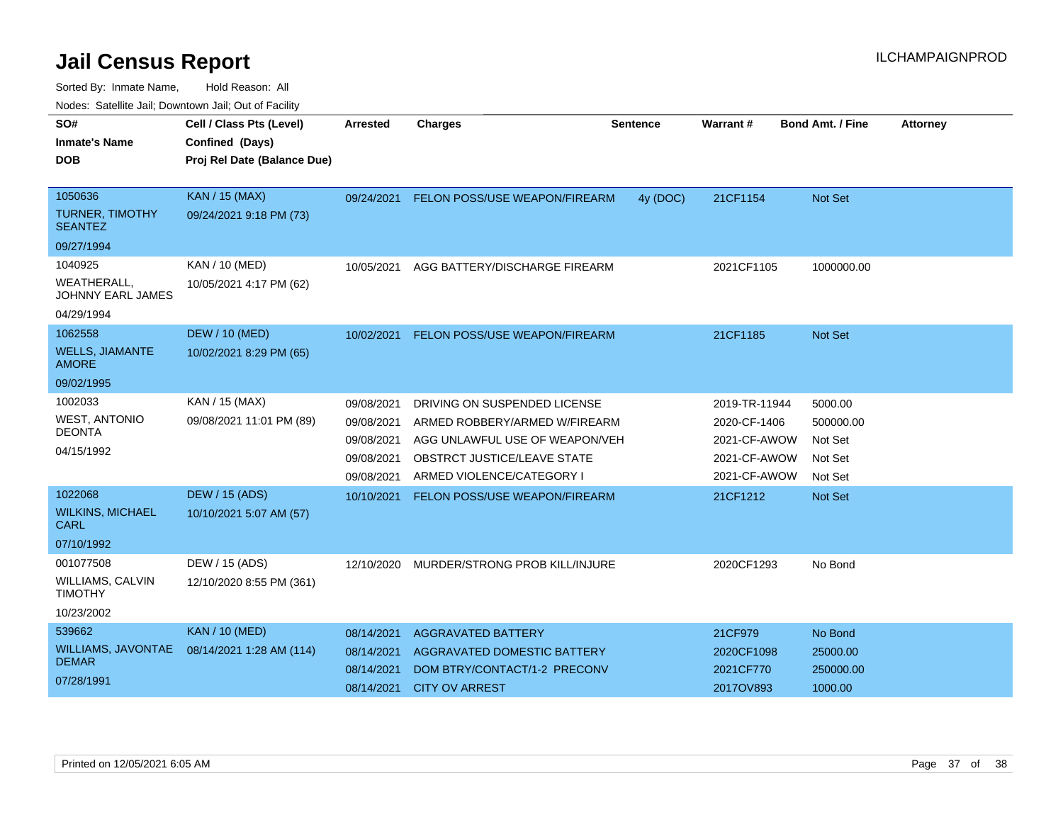| SO#                                           | Cell / Class Pts (Level)    | Arrested   | <b>Charges</b>                       | <b>Sentence</b> | Warrant#      | <b>Bond Amt. / Fine</b> |                 |
|-----------------------------------------------|-----------------------------|------------|--------------------------------------|-----------------|---------------|-------------------------|-----------------|
|                                               |                             |            |                                      |                 |               |                         | <b>Attorney</b> |
| <b>Inmate's Name</b>                          | Confined (Days)             |            |                                      |                 |               |                         |                 |
| DOB                                           | Proj Rel Date (Balance Due) |            |                                      |                 |               |                         |                 |
|                                               |                             |            |                                      |                 |               |                         |                 |
| 1050636                                       | <b>KAN / 15 (MAX)</b>       | 09/24/2021 | <b>FELON POSS/USE WEAPON/FIREARM</b> | 4y (DOC)        | 21CF1154      | <b>Not Set</b>          |                 |
| <b>TURNER, TIMOTHY</b><br><b>SEANTEZ</b>      | 09/24/2021 9:18 PM (73)     |            |                                      |                 |               |                         |                 |
| 09/27/1994                                    |                             |            |                                      |                 |               |                         |                 |
| 1040925                                       | KAN / 10 (MED)              | 10/05/2021 | AGG BATTERY/DISCHARGE FIREARM        |                 | 2021CF1105    | 1000000.00              |                 |
| <b>WEATHERALL</b><br><b>JOHNNY EARL JAMES</b> | 10/05/2021 4:17 PM (62)     |            |                                      |                 |               |                         |                 |
| 04/29/1994                                    |                             |            |                                      |                 |               |                         |                 |
| 1062558                                       | <b>DEW / 10 (MED)</b>       | 10/02/2021 | FELON POSS/USE WEAPON/FIREARM        |                 | 21CF1185      | <b>Not Set</b>          |                 |
| <b>WELLS, JIAMANTE</b><br><b>AMORE</b>        | 10/02/2021 8:29 PM (65)     |            |                                      |                 |               |                         |                 |
| 09/02/1995                                    |                             |            |                                      |                 |               |                         |                 |
| 1002033                                       | KAN / 15 (MAX)              | 09/08/2021 | DRIVING ON SUSPENDED LICENSE         |                 | 2019-TR-11944 | 5000.00                 |                 |
| <b>WEST, ANTONIO</b>                          | 09/08/2021 11:01 PM (89)    | 09/08/2021 | ARMED ROBBERY/ARMED W/FIREARM        |                 | 2020-CF-1406  | 500000.00               |                 |
| <b>DEONTA</b>                                 |                             | 09/08/2021 | AGG UNLAWFUL USE OF WEAPON/VEH       |                 | 2021-CF-AWOW  | Not Set                 |                 |
| 04/15/1992                                    |                             | 09/08/2021 | OBSTRCT JUSTICE/LEAVE STATE          |                 | 2021-CF-AWOW  | Not Set                 |                 |
|                                               |                             | 09/08/2021 | ARMED VIOLENCE/CATEGORY I            |                 | 2021-CF-AWOW  | Not Set                 |                 |
| 1022068                                       | <b>DEW / 15 (ADS)</b>       | 10/10/2021 | FELON POSS/USE WEAPON/FIREARM        |                 | 21CF1212      | <b>Not Set</b>          |                 |
| <b>WILKINS, MICHAEL</b><br>CARL               | 10/10/2021 5:07 AM (57)     |            |                                      |                 |               |                         |                 |
| 07/10/1992                                    |                             |            |                                      |                 |               |                         |                 |
| 001077508                                     | DEW / 15 (ADS)              | 12/10/2020 | MURDER/STRONG PROB KILL/INJURE       |                 | 2020CF1293    | No Bond                 |                 |
| WILLIAMS, CALVIN<br><b>TIMOTHY</b>            | 12/10/2020 8:55 PM (361)    |            |                                      |                 |               |                         |                 |
| 10/23/2002                                    |                             |            |                                      |                 |               |                         |                 |
| 539662                                        | <b>KAN / 10 (MED)</b>       | 08/14/2021 | <b>AGGRAVATED BATTERY</b>            |                 | 21CF979       | No Bond                 |                 |
| WILLIAMS, JAVONTAE                            | 08/14/2021 1:28 AM (114)    | 08/14/2021 | AGGRAVATED DOMESTIC BATTERY          |                 | 2020CF1098    | 25000.00                |                 |
| <b>DEMAR</b>                                  |                             | 08/14/2021 | DOM BTRY/CONTACT/1-2 PRECONV         |                 | 2021CF770     | 250000.00               |                 |
| 07/28/1991                                    |                             | 08/14/2021 | <b>CITY OV ARREST</b>                |                 | 2017OV893     | 1000.00                 |                 |